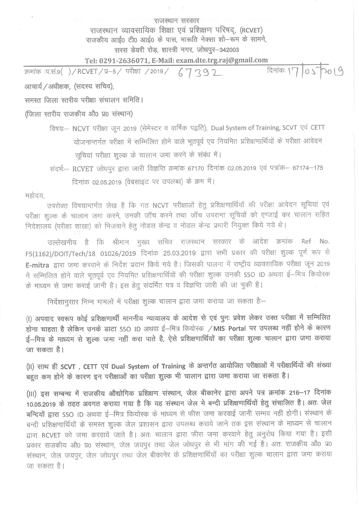## राजस्थान सरकार राजस्थान व्यावसायिक शिक्षा एवं प्रशिक्षण परिषद, (RCVET) राजकीय आई0 टी0 आई0 के पास, मारूति नेक्सा शो-रूम के सामने, सरस डेयरी रोड, शास्त्री नगर, जोधपुर-342003

## Tel: 0291-2636071, E-Mail: exam.dte.trg.raj@gmail.com

दिनांकः 17 05 2019 क्रमांक :प.सं.9( )/RCVET/प्र-5/ परीक्षा /2019/  $67392$ आचार्य / अधीक्षक, (सदस्य सचिव),

समस्त जिला स्तरीय परीक्षा संचालन समिति।

(जिला स्तरीय राजकीय औ0 प्र0 संस्थान)

विषय:- NCVT परीक्षा जून 2019 (सेमेस्टर व वार्षिक पद्वति), Dual System of Training, SCVT एवं CETT योजनान्तर्गत परीक्षा में सम्मिलित होने वाले भूतपूर्व एव नियमित प्रशिक्षणार्थियों के परीक्षा आवेदन सूचियां परीक्षा शुल्क के चालान जमा करने के संबंध में।

संदर्भ - RCVET जोधपुर द्वारा जारी विज्ञप्ति क्रमांक 67170 दिनांक 02.05.2019 एवं पत्रांक - 67174-175 दिनांक 02.05.2019 (वेबसाइट पर उपलब्ध) के क्रम में।

महोदय,

उपरोक्त विषयान्तर्गत लेख है कि गत NCVT परीक्षाओं हेतु प्रशिक्षणार्थियों की परीक्षा आवेदन सूचियां एवं परीक्षा शुल्क के चालान जमा करने, उनकी जॉच करने तथा जॉच उपरान्त सूचियों को एग्जाई कर चालान सहित निदेशालय (परीक्षा शाखा) को भिजवाने हेतु नोडल केन्द्र व नोडल केन्द्र प्रभारी नियुक्त किये गये थे।

उल्लेखनीय है कि श्रीमान मुख्य सचिव राजस्थान सरकार के आदेश क्रमांक Ref No. F5(1162)/DOIT/Tech/18 01026/2019 दिनांक 25.03.2019 द्वारा सभी प्रकार की परीक्षा शुल्क पूर्ण रूप से E-mitra द्वारा जमा करवाने के निर्देश प्रदान किये गये है। जिसकी पालना में राष्ट्रीय व्यावसायिक परीक्षा जून 2019 में सम्मिलित होने वाले भूतपूर्व एव नियमित प्रशिक्षणार्थियों की परीक्षा शुल्क उनकी SSO ID अथवा ई–मित्र कियोस्क के माध्यम से जमा कराई जानी है। इस हेतु संदर्भित पत्र व विज्ञप्ति जारी की जा चुकी है।

निर्देशानुसार निम्न मामलों में परीक्षा शुल्क चालान द्वारा जमा कराया जा सकता है:-

(I) अपवाद स्वरूप कोई प्रशिक्षणार्थी माननीय न्यायालय के आदेश से एवं पुनः प्रवेश लेकर उक्त परीक्षा में सम्मिलित होना चाहता है लेकिन उनके डाटा SSO ID अथवा ई-मित्र कियोस्क / MIS Portal पर उपलब्ध नहीं होने के कारण ई-मित्र के माध्यम<sup>ं</sup>से शुल्क जमा नहीं करा पाते है, ऐसे प्रशिक्षणार्थियों का परीक्षा शुल्क चालान द्वारा जमा कराया जा सकता है।

(II) साथ ही SCVT, CETT एवं Dual System of Training के अन्तर्गत आयोजित परीक्षाओं में परीक्षार्थियों की संख्या बहुत कम होने के कारण इन परीक्षाओं का परीक्षा शुल्क भी चालान द्वारा जमा कराया जा सकता है।

(III) इस सम्बन्ध में राजकीय औद्योगिक प्रशिक्षण संस्थान, जेल बीकानेर द्वारा अपने पत्र क्रमांक 216-17 दिनांक 10.05.2019 के तहत अवगत कराया गया है कि यह संस्थान जेल मे बन्दी प्रशिक्षणार्थियों हेतु संचालित है। अतः जेल बन्दियों द्वारा SSO ID अथवा ई–मित्र कियोस्क के माध्यम से फीस जमा करवाई जानी सम्भव नहीं होगी। संस्थान के बन्दी प्रशिक्षणार्थियों के समस्त शुल्क जेल प्रशासन द्वारा उपलब्ध कराये जाने तक इस संस्थान के माध्यम से चालान द्वारा RCVET को जमा करवाये जाते है। अतः चालान द्वारा फीस जमा करवाने हेतु अनुरोध किया गया है। इसी प्रकार राजकीय औ0 प्र0 संस्थान, जेल जयपुर तथा जेल जोधपुर से भी मांग की गई है। अतः राजकीय औ0 प्र0 संस्थान, जेल जयपुर, जेल जोधपुर तथा जेल बीकानेर के प्रशिक्षणार्थियों का परीक्षा शुल्क चालान द्वारा जमा कराया जा सकता है।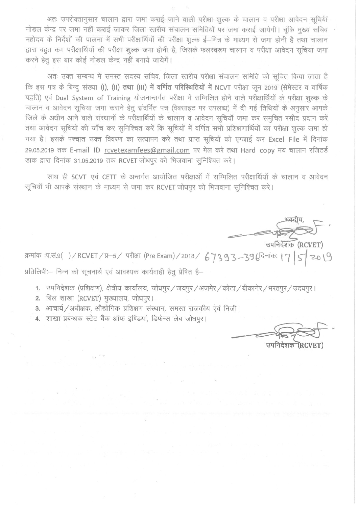अतः उपरोक्तानुसार चालान द्वारा जमा कराई जाने वाली परीक्षा शुल्क के चालान व परीक्षा आवेदन सूचियां नोडल केन्द्र पर जमा नहीं कराई जाकर जिला स्तरीय संचालन समितियों पर जमा कराई जायेगी। चंकि मुख्य सचिव महोदय के निर्देशों की पालना में सभी परीक्षार्थियों की परीक्षा शुल्क ई–मित्र के माध्यम से जमा होनी है तथा चालान द्वारा बहुत कम परीक्षार्थियों की परीक्षा शुल्क जमा होनी है, जिसके फलस्वरूप चालान व परीक्षा आवेदन सुचियां जमा करने हेतु इस बार कोई नोडल केन्द्र नहीं बनाये जायेगें।

अतः उक्त सम्बन्ध में समस्त सदस्य सचिव, जिला स्तरीय परीक्षा संचालन समिति को सूचित किया जाता है कि इस पत्र के बिन्दू संख्या (I), (II) तथा (III) में वर्णित परिस्थितियों में NCVT परीक्षा जून 2019 (सेमेस्टर व वार्षिक पद्वति) एवं Dual System of Training योजनान्तर्गत परीक्षा में सम्मिलित होने वाले परीक्षार्थियों के परीक्षा शल्क के चालान व आवेदन सुचिया जमा कराने हेतु संदर्भित पत्र (वेबसाइट पर उपलब्ध) में दी गई तिथियों के अनुसार आपके जिले के अधीन आने वाले संस्थानों के परीक्षार्थियों के चालान व आवेदन सुचियाँ जमा कर समुचित रसीद प्रदान करें तथा आवेदन सूचियों की जाँच कर सुनिश्चित करें कि सूचियों में वर्णित सभी प्रशिक्षणार्थियों का परीक्षा शुल्क जमा हो गया है। इसके पश्चात उक्त विवरण का सत्यापन करे तथा प्राप्त सूचियों को एग्जाई कर Excel File में दिनांक 29.05.2019 तक E-mail ID rcvetexamfees@gmail.com पर मेल करे तथा Hard copy मय चालान रजिटर्ड डाक द्वारा दिनांक 31.05.2019 तक RCVET जोधपुर को भिजवाना सुनिश्चित करे।

साथ ही SCVT एवं CETT के अन्तर्गत आयोजित परीक्षाओं में सम्मिलित परीक्षार्थियों के चालान व आवेदन सूचियॉं भी आपके संस्थान के माध्यम से जमा कर RCVET जोधपुर को भिजवाना सुनिश्चित करे।

उपनिदेशक (RCVET)

क्रमांक :प.सं.९()/RCVET/प्र-5/ परीक्षा (Pre Exam)/2018/ 67393-396 दिनांकः । प्रतिलिपीः- निम्न को सूचनार्थ एवं आवश्यक कार्यवाही हेतू प्रेषित है-

- 1. उपनिदेशक (प्रशिक्षण), क्षेत्रीय कार्यालय, जोधपुर/जयपुर/अजमेर/कोटा/बीकानेर/भरतपुर/उदयपुर।
- 2. बिल शाखा (RCVET) मुख्यालय, जोधपुर।
- 3. आचार्य / अधीक्षक, औद्योगिक प्रशिक्षण संस्थान, समस्त राजकीय एवं निजी।
- 4. शाखा प्रबन्धक स्टेट बैंक ऑफ इण्डियां, डिफेन्स लेब जोधपुर।

उपनिदेशक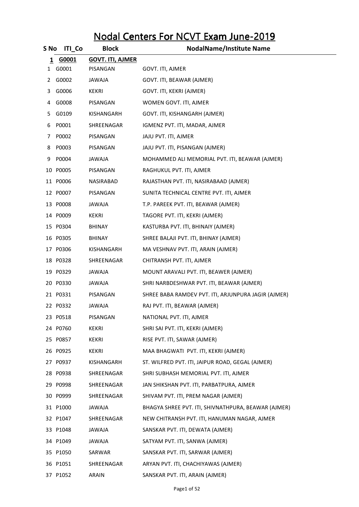## Nodal Centers For NCVT Exam June-2019

| S No | <b>ITI</b> Co | <b>Block</b>            | <b>NodalName/Institute Name</b>                     |
|------|---------------|-------------------------|-----------------------------------------------------|
| 1    | G0001         | <b>GOVT. ITI, AJMER</b> |                                                     |
| 1    | G0001         | PISANGAN                | GOVT. ITI, AJMER                                    |
| 2    | G0002         | AlAWAJ                  | GOVT. ITI, BEAWAR (AJMER)                           |
| 3    | G0006         | KEKRI                   | GOVT. ITI, KEKRI (AJMER)                            |
| 4    | G0008         | PISANGAN                | WOMEN GOVT. ITI, AJMER                              |
| 5.   | G0109         | KISHANGARH              | GOVT. ITI, KISHANGARH (AJMER)                       |
| 6    | P0001         | SHREENAGAR              | IGMENZ PVT. ITI, MADAR, AJMER                       |
| 7    | P0002         | PISANGAN                | JAJU PVT. ITI, AJMER                                |
| 8    | P0003         | PISANGAN                | JAJU PVT. ITI, PISANGAN (AJMER)                     |
| 9    | P0004         | JAWAJA                  | MOHAMMED ALI MEMORIAL PVT. ITI, BEAWAR (AJMER)      |
|      | 10 P0005      | PISANGAN                | RAGHUKUL PVT. ITI, AJMER                            |
|      | 11 P0006      | <b>NASIRABAD</b>        | RAJASTHAN PVT. ITI, NASIRABAAD (AJMER)              |
|      | 12 P0007      | PISANGAN                | SUNITA TECHNICAL CENTRE PVT. ITI, AJMER             |
|      | 13 P0008      | <b>ALAWAL</b>           | T.P. PAREEK PVT. ITI, BEAWAR (AJMER)                |
|      | 14 P0009      | <b>KEKRI</b>            | TAGORE PVT. ITI, KEKRI (AJMER)                      |
|      | 15 P0304      | BHINAY                  | KASTURBA PVT. ITI, BHINAIY (AJMER)                  |
|      | 16 P0305      | BHINAY                  | SHREE BALAJI PVT. ITI, BHINAY (AJMER)               |
|      | 17 PO306      | KISHANGARH              | MA VESHNAV PVT. ITI, ARAIN (AJMER)                  |
|      | 18 P0328      | SHREENAGAR              | CHITRANSH PVT. ITI, AJMER                           |
|      | 19 P0329      | JAWAJA                  | MOUNT ARAVALI PVT. ITI, BEAWER (AJMER)              |
|      | 20 P0330      | JAWAJA                  | SHRI NARBDESHWAR PVT. ITI, BEAWAR (AJMER)           |
|      | 21 P0331      | PISANGAN                | SHREE BABA RAMDEV PVT. ITI, ARJUNPURA JAGIR (AJMER) |
|      | 22 P0332      | <b>ALAWAJ</b>           | RAJ PVT. ITI, BEAWAR (AJMER)                        |
|      | 23 P0518      | PISANGAN                | NATIONAL PVT. ITI, AJMER                            |
|      | 24 P0760      | KEKRI                   | SHRI SAI PVT. ITI, KEKRI (AJMER)                    |
|      | 25 P0857      | KEKRI                   | RISE PVT. ITI, SAWAR (AJMER)                        |
|      | 26 P0925      | KEKRI                   | MAA BHAGWATI PVT. ITI, KEKRI (AJMER)                |
|      | 27 P0937      | KISHANGARH              | ST. WILFRED PVT. ITI, JAIPUR ROAD, GEGAL (AJMER)    |
|      | 28 P0938      | SHREENAGAR              | SHRI SUBHASH MEMORIAL PVT. ITI, AJMER               |
|      | 29 P0998      | SHREENAGAR              | JAN SHIKSHAN PVT. ITI, PARBATPURA, AJMER            |
|      | 30 P0999      | SHREENAGAR              | SHIVAM PVT. ITI, PREM NAGAR (AJMER)                 |
|      | 31 P1000      | <b>ALAWAJ</b>           | BHAGYA SHREE PVT. ITI, SHIVNATHPURA, BEAWAR (AJMER) |
|      | 32 P1047      | SHREENAGAR              | NEW CHITRANSH PVT. ITI, HANUMAN NAGAR, AJMER        |
|      | 33 P1048      | <b>ALAWAJ</b>           | SANSKAR PVT. ITI, DEWATA (AJMER)                    |
|      | 34 P1049      | JAWAJA                  | SATYAM PVT. ITI, SANWA (AJMER)                      |
|      | 35 P1050      | SARWAR                  | SANSKAR PVT. ITI, SARWAR (AJMER)                    |
|      | 36 P1051      | SHREENAGAR              | ARYAN PVT. ITI, CHACHIYAWAS (AJMER)                 |
|      | 37 P1052      | ARAIN                   | SANSKAR PVT. ITI, ARAIN (AJMER)                     |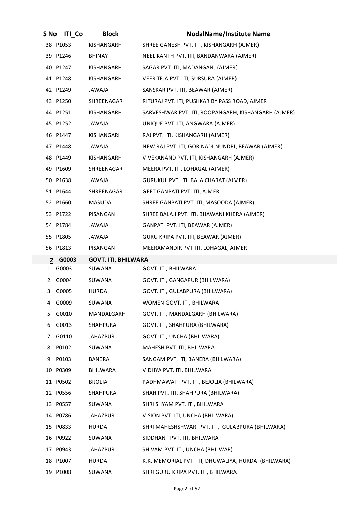| S No | <b>ITI Co</b> | <b>Block</b>               | <b>NodalName/Institute Name</b>                     |
|------|---------------|----------------------------|-----------------------------------------------------|
|      | 38 P1053      | KISHANGARH                 | SHREE GANESH PVT. ITI, KISHANGARH (AJMER)           |
|      | 39 P1246      | BHINAY                     | NEEL KANTH PVT. ITI, BANDANWARA (AJMER)             |
|      | 40 P1247      | KISHANGARH                 | SAGAR PVT. ITI, MADANGANJ (AJMER)                   |
|      | 41 P1248      | KISHANGARH                 | VEER TEJA PVT. ITI, SURSURA (AJMER)                 |
|      | 42 P1249      | ALAWAJ                     | SANSKAR PVT. ITI, BEAWAR (AJMER)                    |
|      | 43 P1250      | SHREENAGAR                 | RITURAJ PVT. ITI, PUSHKAR BY PASS ROAD, AJMER       |
|      | 44 P1251      | KISHANGARH                 | SARVESHWAR PVT. ITI, ROOPANGARH, KISHANGARH (AJMER) |
|      | 45 P1252      | JAWAJA                     | UNIQUE PVT. ITI, ANGWARA (AJMER)                    |
|      | 46 P1447      | KISHANGARH                 | RAJ PVT. ITI, KISHANGARH (AJMER)                    |
|      | 47 P1448      | JAWAJA                     | NEW RAJ PVT. ITI, GORINADI NUNDRI, BEAWAR (AJMER)   |
|      | 48 P1449      | KISHANGARH                 | VIVEKANAND PVT. ITI, KISHANGARH (AJMER)             |
|      | 49 P1609      | SHREENAGAR                 | MEERA PVT. ITI, LOHAGAL (AJMER)                     |
|      | 50 P1638      | <b>ALAWAJA</b>             | GURUKUL PVT. ITI, BALA CHARAT (AJMER)               |
|      | 51 P1644      | SHREENAGAR                 | <b>GEET GANPATI PVT. ITI, AJMER</b>                 |
|      | 52 P1660      | MASUDA                     | SHREE GANPATI PVT. ITI, MASOODA (AJMER)             |
|      | 53 P1722      | PISANGAN                   | SHREE BALAJI PVT. ITI, BHAWANI KHERA (AJMER)        |
|      | 54 P1784      | JAWAJA                     | GANPATI PVT. ITI, BEAWAR (AJMER)                    |
|      | 55 P1805      | <b>ALAWAJ</b>              | GURU KRIPA PVT. ITI, BEAWAR (AJMER)                 |
|      | 56 P1813      | PISANGAN                   | MEERAMANDIR PVT ITI, LOHAGAL, AJMER                 |
|      | 2 G0003       | <b>GOVT. ITI, BHILWARA</b> |                                                     |
| 1    | G0003         | SUWANA                     | GOVT. ITI, BHILWARA                                 |
| 2    | G0004         | SUWANA                     | GOVT. ITI, GANGAPUR (BHILWARA)                      |
| 3    | G0005         | <b>HURDA</b>               | GOVT. ITI, GULABPURA (BHILWARA)                     |
| 4    | G0009         | SUWANA                     | WOMEN GOVT. ITI, BHILWARA                           |
| 5.   | G0010         | MANDALGARH                 | GOVT. ITI, MANDALGARH (BHILWARA)                    |
| 6    | G0013         | SHAHPURA                   | GOVT. ITI, SHAHPURA (BHILWARA)                      |
| 7    | G0110         | JAHAZPUR                   | GOVT. ITI, UNCHA (BHILWARA)                         |
| 8    | P0102         | SUWANA                     | MAHESH PVT. ITI, BHILWARA                           |
| 9    | P0103         | BANERA                     | SANGAM PVT. ITI, BANERA (BHILWARA)                  |
|      | 10 P0309      | BHILWARA                   | VIDHYA PVT. ITI, BHILWARA                           |
|      | 11 P0502      | <b>BIJOLIA</b>             | PADHMAWATI PVT. ITI, BEJOLIA (BHILWARA)             |
|      | 12 P0556      | SHAHPURA                   | SHAH PVT. ITI, SHAHPURA (BHILWARA)                  |
|      | 13 P0557      | SUWANA                     | SHRI SHYAM PVT. ITI, BHILWARA                       |
|      | 14 P0786      | JAHAZPUR                   | VISION PVT. ITI, UNCHA (BHILWARA)                   |
|      | 15 P0833      | HURDA                      | SHRI MAHESHSHWARI PVT. ITI, GULABPURA (BHILWARA)    |
|      | 16 P0922      | SUWANA                     | SIDDHANT PVT. ITI, BHILWARA                         |
|      | 17 P0943      | JAHAZPUR                   | SHIVAM PVT. ITI, UNCHA (BHILWAR)                    |
|      | 18 P1007      | HURDA                      | K.K. MEMORIAL PVT. ITI, DHUWALIYA, HURDA (BHILWARA) |
|      | 19 P1008      | SUWANA                     | SHRI GURU KRIPA PVT. ITI, BHILWARA                  |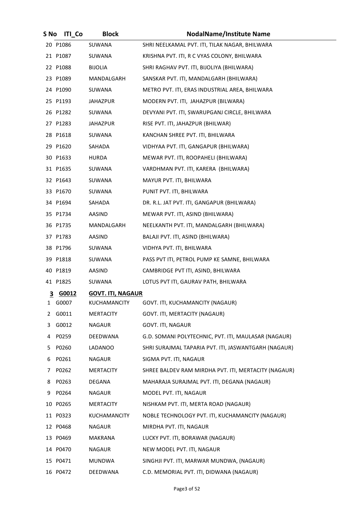| S No           | <b>ITI Co</b> | <b>Block</b>             | <b>NodalName/Institute Name</b>                      |
|----------------|---------------|--------------------------|------------------------------------------------------|
|                | 20 P1086      | SUWANA                   | SHRI NEELKAMAL PVT. ITI, TILAK NAGAR, BHILWARA       |
|                | 21 P1087      | SUWANA                   | KRISHNA PVT. ITI, R C VYAS COLONY, BHILWARA          |
|                | 22 P1088      | <b>BIJOLIA</b>           | SHRI RAGHAV PVT. ITI, BIJOLIYA (BHILWARA)            |
|                | 23 P1089      | MANDALGARH               | SANSKAR PVT. ITI, MANDALGARH (BHILWARA)              |
|                | 24 P1090      | SUWANA                   | METRO PVT. ITI, ERAS INDUSTRIAL AREA, BHILWARA       |
|                | 25 P1193      | JAHAZPUR                 | MODERN PVT. ITI, JAHAZPUR (BILWARA)                  |
|                | 26 P1282      | SUWANA                   | DEVYANI PVT. ITI, SWARUPGANJ CIRCLE, BHILWARA        |
|                | 27 P1283      | JAHAZPUR                 | RISE PVT. ITI, JAHAZPUR (BHILWAR)                    |
|                | 28 P1618      | SUWANA                   | KANCHAN SHREE PVT. ITI, BHILWARA                     |
|                | 29 P1620      | SAHADA                   | VIDHYAA PVT. ITI, GANGAPUR (BHILWARA)                |
|                | 30 P1633      | HURDA                    | MEWAR PVT. ITI, ROOPAHELI (BHILWARA)                 |
|                | 31 P1635      | SUWANA                   | VARDHMAN PVT. ITI, KARERA (BHILWARA)                 |
|                | 32 P1643      | SUWANA                   | MAYUR PVT. ITI, BHILWARA                             |
|                | 33 P1670      | SUWANA                   | PUNIT PVT. ITI, BHILWARA                             |
|                | 34 P1694      | SAHADA                   | DR. R.L. JAT PVT. ITI, GANGAPUR (BHILWARA)           |
|                | 35 P1734      | AASIND                   | MEWAR PVT. ITI, ASIND (BHILWARA)                     |
|                | 36 P1735      | MANDALGARH               | NEELKANTH PVT. ITI, MANDALGARH (BHILWARA)            |
|                | 37 P1783      | AASIND                   | BALAJI PVT. ITI, ASIND (BHILWARA)                    |
|                | 38 P1796      | SUWANA                   | VIDHYA PVT. ITI, BHILWARA                            |
|                | 39 P1818      | SUWANA                   | PASS PVT ITI, PETROL PUMP KE SAMNE, BHILWARA         |
|                | 40 P1819      | AASIND                   | CAMBRIDGE PVT ITI, ASIND, BHILWARA                   |
|                | 41 P1825      | SUWANA                   | LOTUS PVT ITI, GAURAV PATH, BHILWARA                 |
| $\overline{3}$ | G0012         | <b>GOVT. ITI, NAGAUR</b> |                                                      |
| 1              | G0007         | KUCHAMANCITY             | GOVT. ITI, KUCHAMANCITY (NAGAUR)                     |
| 2              | G0011         | MERTACITY                | GOVT. ITI, MERTACITY (NAGAUR)                        |
| 3              | G0012         | <b>NAGAUR</b>            | GOVT. ITI, NAGAUR                                    |
| 4              | P0259         | DEEDWANA                 | G.D. SOMANI POLYTECHNIC, PVT. ITI, MAULASAR (NAGAUR) |
| 5              | P0260         | <b>LADANOO</b>           | SHRI SURAJMAL TAPARIA PVT. ITI, JASWANTGARH (NAGAUR) |
| 6              | P0261         | NAGAUR                   | SIGMA PVT. ITI, NAGAUR                               |
| 7              | P0262         | MERTACITY                | SHREE BALDEV RAM MIRDHA PVT. ITI, MERTACITY (NAGAUR) |
| 8              | P0263         | DEGANA                   | MAHARAJA SURAJMAL PVT. ITI, DEGANA (NAGAUR)          |
| 9              | P0264         | NAGAUR                   | MODEL PVT. ITI, NAGAUR                               |
|                | 10 P0265      | <b>MERTACITY</b>         | NISHKAM PVT. ITI, MERTA ROAD (NAGAUR)                |
|                | 11 P0323      | <b>KUCHAMANCITY</b>      | NOBLE TECHNOLOGY PVT. ITI, KUCHAMANCITY (NAGAUR)     |
|                | 12 P0468      | NAGAUR                   | MIRDHA PVT. ITI, NAGAUR                              |
|                | 13 P0469      | MAKRANA                  | LUCKY PVT. ITI, BORAWAR (NAGAUR)                     |
|                | 14 P0470      | NAGAUR                   | NEW MODEL PVT. ITI, NAGAUR                           |
|                | 15 P0471      | <b>MUNDWA</b>            | SINGHJI PVT. ITI, MARWAR MUNDWA, (NAGAUR)            |
|                | 16 P0472      | DEEDWANA                 | C.D. MEMORIAL PVT. ITI, DIDWANA (NAGAUR)             |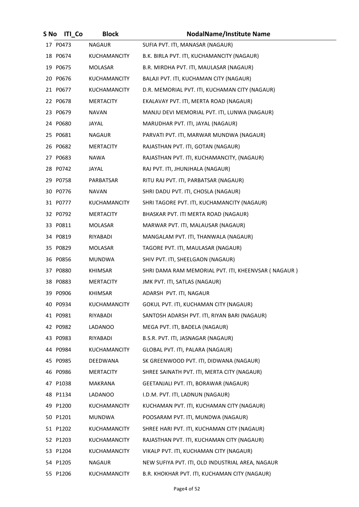| S No | <b>ITI Co</b> | <b>Block</b>        | <b>NodalName/Institute Name</b>                     |
|------|---------------|---------------------|-----------------------------------------------------|
|      | 17 P0473      | <b>NAGAUR</b>       | SUFIA PVT. ITI, MANASAR (NAGAUR)                    |
|      | 18 P0674      | <b>KUCHAMANCITY</b> | B.K. BIRLA PVT. ITI, KUCHAMANCITY (NAGAUR)          |
|      | 19 P0675      | MOLASAR             | B.R. MIRDHA PVT. ITI, MAULASAR (NAGAUR)             |
|      | 20 P0676      | KUCHAMANCITY        | BALAJI PVT. ITI, KUCHAMAN CITY (NAGAUR)             |
|      | 21 P0677      | KUCHAMANCITY        | D.R. MEMORIAL PVT. ITI, KUCHAMAN CITY (NAGAUR)      |
|      | 22 P0678      | <b>MERTACITY</b>    | EKALAVAY PVT. ITI, MERTA ROAD (NAGAUR)              |
|      | 23 P0679      | <b>NAVAN</b>        | MANJU DEVI MEMORIAL PVT. ITI, LUNWA (NAGAUR)        |
|      | 24 P0680      | JAYAL               | MARUDHAR PVT. ITI, JAYAL (NAGAUR)                   |
|      | 25 P0681      | NAGAUR              | PARVATI PVT. ITI, MARWAR MUNDWA (NAGAUR)            |
|      | 26 P0682      | MERTACITY           | RAJASTHAN PVT. ITI, GOTAN (NAGAUR)                  |
|      | 27 P0683      | NAWA                | RAJASTHAN PVT. ITI, KUCHAMANCITY, (NAGAUR)          |
|      | 28 P0742      | JAYAL               | RAJ PVT. ITI, JHUNJHALA (NAGAUR)                    |
|      | 29 P0758      | PARBATSAR           | RITU RAJ PVT. ITI, PARBATSAR (NAGAUR)               |
|      | 30 P0776      | NAVAN               | SHRI DADU PVT. ITI, CHOSLA (NAGAUR)                 |
|      | 31 P0777      | <b>KUCHAMANCITY</b> | SHRI TAGORE PVT. ITI, KUCHAMANCITY (NAGAUR)         |
|      | 32 P0792      | <b>MERTACITY</b>    | BHASKAR PVT. ITI MERTA ROAD (NAGAUR)                |
|      | 33 P0811      | MOLASAR             | MARWAR PVT. ITI, MALAUSAR (NAGAUR)                  |
|      | 34 P0819      | RIYABADI            | MANGALAM PVT. ITI, THANWALA (NAGAUR)                |
|      | 35 P0829      | MOLASAR             | TAGORE PVT. ITI, MAULASAR (NAGAUR)                  |
|      | 36 P0856      | <b>MUNDWA</b>       | SHIV PVT. ITI, SHEELGAON (NAGAUR)                   |
|      | 37 P0880      | KHIMSAR             | SHRI DAMA RAM MEMORIAL PVT. ITI, KHEENVSAR (NAGAUR) |
|      | 38 P0883      | <b>MERTACITY</b>    | JMK PVT. ITI, SATLAS (NAGAUR)                       |
|      | 39 P0906      | <b>KHIMSAR</b>      | ADARSH PVT. ITI, NAGAUR                             |
|      | 40 P0934      | KUCHAMANCITY        | GOKUL PVT. ITI, KUCHAMAN CITY (NAGAUR)              |
|      | 41 P0981      | RIYABADI            | SANTOSH ADARSH PVT. ITI, RIYAN BARI (NAGAUR)        |
|      | 42 P0982      | LADANOO             | MEGA PVT. ITI, BADELA (NAGAUR)                      |
|      | 43 P0983      | RIYABADI            | B.S.R. PVT. ITI, JASNAGAR (NAGAUR)                  |
|      | 44 P0984      | <b>KUCHAMANCITY</b> | GLOBAL PVT. ITI, PALARA (NAGAUR)                    |
|      | 45 P0985      | DEEDWANA            | SK GREENWOOD PVT. ITI, DIDWANA (NAGAUR)             |
|      | 46 P0986      | <b>MERTACITY</b>    | SHREE SAINATH PVT. ITI, MERTA CITY (NAGAUR)         |
|      | 47 P1038      | MAKRANA             | GEETANJALI PVT. ITI, BORAWAR (NAGAUR)               |
|      | 48 P1134      | LADANOO             | I.D.M. PVT. ITI, LADNUN (NAGAUR)                    |
|      | 49 P1200      | KUCHAMANCITY        | KUCHAMAN PVT. ITI, KUCHAMAN CITY (NAGAUR)           |
|      | 50 P1201      | <b>MUNDWA</b>       | POOSARAM PVT. ITI, MUNDWA (NAGAUR)                  |
|      | 51 P1202      | <b>KUCHAMANCITY</b> | SHREE HARI PVT. ITI, KUCHAMAN CITY (NAGAUR)         |
|      | 52 P1203      | KUCHAMANCITY        | RAJASTHAN PVT. ITI, KUCHAMAN CITY (NAGAUR)          |
|      | 53 P1204      | <b>KUCHAMANCITY</b> | VIKALP PVT. ITI, KUCHAMAN CITY (NAGAUR)             |
|      | 54 P1205      | NAGAUR              | NEW SUFIYA PVT. ITI, OLD INDUSTRIAL AREA, NAGAUR    |
|      | 55 P1206      | KUCHAMANCITY        | B.R. KHOKHAR PVT. ITI, KUCHAMAN CITY (NAGAUR)       |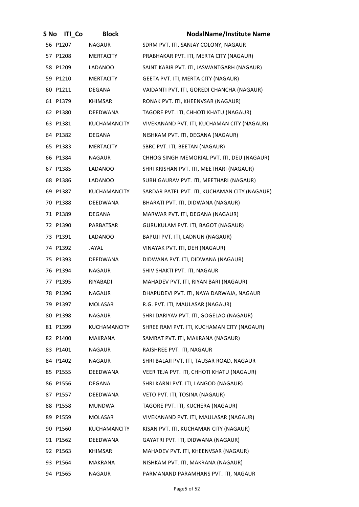| S No | <b>ITI</b> Co | <b>Block</b>        | <b>NodalName/Institute Name</b>               |
|------|---------------|---------------------|-----------------------------------------------|
|      | 56 P1207      | <b>NAGAUR</b>       | SDRM PVT. ITI, SANJAY COLONY, NAGAUR          |
|      | 57 P1208      | MERTACITY           | PRABHAKAR PVT. ITI, MERTA CITY (NAGAUR)       |
|      | 58 P1209      | LADANOO             | SAINT KABIR PVT. ITI, JASWANTGARH (NAGAUR)    |
|      | 59 P1210      | MERTACITY           | GEETA PVT. ITI, MERTA CITY (NAGAUR)           |
|      | 60 P1211      | DEGANA              | VAIDANTI PVT. ITI, GOREDI CHANCHA (NAGAUR)    |
|      | 61 P1379      | KHIMSAR             | RONAK PVT. ITI, KHEENVSAR (NAGAUR)            |
|      | 62 P1380      | DEEDWANA            | TAGORE PVT. ITI, CHHOTI KHATU (NAGAUR)        |
|      | 63 P1381      | <b>KUCHAMANCITY</b> | VIVEKANAND PVT. ITI, KUCHAMAN CITY (NAGAUR)   |
|      | 64 P1382      | DEGANA              | NISHKAM PVT. ITI, DEGANA (NAGAUR)             |
|      | 65 P1383      | MERTACITY           | SBRC PVT. ITI, BEETAN (NAGAUR)                |
|      | 66 P1384      | NAGAUR              | CHHOG SINGH MEMORIAL PVT. ITI, DEU (NAGAUR)   |
|      | 67 P1385      | LADANOO             | SHRI KRISHAN PVT. ITI, MEETHARI (NAGAUR)      |
|      | 68 P1386      | LADANOO             | SUBH GAURAV PVT. ITI, MEETHARI (NAGAUR)       |
|      | 69 P1387      | KUCHAMANCITY        | SARDAR PATEL PVT. ITI, KUCHAMAN CITY (NAGAUR) |
|      | 70 P1388      | DEEDWANA            | BHARATI PVT. ITI, DIDWANA (NAGAUR)            |
|      | 71 P1389      | DEGANA              | MARWAR PVT. ITI, DEGANA (NAGAUR)              |
|      | 72 P1390      | PARBATSAR           | GURUKULAM PVT. ITI, BAGOT (NAGAUR)            |
|      | 73 P1391      | LADANOO             | BAPUJI PVT. ITI, LADNUN (NAGAUR)              |
|      | 74 P1392      | JAYAL               | VINAYAK PVT. ITI, DEH (NAGAUR)                |
|      | 75 P1393      | DEEDWANA            | DIDWANA PVT. ITI, DIDWANA (NAGAUR)            |
|      | 76 P1394      | NAGAUR              | SHIV SHAKTI PVT. ITI, NAGAUR                  |
|      | 77 P1395      | RIYABADI            | MAHADEV PVT. ITI, RIYAN BARI (NAGAUR)         |
|      | 78 P1396      | <b>NAGAUR</b>       | DHAPUDEVI PVT. ITI, NAYA DARWAJA, NAGAUR      |
|      | 79 P1397      | <b>MOLASAR</b>      | R.G. PVT. ITI, MAULASAR (NAGAUR)              |
|      | 80 P1398      | NAGAUR              | SHRI DARIYAV PVT. ITI, GOGELAO (NAGAUR)       |
|      | 81 P1399      | <b>KUCHAMANCITY</b> | SHREE RAM PVT. ITI, KUCHAMAN CITY (NAGAUR)    |
|      | 82 P1400      | MAKRANA             | SAMRAT PVT. ITI, MAKRANA (NAGAUR)             |
|      | 83 P1401      | NAGAUR              | RAJSHREE PVT. ITI, NAGAUR                     |
|      | 84 P1402      | NAGAUR              | SHRI BALAJI PVT. ITI, TAUSAR ROAD, NAGAUR     |
|      | 85 P1555      | DEEDWANA            | VEER TEJA PVT. ITI, CHHOTI KHATU (NAGAUR)     |
|      | 86 P1556      | DEGANA              | SHRI KARNI PVT. ITI, LANGOD (NAGAUR)          |
|      | 87 P1557      | DEEDWANA            | VETO PVT. ITI, TOSINA (NAGAUR)                |
|      | 88 P1558      | MUNDWA              | TAGORE PVT. ITI, KUCHERA (NAGAUR)             |
|      | 89 P1559      | MOLASAR             | VIVEKANAND PVT. ITI, MAULASAR (NAGAUR)        |
|      | 90 P1560      | KUCHAMANCITY        | KISAN PVT. ITI, KUCHAMAN CITY (NAGAUR)        |
|      | 91 P1562      | DEEDWANA            | GAYATRI PVT. ITI, DIDWANA (NAGAUR)            |
|      | 92 P1563      | <b>KHIMSAR</b>      | MAHADEV PVT. ITI, KHEENVSAR (NAGAUR)          |
|      | 93 P1564      | <b>MAKRANA</b>      | NISHKAM PVT. ITI, MAKRANA (NAGAUR)            |
|      | 94 P1565      | NAGAUR              | PARMANAND PARAMHANS PVT. ITI, NAGAUR          |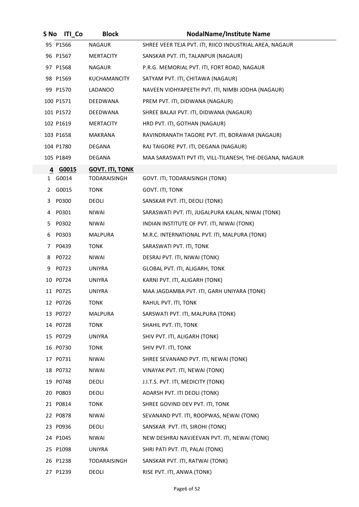| S No | <b>ITI Co</b> | <b>Block</b>           | <b>NodalName/Institute Name</b>                          |
|------|---------------|------------------------|----------------------------------------------------------|
|      | 95 P1566      | <b>NAGAUR</b>          | SHREE VEER TEJA PVT. ITI, RIICO INDUSTRIAL AREA, NAGAUR  |
|      | 96 P1567      | MERTACITY              | SANSKAR PVT. ITI, TALANPUR (NAGAUR)                      |
|      | 97 P1568      | <b>NAGAUR</b>          | P.R.G. MEMORIAL PVT. ITI, FORT ROAD, NAGAUR              |
|      | 98 P1569      | KUCHAMANCITY           | SATYAM PVT. ITI, CHITAWA (NAGAUR)                        |
|      | 99 P1570      | LADANOO                | NAVEEN VIDHYAPEETH PVT. ITI, NIMBI JODHA (NAGAUR)        |
|      | 100 P1571     | DEEDWANA               | PREM PVT. ITI, DIDWANA (NAGAUR)                          |
|      | 101 P1572     | DEEDWANA               | SHREE BALAJI PVT. ITI, DIDWANA (NAGAUR)                  |
|      | 102 P1619     | MERTACITY              | HRD PVT. ITI, GOTHAN (NAGAUR)                            |
|      | 103 P1658     | MAKRANA                | RAVINDRANATH TAGORE PVT. ITI, BORAWAR (NAGAUR)           |
|      | 104 P1780     | DEGANA                 | RAJ TAIGORE PVT. ITI, DEGANA (NAGAUR)                    |
|      | 105 P1849     | DEGANA                 | MAA SARASWATI PVT ITI, VILL-TILANESH, THE-DEGANA, NAGAUR |
| 4    | G0015         | <b>GOVT. ITI, TONK</b> |                                                          |
|      | 1 G0014       | TODARAISINGH           | GOVT. ITI, TODARAISINGH (TONK)                           |
| 2    | G0015         | <b>TONK</b>            | GOVT. ITI, TONK                                          |
|      | 3 P0300       | DEOLI                  | SANSKAR PVT. ITI, DEOLI (TONK)                           |
| 4    | P0301         | NIWAI                  | SARASWATI PVT. ITI, JUGALPURA KALAN, NIWAI (TONK)        |
| 5.   | P0302         | NIWAI                  | INDIAN INSTITUTE OF PVT. ITI, NIWAI (TONK)               |
| 6    | P0303         | MALPURA                | M.R.C. INTERNATIONAL PVT. ITI, MALPURA (TONK)            |
| 7    | P0439         | <b>TONK</b>            | SARASWATI PVT. ITI, TONK                                 |
| 8    | P0722         | NIWAI                  | DESRAJ PVT. ITI, NIWAI (TONK)                            |
| 9    | P0723         | <b>UNIYRA</b>          | GLOBAL PVT. ITI, ALIGARH, TONK                           |
|      | 10 P0724      | <b>UNIYRA</b>          | KARNI PVT. ITI, ALIGARH (TONK)                           |
|      | 11 P0725      | <b>UNIYRA</b>          | MAA JAGDAMBA PVT. ITI, GARH UNIYARA (TONK)               |
|      | 12 P0726      | <b>TONK</b>            | RAHUL PVT. ITI, TONK                                     |
|      | 13 P0727      | MALPURA                | SARSWATI PVT. ITI, MALPURA (TONK)                        |
|      | 14 P0728      | <b>TONK</b>            | SHAHIL PVT. ITI, TONK                                    |
|      | 15 P0729      | <b>UNIYRA</b>          | SHIV PVT. ITI, ALIGARH (TONK)                            |
|      | 16 P0730      | <b>TONK</b>            | SHIV PVT. ITI, TONK                                      |
|      | 17 P0731      | <b>NIWAI</b>           | SHREE SEVANAND PVT. ITI, NEWAI (TONK)                    |
|      | 18 P0732      | NIWAI                  | VINAYAK PVT. ITI, NEWAI (TONK)                           |
|      | 19 P0748      | DEOLI                  | J.I.T.S. PVT. ITI, MEDICITY (TONK)                       |
|      | 20 P0803      | DEOLI                  | ADARSH PVT. ITI DEOLI (TONK)                             |
|      | 21 P0814      | <b>TONK</b>            | SHREE GOVIND DEV PVT. ITI, TONK                          |
|      | 22 P0878      | <b>NIWAI</b>           | SEVANAND PVT. ITI, ROOPWAS, NEWAI (TONK)                 |
|      | 23 P0936      | DEOLI                  | SANSKAR PVT. ITI, SIROHI (TONK)                          |
|      | 24 P1045      | <b>NIWAI</b>           | NEW DESHRAJ NAVJEEVAN PVT. ITI, NEWAI (TONK)             |
|      | 25 P1098      | <b>UNIYRA</b>          | SHRI PATI PVT. ITI, PALAI (TONK)                         |
|      | 26 P1238      | <b>TODARAISINGH</b>    | SANSKAR PVT. ITI, RATWAI (TONK)                          |
|      | 27 P1239      | DEOLI                  | RISE PVT. ITI, ANWA (TONK)                               |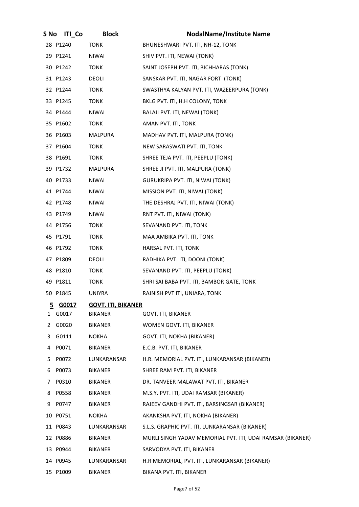| S No         | <b>ITI</b> Co | <b>Block</b>              | <b>NodalName/Institute Name</b>                            |
|--------------|---------------|---------------------------|------------------------------------------------------------|
|              | 28 P1240      | <b>TONK</b>               | BHUNESHWARI PVT. ITI, NH-12, TONK                          |
|              | 29 P1241      | NIWAI                     | SHIV PVT. ITI, NEWAI (TONK)                                |
|              | 30 P1242      | <b>TONK</b>               | SAINT JOSEPH PVT. ITI, BICHHARAS (TONK)                    |
|              | 31 P1243      | DEOLI                     | SANSKAR PVT. ITI, NAGAR FORT (TONK)                        |
|              | 32 P1244      | <b>TONK</b>               | SWASTHYA KALYAN PVT. ITI, WAZEERPURA (TONK)                |
|              | 33 P1245      | <b>TONK</b>               | BKLG PVT. ITI, H.H COLONY, TONK                            |
|              | 34 P1444      | <b>NIWAI</b>              | BALAJI PVT. ITI, NEWAI (TONK)                              |
|              | 35 P1602      | <b>TONK</b>               | AMAN PVT. ITI, TONK                                        |
|              | 36 P1603      | MALPURA                   | MADHAV PVT. ITI, MALPURA (TONK)                            |
|              | 37 P1604      | <b>TONK</b>               | NEW SARASWATI PVT. ITI, TONK                               |
|              | 38 P1691      | <b>TONK</b>               | SHREE TEJA PVT. ITI, PEEPLU (TONK)                         |
|              | 39 P1732      | MALPURA                   | SHREE JI PVT. ITI, MALPURA (TONK)                          |
|              | 40 P1733      | <b>NIWAI</b>              | <b>GURUKRIPA PVT. ITI, NIWAI (TONK)</b>                    |
|              | 41 P1744      | NIWAI                     | MISSION PVT. ITI, NIWAI (TONK)                             |
|              | 42 P1748      | <b>NIWAI</b>              | THE DESHRAJ PVT. ITI, NIWAI (TONK)                         |
|              | 43 P1749      | NIWAI                     | RNT PVT. ITI, NIWAI (TONK)                                 |
|              | 44 P1756      | TONK                      | SEVANAND PVT. ITI, TONK                                    |
|              | 45 P1791      | <b>TONK</b>               | MAA AMBIKA PVT. ITI, TONK                                  |
|              | 46 P1792      | <b>TONK</b>               | HARSAL PVT. ITI, TONK                                      |
|              | 47 P1809      | DEOLI                     | RADHIKA PVT. ITI, DOONI (TONK)                             |
|              | 48 P1810      | <b>TONK</b>               | SEVANAND PVT. ITI, PEEPLU (TONK)                           |
|              | 49 P1811      | <b>TONK</b>               | SHRI SAI BABA PVT. ITI, BAMBOR GATE, TONK                  |
|              | 50 P1845      | <b>UNIYRA</b>             | RAJNISH PVT ITI, UNIARA, TONK                              |
| 5            | G0017         | <b>GOVT. ITI, BIKANER</b> |                                                            |
| $\mathbf{1}$ | G0017         | <b>BIKANER</b>            | GOVT. ITI, BIKANER                                         |
| 2            | G0020         | BIKANER                   | WOMEN GOVT. ITI, BIKANER                                   |
| 3            | G0111         | <b>NOKHA</b>              | GOVT. ITI, NOKHA (BIKANER)                                 |
| 4            | P0071         | <b>BIKANER</b>            | E.C.B. PVT. ITI, BIKANER                                   |
| 5            | P0072         | LUNKARANSAR               | H.R. MEMORIAL PVT. ITI, LUNKARANSAR (BIKANER)              |
| 6            | P0073         | <b>BIKANER</b>            | SHREE RAM PVT. ITI, BIKANER                                |
| 7            | P0310         | BIKANER                   | DR. TANVEER MALAWAT PVT. ITI, BIKANER                      |
| 8            | P0558         | <b>BIKANER</b>            | M.S.Y. PVT. ITI, UDAI RAMSAR (BIKANER)                     |
| 9            | P0747         | <b>BIKANER</b>            | RAJEEV GANDHI PVT. ITI, BARSINGSAR (BIKANER)               |
|              | 10 P0751      | <b>NOKHA</b>              | AKANKSHA PVT. ITI, NOKHA (BIKANER)                         |
|              | 11 P0843      | LUNKARANSAR               | S.L.S. GRAPHIC PVT. ITI, LUNKARANSAR (BIKANER)             |
|              | 12 P0886      | <b>BIKANER</b>            | MURLI SINGH YADAV MEMORIAL PVT. ITI, UDAI RAMSAR (BIKANER) |
|              | 13 P0944      | BIKANER                   | SARVODYA PVT. ITI, BIKANER                                 |
|              | 14 P0945      | LUNKARANSAR               | H.R MEMORIAL, PVT. ITI, LUNKARANSAR (BIKANER)              |
|              | 15 P1009      | <b>BIKANER</b>            | BIKANA PVT. ITI, BIKANER                                   |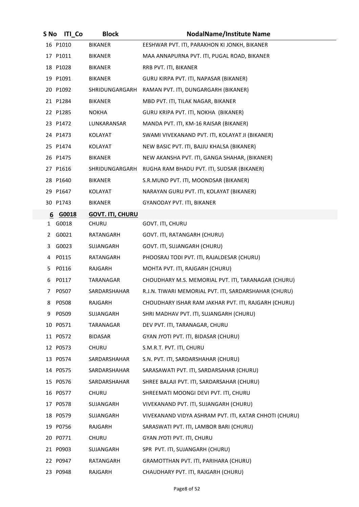| S No      | <b>ITI_Co</b> | <b>Block</b>            | <b>NodalName/Institute Name</b>                        |
|-----------|---------------|-------------------------|--------------------------------------------------------|
|           | 16 P1010      | <b>BIKANER</b>          | EESHWAR PVT. ITI, PARAKHON KI JONKH, BIKANER           |
|           | 17 P1011      | <b>BIKANER</b>          | MAA ANNAPURNA PVT. ITI, PUGAL ROAD, BIKANER            |
|           | 18 P1028      | <b>BIKANER</b>          | RRB PVT. ITI, BIKANER                                  |
|           | 19 P1091      | <b>BIKANER</b>          | GURU KIRPA PVT. ITI, NAPASAR (BIKANER)                 |
|           | 20 P1092      | SHRIDUNGARGARH          | RAMAN PVT. ITI, DUNGARGARH (BIKANER)                   |
|           | 21 P1284      | <b>BIKANER</b>          | MBD PVT. ITI, TILAK NAGAR, BIKANER                     |
|           | 22 P1285      | <b>NOKHA</b>            | GURU KRIPA PVT. ITI, NOKHA (BIKANER)                   |
|           | 23 P1472      | LUNKARANSAR             | MANDA PVT. ITI, KM-16 RAISAR (BIKANER)                 |
|           | 24 P1473      | KOLAYAT                 | SWAMI VIVEKANAND PVT. ITI, KOLAYAT JI (BIKANER)        |
|           | 25 P1474      | KOLAYAT                 | NEW BASIC PVT. ITI, BAJJU KHALSA (BIKANER)             |
|           | 26 P1475      | BIKANER                 | NEW AKANSHA PVT. ITI, GANGA SHAHAR, (BIKANER)          |
|           | 27 P1616      | SHRIDUNGARGARH          | RUGHA RAM BHADU PVT. ITI, SUDSAR (BIKANER)             |
|           | 28 P1640      | <b>BIKANER</b>          | S.R.MUND PVT. ITI, MOONDSAR (BIKANER)                  |
|           | 29 P1647      | KOLAYAT                 | NARAYAN GURU PVT. ITI, KOLAYAT (BIKANER)               |
|           | 30 P1743      | <b>BIKANER</b>          | GYANODAY PVT. ITI, BIKANER                             |
| 6         | G0018         | <b>GOVT. ITI, CHURU</b> |                                                        |
| $1 \quad$ | G0018         | CHURU                   | GOVT. ITI, CHURU                                       |
|           | 2 G0021       | RATANGARH               | GOVT. ITI, RATANGARH (CHURU)                           |
| 3.        | G0023         | SUJANGARH               | GOVT. ITI, SUJANGARH (CHURU)                           |
| 4         | P0115         | RATANGARH               | PHOOSRAJ TODI PVT. ITI, RAJALDESAR (CHURU)             |
| 5.        | P0116         | RAJGARH                 | MOHTA PVT. ITI, RAJGARH (CHURU)                        |
| 6         | P0117         | TARANAGAR               | CHOUDHARY M.S. MEMORIAL PVT. ITI, TARANAGAR (CHURU)    |
| 7         | P0507         | SARDARSHAHAR            | R.J.N. TIWARI MEMORIAL PVT. ITI, SARDARSHAHAR (CHURU)  |
| 8         | P0508         | RAJGARH                 | CHOUDHARY ISHAR RAM JAKHAR PVT. ITI, RAJGARH (CHURU)   |
| 9         | P0509         | SUJANGARH               | SHRI MADHAV PVT. ITI, SUJANGARH (CHURU)                |
|           | 10 P0571      | TARANAGAR               | DEV PVT. ITI, TARANAGAR, CHURU                         |
|           | 11 P0572      | <b>BIDASAR</b>          | GYAN JYOTI PVT. ITI, BIDASAR (CHURU)                   |
|           | 12 P0573      | CHURU                   | S.M.R.T. PVT. ITI, CHURU                               |
|           | 13 P0574      | SARDARSHAHAR            | S.N. PVT. ITI, SARDARSHAHAR (CHURU)                    |
|           | 14 P0575      | SARDARSHAHAR            | SARASAWATI PVT. ITI, SARDARSAHAR (CHURU)               |
|           | 15 P0576      | SARDARSHAHAR            | SHREE BALAJI PVT. ITI, SARDARSAHAR (CHURU)             |
|           | 16 P0577      | CHURU                   | SHREEMATI MOONGI DEVI PVT. ITI, CHURU                  |
|           | 17 P0578      | SUJANGARH               | VIVEKANAND PVT. ITI, SUJANGARH (CHURU)                 |
|           | 18 P0579      | SUJANGARH               | VIVEKANAND VIDYA ASHRAM PVT. ITI, KATAR CHHOTI (CHURU) |
|           | 19 P0756      | RAJGARH                 | SARASWATI PVT. ITI, LAMBOR BARI (CHURU)                |
|           | 20 P0771      | CHURU                   | GYAN JYOTI PVT. ITI, CHURU                             |
|           | 21 P0903      | SUJANGARH               | SPR PVT. ITI, SUJANGARH (CHURU)                        |
|           | 22 P0947      | RATANGARH               | GRAMOTTHAN PVT. ITI, PARIHARA (CHURU)                  |
|           | 23 P0948      | RAJGARH                 | CHAUDHARY PVT. ITI, RAJGARH (CHURU)                    |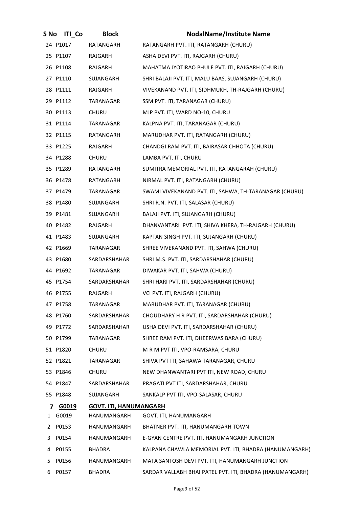| S No | <b>ITI Co</b> | <b>Block</b>                  | <b>NodalName/Institute Name</b>                          |
|------|---------------|-------------------------------|----------------------------------------------------------|
|      | 24 P1017      | RATANGARH                     | RATANGARH PVT. ITI, RATANGARH (CHURU)                    |
|      | 25 P1107      | RAJGARH                       | ASHA DEVI PVT. ITI, RAJGARH (CHURU)                      |
|      | 26 P1108      | RAJGARH                       | MAHATMA JYOTIRAO PHULE PVT. ITI, RAJGARH (CHURU)         |
|      | 27 P1110      | SUJANGARH                     | SHRI BALAJI PVT. ITI, MALU BAAS, SUJANGARH (CHURU)       |
|      | 28 P1111      | RAJGARH                       | VIVEKANAND PVT. ITI, SIDHMUKH, TH-RAJGARH (CHURU)        |
|      | 29 P1112      | TARANAGAR                     | SSM PVT. ITI, TARANAGAR (CHURU)                          |
|      | 30 P1113      | <b>CHURU</b>                  | MJP PVT. ITI, WARD NO-10, CHURU                          |
|      | 31 P1114      | TARANAGAR                     | KALPNA PVT. ITI, TARANAGAR (CHURU)                       |
|      | 32 P1115      | RATANGARH                     | MARUDHAR PVT. ITI, RATANGARH (CHURU)                     |
|      | 33 P1225      | RAJGARH                       | CHANDGI RAM PVT. ITI, BAIRASAR CHHOTA (CHURU)            |
|      | 34 P1288      | <b>CHURU</b>                  | LAMBA PVT. ITI, CHURU                                    |
|      | 35 P1289      | RATANGARH                     | SUMITRA MEMORIAL PVT. ITI, RATANGARAH (CHURU)            |
|      | 36 P1478      | RATANGARH                     | NIRMAL PVT. ITI, RATANGARH (CHURU)                       |
|      | 37 P1479      | TARANAGAR                     | SWAMI VIVEKANAND PVT. ITI, SAHWA, TH-TARANAGAR (CHURU)   |
|      | 38 P1480      | SUJANGARH                     | SHRI R.N. PVT. ITI, SALASAR (CHURU)                      |
|      | 39 P1481      | SUJANGARH                     | BALAJI PVT. ITI, SUJANGARH (CHURU)                       |
|      | 40 P1482      | RAJGARH                       | DHANVANTARI PVT. ITI, SHIVA KHERA, TH-RAJGARH (CHURU)    |
|      | 41 P1483      | SUJANGARH                     | KAPTAN SINGH PVT. ITI, SUJANGARH (CHURU)                 |
|      | 42 P1669      | TARANAGAR                     | SHREE VIVEKANAND PVT. ITI, SAHWA (CHURU)                 |
|      | 43 P1680      | SARDARSHAHAR                  | SHRI M.S. PVT. ITI, SARDARSHAHAR (CHURU)                 |
|      | 44 P1692      | TARANAGAR                     | DIWAKAR PVT. ITI, SAHWA (CHURU)                          |
|      | 45 P1754      | SARDARSHAHAR                  | SHRI HARI PVT. ITI, SARDARSHAHAR (CHURU)                 |
|      | 46 P1755      | RAJGARH                       | VCI PVT. ITI, RAJGARH (CHURU)                            |
|      | 47 P1758      | TARANAGAR                     | MARUDHAR PVT. ITI, TARANAGAR (CHURU)                     |
|      | 48 P1760      | SARDARSHAHAR                  | CHOUDHARY H R PVT. ITI, SARDARSHAHAR (CHURU)             |
|      | 49 P1772      | SARDARSHAHAR                  | USHA DEVI PVT. ITI, SARDARSHAHAR (CHURU)                 |
|      | 50 P1799      | TARANAGAR                     | SHREE RAM PVT. ITI, DHEERWAS BARA (CHURU)                |
|      | 51 P1820      | CHURU                         | M R M PVT ITI, VPO-RAMSARA, CHURU                        |
|      | 52 P1821      | TARANAGAR                     | SHIVA PVT ITI, SAHAWA TARANAGAR, CHURU                   |
|      | 53 P1846      | CHURU                         | NEW DHANWANTARI PVT ITI, NEW ROAD, CHURU                 |
|      | 54 P1847      | SARDARSHAHAR                  | PRAGATI PVT ITI, SARDARSHAHAR, CHURU                     |
|      | 55 P1848      | SUJANGARH                     | SANKALP PVT ITI, VPO-SALASAR, CHURU                      |
|      | 7 G0019       | <b>GOVT. ITI, HANUMANGARH</b> |                                                          |
|      | 1 G0019       | HANUMANGARH                   | GOVT. ITI, HANUMANGARH                                   |
| 2    | P0153         | HANUMANGARH                   | BHATNER PVT. ITI, HANUMANGARH TOWN                       |
| 3    | P0154         | HANUMANGARH                   | E-GYAN CENTRE PVT. ITI, HANUMANGARH JUNCTION             |
| 4    | P0155         | BHADRA                        | KALPANA CHAWLA MEMORIAL PVT. ITI, BHADRA (HANUMANGARH)   |
| 5    | P0156         | HANUMANGARH                   | MATA SANTOSH DEVI PVT. ITI, HANUMANGARH JUNCTION         |
| 6    | P0157         | BHADRA                        | SARDAR VALLABH BHAI PATEL PVT. ITI, BHADRA (HANUMANGARH) |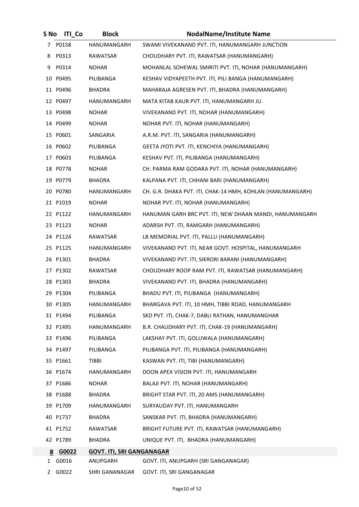| S No | <b>ITI</b> Co | <b>Block</b>                     | <b>NodalName/Institute Name</b>                            |
|------|---------------|----------------------------------|------------------------------------------------------------|
| 7    | P0158         | HANUMANGARH                      | SWAMI VIVEKANAND PVT. ITI, HANUMANGARH JUNCTION            |
| 8    | P0313         | RAWATSAR                         | CHOUDHARY PVT. ITI, RAWATSAR (HANUMANGARH)                 |
| 9    | P0314         | <b>NOHAR</b>                     | MOHANLAL SOHEWAL SMIRITI PVT. ITI, NOHAR (HANUMANGARH)     |
|      | 10 P0495      | PILIBANGA                        | KESHAV VIDYAPEETH PVT. ITI, PILI BANGA (HANUMANGARH)       |
|      | 11 P0496      | <b>BHADRA</b>                    | MAHARAJA AGRESEN PVT. ITI, BHADRA (HANUMANGARH)            |
|      | 12 P0497      | HANUMANGARH                      | MATA KITAB KAUR PVT. ITI, HANUMANGARH JU.                  |
|      | 13 P0498      | <b>NOHAR</b>                     | VIVEKANAND PVT. ITI, NOHAR (HANUMANGARH)                   |
|      | 14 P0499      | <b>NOHAR</b>                     | NOHAR PVT. ITI, NOHAR (HANUMANGARH)                        |
|      | 15 P0601      | SANGARIA                         | A.R.M. PVT. ITI, SANGARIA (HANUMANGARH)                    |
|      | 16 P0602      | PILIBANGA                        | GEETA JYOTI PVT. ITI, KENCHIYA (HANUMANGARH)               |
|      | 17 P0603      | PILIBANGA                        | KESHAV PVT. ITI, PILIBANGA (HANUMANGARH)                   |
|      | 18 P0778      | <b>NOHAR</b>                     | CH. PARMA RAM GODARA PVT. ITI, NOHAR (HANUMANGARH)         |
|      | 19 P0779      | BHADRA                           | KALPANA PVT. ITI, CHHANI BARI (HANUMANGARH)                |
|      | 20 P0780      | HANUMANGARH                      | CH. G.R. DHAKA PVT. ITI, CHAK-14 HMH, KOHLAN (HANUMANGARH) |
|      | 21 P1019      | <b>NOHAR</b>                     | NOHAR PVT. ITI, NOHAR (HANUMANGARH)                        |
|      | 22 P1122      | HANUMANGARH                      | HANUMAN GARH BRC PVT. ITI, NEW DHAAN MANDI, HANUMANGARH    |
|      | 23 P1123      | <b>NOHAR</b>                     | ADARSH PVT. ITI, RAMGARH (HANUMANGARH)                     |
|      | 24 P1124      | RAWATSAR                         | LB MEMORIAL PVT. ITI, PALLU (HANUMANGARH)                  |
|      | 25 P1125      | HANUMANGARH                      | VIVEKANAND PVT. ITI, NEAR GOVT. HOSPITAL, HANUMANGARH      |
|      | 26 P1301      | BHADRA                           | VIVEKANAND PVT. ITI, SIKRORI BARANI (HANUMANGARH)          |
|      | 27 P1302      | RAWATSAR                         | CHOUDHARY ROOP RAM PVT. ITI, RAWATSAR (HANUMANGARH)        |
|      | 28 P1303      | BHADRA                           | VIVEKANAND PVT. ITI, BHADRA (HANUMANGARH)                  |
|      | 29 P1304      | PILIBANGA                        | BHADU PVT. ITI, PILIBANGA (HANUMANGARH)                    |
|      | 30 P1305      | HANUMANGARH                      | BHARGAVA PVT. ITI, 10 HMH, TIBBI ROAD, HANUMANGARH         |
|      | 31 P1494      | PILIBANGA                        | SKD PVT. ITI, CHAK-7, DABLI RATHAN, HANUMANGHAR            |
|      | 32 P1495      | HANUMANGARH                      | B.R. CHAUDHARY PVT. ITI, CHAK-19 (HANUMANGARH)             |
|      | 33 P1496      | PILIBANGA                        | LAKSHAY PVT. ITI, GOLUWALA (HANUMANGARH)                   |
|      | 34 P1497      | PILIBANGA                        | PILIBANGA PVT. ITI, PILIBANGA (HANUMANGARH)                |
|      | 35 P1661      | <b>TIBBI</b>                     | KASWAN PVT. ITI, TIBI (HANUMANGARH)                        |
|      | 36 P1674      | HANUMANGARH                      | DOON APEX VISION PVT. ITI, HANUMANGARH                     |
|      | 37 P1686      | <b>NOHAR</b>                     | BALAJI PVT. ITI, NOHAR (HANUMANGARH)                       |
|      | 38 P1688      | BHADRA                           | BRIGHT STAR PVT. ITI, 20 AMS (HANUMANGARH)                 |
|      | 39 P1709      | HANUMANGARH                      | SURYAUDAY PVT. ITI, HANUMANGARH                            |
|      | 40 P1737      | BHADRA                           | SANSKAR PVT. ITI, BHADRA (HANUMANGARH)                     |
|      | 41 P1752      | RAWATSAR                         | BRIGHT FUTURE PVT. ITI, RAWATSAR (HANUMANGARH)             |
|      | 42 P1789      | <b>BHADRA</b>                    | UNIQUE PVT. ITI, BHADRA (HANUMANGARH)                      |
|      | 8 G0022       | <b>GOVT. ITI, SRI GANGANAGAR</b> |                                                            |
| 1    | G0016         | ANUPGARH                         | GOVT. ITI, ANUPGARH (SRI GANGANAGAR)                       |
|      | 2 G0022       |                                  | SHRI GANANAGAR GOVT. ITI, SRI GANGANAGAR                   |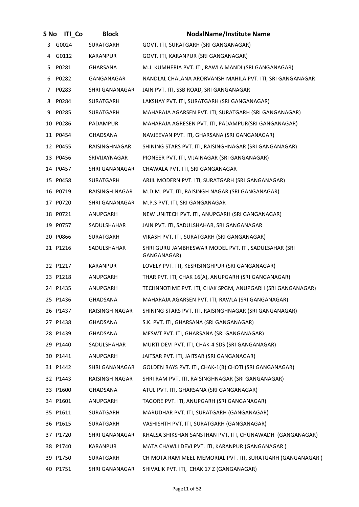| S No | <b>ITI Co</b> | <b>Block</b>          | <b>NodalName/Institute Name</b>                                     |
|------|---------------|-----------------------|---------------------------------------------------------------------|
| 3    | G0024         | SURATGARH             | GOVT. ITI, SURATGARH (SRI GANGANAGAR)                               |
|      | 4 G0112       | KARANPUR              | GOVT. ITI, KARANPUR (SRI GANGANAGAR)                                |
| 5.   | P0281         | <b>GHARSANA</b>       | M.J. KUMHERIA PVT. ITI, RAWLA MANDI (SRI GANGANAGAR)                |
| 6    | P0282         | GANGANAGAR            | NANDLAL CHALANA ARORVANSH MAHILA PVT. ITI, SRI GANGANAGAR           |
| 7    | P0283         | SHRI GANANAGAR        | JAIN PVT. ITI, SSB ROAD, SRI GANGANAGAR                             |
| 8    | P0284         | SURATGARH             | LAKSHAY PVT. ITI, SURATGARH (SRI GANGANAGAR)                        |
| 9    | P0285         | SURATGARH             | MAHARAJA AGARSEN PVT. ITI, SURATGARH (SRI GANGANAGAR)               |
|      | 10 P0286      | PADAMPUR              | MAHARAJA AGRESEN PVT. ITI, PADAMPUR(SRI GANGANAGAR)                 |
|      | 11 P0454      | <b>GHADSANA</b>       | NAVJEEVAN PVT. ITI, GHARSANA (SRI GANGANAGAR)                       |
|      | 12 P0455      | RAISINGHNAGAR         | SHINING STARS PVT. ITI, RAISINGHNAGAR (SRI GANGANAGAR)              |
|      | 13 P0456      | SRIVIJAYNAGAR         | PIONEER PVT. ITI, VIJAINAGAR (SRI GANGANAGAR)                       |
|      | 14 P0457      | SHRI GANANAGAR        | CHAWALA PVT. ITI, SRI GANGANAGAR                                    |
|      | 15 P0458      | SURATGARH             | ARJIL MODERN PVT. ITI, SURATGARH (SRI GANGANAGAR)                   |
|      | 16 P0719      | RAISINGH NAGAR        | M.D.M. PVT. ITI, RAISINGH NAGAR (SRI GANGANAGAR)                    |
|      | 17 P0720      | <b>SHRI GANANAGAR</b> | M.P.S PVT. ITI, SRI GANGANAGAR                                      |
|      | 18 P0721      | ANUPGARH              | NEW UNITECH PVT. ITI, ANUPGARH (SRI GANGANAGAR)                     |
|      | 19 P0757      | SADULSHAHAR           | JAIN PVT. ITI, SADULSHAHAR, SRI GANGANAGAR                          |
|      | 20 P0866      | <b>SURATGARH</b>      | VIKASH PVT. ITI, SURATGARH (SRI GANGANAGAR)                         |
|      | 21 P1216      | SADULSHAHAR           | SHRI GURU JAMBHESWAR MODEL PVT. ITI, SADULSAHAR (SRI<br>GANGANAGAR) |
|      | 22 P1217      | <b>KARANPUR</b>       | LOVELY PVT. ITI, KESRISINGHPUR (SRI GANGANAGAR)                     |
|      | 23 P1218      | ANUPGARH              | THAR PVT. ITI, CHAK 16(A), ANUPGARH (SRI GANGANAGAR)                |
|      | 24 P1435      | ANUPGARH              | TECHNNOTIME PVT. ITI, CHAK SPGM, ANUPGARH (SRI GANGANAGAR)          |
|      | 25 P1436      | GHADSANA              | MAHARAJA AGARSEN PVT. ITI, RAWLA (SRI GANGANAGAR)                   |
|      | 26 P1437      | RAISINGH NAGAR        | SHINING STARS PVT. ITI, RAISINGHNAGAR (SRI GANGANAGAR)              |
|      | 27 P1438      | GHADSANA              | S.K. PVT. ITI, GHARSANA (SRI GANGANAGAR)                            |
|      | 28 P1439      | GHADSANA              | MESWT PVT. ITI, GHARSANA (SRI GANGANAGAR)                           |
|      | 29 P1440      | SADULSHAHAR           | MURTI DEVI PVT. ITI, CHAK-4 SDS (SRI GANGANAGAR)                    |
|      | 30 P1441      | ANUPGARH              | JAITSAR PVT. ITI, JAITSAR (SRI GANGANAGAR)                          |
|      | 31 P1442      | SHRI GANANAGAR        | GOLDEN RAYS PVT. ITI, CHAK-1(B) CHOTI (SRI GANGANAGAR)              |
|      | 32 P1443      | RAISINGH NAGAR        | SHRI RAM PVT. ITI, RAISINGHNAGAR (SRI GANGANAGAR)                   |
|      | 33 P1600      | GHADSANA              | ATUL PVT. ITI, GHARSANA (SRI GANGANAGAR)                            |
|      | 34 P1601      | ANUPGARH              | TAGORE PVT. ITI, ANUPGARH (SRI GANGANAGAR)                          |
|      | 35 P1611      | SURATGARH             | MARUDHAR PVT. ITI, SURATGARH (GANGANAGAR)                           |
|      | 36 P1615      | SURATGARH             | VASHISHTH PVT. ITI, SURATGARH (GANGANAGAR)                          |
|      | 37 P1720      | SHRI GANANAGAR        | KHALSA SHIKSHAN SANSTHAN PVT. ITI, CHUNAWADH (GANGANAGAR)           |
|      | 38 P1740      | KARANPUR              | MATA CHAWLI DEVI PVT. ITI, KARANPUR (GANGANAGAR)                    |
|      | 39 P1750      | SURATGARH             | CH MOTA RAM MEEL MEMORIAL PVT. ITI, SURATGARH (GANGANAGAR)          |
|      | 40 P1751      | SHRI GANANAGAR        | SHIVALIK PVT. ITI, CHAK 17 Z (GANGANAGAR)                           |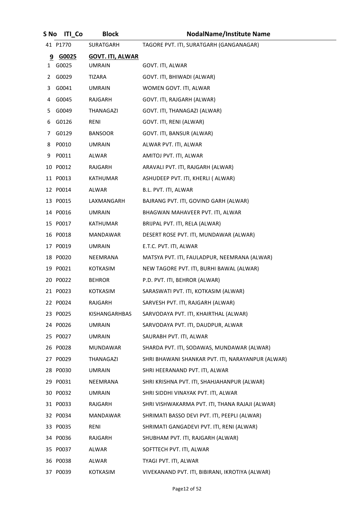| S No | <b>ITI</b> Co | <b>Block</b>            | <b>NodalName/Institute Name</b>                   |
|------|---------------|-------------------------|---------------------------------------------------|
|      | 41 P1770      | SURATGARH               | TAGORE PVT. ITI, SURATGARH (GANGANAGAR)           |
| 9    | G0025         | <b>GOVT. ITI, ALWAR</b> |                                                   |
|      | 1 G0025       | <b>UMRAIN</b>           | GOVT. ITI, ALWAR                                  |
|      | 2 G0029       | TIZARA                  | GOVT. ITI, BHIWADI (ALWAR)                        |
|      | 3 G0041       | <b>UMRAIN</b>           | WOMEN GOVT. ITI, ALWAR                            |
|      | 4 G0045       | RAJGARH                 | GOVT. ITI, RAJGARH (ALWAR)                        |
| 5.   | G0049         | THANAGAZI               | GOVT. ITI, THANAGAZI (ALWAR)                      |
|      | 6 G0126       | RENI                    | GOVT. ITI, RENI (ALWAR)                           |
| 7    | G0129         | <b>BANSOOR</b>          | GOVT. ITI, BANSUR (ALWAR)                         |
|      | 8 P0010       | <b>UMRAIN</b>           | ALWAR PVT. ITI, ALWAR                             |
| 9    | P0011         | <b>ALWAR</b>            | AMITOJ PVT. ITI, ALWAR                            |
|      | 10 P0012      | RAJGARH                 | ARAVALI PVT. ITI, RAJGARH (ALWAR)                 |
|      | 11 P0013      | KATHUMAR                | ASHUDEEP PVT. ITI, KHERLI ( ALWAR)                |
|      | 12 P0014      | <b>ALWAR</b>            | B.L. PVT. ITI, ALWAR                              |
|      | 13 P0015      | LAXMANGARH              | BAJRANG PVT. ITI, GOVIND GARH (ALWAR)             |
|      | 14 P0016      | <b>UMRAIN</b>           | BHAGWAN MAHAVEER PVT. ITI, ALWAR                  |
|      | 15 P0017      | KATHUMAR                | BRIJPAL PVT. ITI, RELA (ALWAR)                    |
|      | 16 P0018      | MANDAWAR                | DESERT ROSE PVT. ITI, MUNDAWAR (ALWAR)            |
|      | 17 P0019      | <b>UMRAIN</b>           | E.T.C. PVT. ITI, ALWAR                            |
|      | 18 P0020      | NEEMRANA                | MATSYA PVT. ITI, FAULADPUR, NEEMRANA (ALWAR)      |
|      | 19 P0021      | <b>KOTKASIM</b>         | NEW TAGORE PVT. ITI, BURHI BAWAL (ALWAR)          |
|      | 20 P0022      | <b>BEHROR</b>           | P.D. PVT. ITI, BEHROR (ALWAR)                     |
|      | 21 P0023      | <b>KOTKASIM</b>         | SARASWATI PVT. ITI, KOTKASIM (ALWAR)              |
|      | 22 P0024      | RAJGARH                 | SARVESH PVT. ITI, RAJGARH (ALWAR)                 |
|      | 23 P0025      | KISHANGARHBAS           | SARVODAYA PVT. ITI, KHAIRTHAL (ALWAR)             |
|      | 24 P0026      | <b>UMRAIN</b>           | SARVODAYA PVT. ITI, DAUDPUR, ALWAR                |
|      | 25 P0027      | <b>UMRAIN</b>           | SAURABH PVT. ITI, ALWAR                           |
|      | 26 P0028      | MUNDAWAR                | SHARDA PVT. ITI, SODAWAS, MUNDAWAR (ALWAR)        |
|      | 27 P0029      | THANAGAZI               | SHRI BHAWANI SHANKAR PVT. ITI, NARAYANPUR (ALWAR) |
|      | 28 P0030      | <b>UMRAIN</b>           | SHRI HEERANAND PVT. ITI, ALWAR                    |
|      | 29 P0031      | NEEMRANA                | SHRI KRISHNA PVT. ITI, SHAHJAHANPUR (ALWAR)       |
|      | 30 P0032      | <b>UMRAIN</b>           | SHRI SIDDHI VINAYAK PVT. ITI, ALWAR               |
|      | 31 P0033      | RAJGARH                 | SHRI VISHWAKARMA PVT. ITI, THANA RAJAJI (ALWAR)   |
|      | 32 P0034      | MANDAWAR                | SHRIMATI BASSO DEVI PVT. ITI, PEEPLI (ALWAR)      |
|      | 33 P0035      | RENI                    | SHRIMATI GANGADEVI PVT. ITI, RENI (ALWAR)         |
|      | 34 P0036      | RAJGARH                 | SHUBHAM PVT. ITI, RAJGARH (ALWAR)                 |
|      | 35 P0037      | ALWAR                   | SOFTTECH PVT. ITI, ALWAR                          |
|      | 36 P0038      | ALWAR                   | TYAGI PVT. ITI, ALWAR                             |
|      | 37 P0039      | <b>KOTKASIM</b>         | VIVEKANAND PVT. ITI, BIBIRANI, IKROTIYA (ALWAR)   |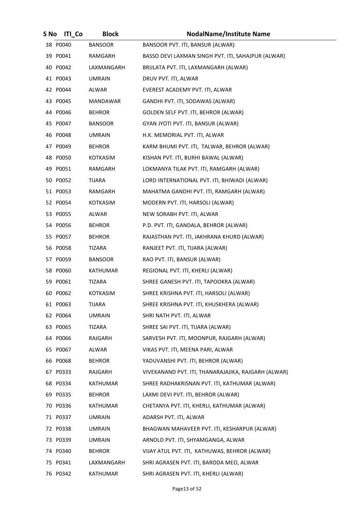| S No | <b>ITI Co</b> | <b>Block</b>    | <b>NodalName/Institute Name</b>                     |
|------|---------------|-----------------|-----------------------------------------------------|
|      | 38 P0040      | <b>BANSOOR</b>  | BANSOOR PVT. ITI, BANSUR (ALWAR)                    |
|      | 39 P0041      | RAMGARH         | BASSO DEVI LAXMAN SINGH PVT. ITI, SAHAJPUR (ALWAR)  |
|      | 40 P0042      | LAXMANGARH      | BRIJLATA PVT. ITI, LAXMANGARH (ALWAR)               |
|      | 41 P0043      | <b>UMRAIN</b>   | DRUV PVT. ITI, ALWAR                                |
|      | 42 P0044      | ALWAR           | EVEREST ACADEMY PVT. ITI, ALWAR                     |
|      | 43 P0045      | MANDAWAR        | GANDHI PVT. ITI, SODAWAS (ALWAR)                    |
|      | 44 P0046      | <b>BEHROR</b>   | GOLDEN SELF PVT. ITI, BEHROR (ALWAR)                |
|      | 45 P0047      | <b>BANSOOR</b>  | GYAN JYOTI PVT. ITI, BANSUR (ALWAR)                 |
|      | 46 P0048      | <b>UMRAIN</b>   | H.K. MEMORIAL PVT. ITI, ALWAR                       |
|      | 47 P0049      | <b>BEHROR</b>   | KARM BHUMI PVT. ITI, TALWAR, BEHROR (ALWAR)         |
|      | 48 P0050      | KOTKASIM        | KISHAN PVT. ITI, BURHI BAWAL (ALWAR)                |
|      | 49 P0051      | RAMGARH         | LOKMANYA TILAK PVT. ITI, RAMGARH (ALWAR)            |
|      | 50 P0052      | TIJARA          | LORD INTERNATIONAL PVT. ITI, BHIWADI (ALWAR)        |
|      | 51 P0053      | RAMGARH         | MAHATMA GANDHI PVT. ITI, RAMGARH (ALWAR)            |
|      | 52 P0054      | KOTKASIM        | MODERN PVT. ITI, HARSOLI (ALWAR)                    |
|      | 53 P0055      | ALWAR           | NEW SORABH PVT. ITI, ALWAR                          |
|      | 54 P0056      | <b>BEHROR</b>   | P.D. PVT. ITI, GANDALA, BEHROR (ALWAR)              |
|      | 55 P0057      | <b>BEHROR</b>   | RAJASTHAN PVT. ITI, JAKHRANA KHURD (ALWAR)          |
|      | 56 P0058      | TIZARA          | RANJEET PVT. ITI, TIJARA (ALWAR)                    |
|      | 57 P0059      | BANSOOR         | RAO PVT. ITI, BANSUR (ALWAR)                        |
|      | 58 P0060      | KATHUMAR        | REGIONAL PVT. ITI, KHERLI (ALWAR)                   |
|      | 59 P0061      | TIZARA          | SHREE GANESH PVT. ITI, TAPOOKRA (ALWAR)             |
|      | 60 P0062      | <b>KOTKASIM</b> | SHREE KRISHNA PVT. ITI, HARSOLI (ALWAR)             |
|      | 61 P0063      | TIJARA          | SHREE KRISHNA PVT. ITI, KHUSKHERA (ALWAR)           |
|      | 62 P0064      | UMRAIN          | SHRI NATH PVT. ITI, ALWAR                           |
|      | 63 P0065      | TIZARA          | SHREE SAI PVT. ITI, TIJARA (ALWAR)                  |
|      | 64 P0066      | RAJGARH         | SARVESH PVT. ITI, MOONPUR, RAJGARH (ALWAR)          |
|      | 65 P0067      | ALWAR           | VIKAS PVT. ITI, MEENA PARI, ALWAR                   |
|      | 66 P0068      | <b>BEHROR</b>   | YADUVANSHI PVT. ITI, BEHROR (ALWAR)                 |
|      | 67 P0333      | RAJGARH         | VIVEKANAND PVT. ITI, THANARAJAJIKA, RAJGARH (ALWAR) |
|      | 68 P0334      | KATHUMAR        | SHREE RADHAKRISNAN PVT. ITI, KATHUMAR (ALWAR)       |
|      | 69 P0335      | <b>BEHROR</b>   | LAXMI DEVI PVT. ITI, BEHROR (ALWAR)                 |
|      | 70 P0336      | KATHUMAR        | CHETANYA PVT. ITI, KHERLI, KATHUMAR (ALWAR)         |
|      | 71 P0337      | <b>UMRAIN</b>   | ADARSH PVT. ITI, ALWAR                              |
|      | 72 P0338      | <b>UMRAIN</b>   | BHAGWAN MAHAVEER PVT. ITI, KESHARPUR (ALWAR)        |
|      | 73 P0339      | <b>UMRAIN</b>   | ARNOLD PVT. ITI, SHYAMGANGA, ALWAR                  |
|      | 74 P0340      | <b>BEHROR</b>   | VIJAY ATUL PVT. ITI, KATHUWAS, BEHROR (ALWAR)       |
|      | 75 P0341      | LAXMANGARH      | SHRI AGRASEN PVT. ITI, BARODA MEO, ALWAR            |
|      | 76 P0342      | KATHUMAR        | SHRI AGRASEN PVT. ITI, KHERLI (ALWAR)               |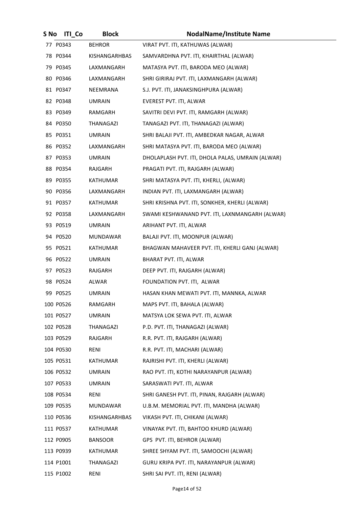| S No | <b>ITI Co</b> | <b>Block</b>  | <b>NodalName/Institute Name</b>                  |
|------|---------------|---------------|--------------------------------------------------|
|      | 77 P0343      | <b>BEHROR</b> | VIRAT PVT. ITI, KATHUWAS (ALWAR)                 |
|      | 78 P0344      | KISHANGARHBAS | SAMVARDHNA PVT. ITI, KHAIRTHAL (ALWAR)           |
|      | 79 P0345      | LAXMANGARH    | MATASYA PVT. ITI, BARODA MEO (ALWAR)             |
|      | 80 P0346      | LAXMANGARH    | SHRI GIRIRAJ PVT. ITI, LAXMANGARH (ALWAR)        |
|      | 81 P0347      | NEEMRANA      | S.J. PVT. ITI, JANAKSINGHPURA (ALWAR)            |
|      | 82 P0348      | <b>UMRAIN</b> | EVEREST PVT. ITI, ALWAR                          |
|      | 83 P0349      | RAMGARH       | SAVITRI DEVI PVT. ITI, RAMGARH (ALWAR)           |
|      | 84 P0350      | THANAGAZI     | TANAGAZI PVT. ITI, THANAGAZI (ALWAR)             |
|      | 85 P0351      | UMRAIN        | SHRI BALAJI PVT. ITI, AMBEDKAR NAGAR, ALWAR      |
|      | 86 P0352      | LAXMANGARH    | SHRI MATASYA PVT. ITI, BARODA MEO (ALWAR)        |
|      | 87 P0353      | UMRAIN        | DHOLAPLASH PVT. ITI, DHOLA PALAS, UMRAIN (ALWAR) |
|      | 88 P0354      | RAJGARH       | PRAGATI PVT. ITI, RAJGARH (ALWAR)                |
|      | 89 P0355      | KATHUMAR      | SHRI MATASYA PVT. ITI, KHERLI, (ALWAR)           |
|      | 90 P0356      | LAXMANGARH    | INDIAN PVT. ITI, LAXMANGARH (ALWAR)              |
|      | 91 P0357      | KATHUMAR      | SHRI KRISHNA PVT. ITI, SONKHER, KHERLI (ALWAR)   |
|      | 92 P0358      | LAXMANGARH    | SWAMI KESHWANAND PVT. ITI, LAXNMANGARH (ALWAR)   |
|      | 93 P0519      | UMRAIN        | ARIHANT PVT. ITI, ALWAR                          |
|      | 94 P0520      | MUNDAWAR      | BALAJI PVT. ITI, MOONPUR (ALWAR)                 |
|      | 95 P0521      | KATHUMAR      | BHAGWAN MAHAVEER PVT. ITI, KHERLI GANJ (ALWAR)   |
|      | 96 P0522      | UMRAIN        | BHARAT PVT. ITI, ALWAR                           |
|      | 97 P0523      | RAJGARH       | DEEP PVT. ITI, RAJGARH (ALWAR)                   |
|      | 98 P0524      | ALWAR         | FOUNDATION PVT. ITI, ALWAR                       |
|      | 99 P0525      | <b>UMRAIN</b> | HASAN KHAN MEWATI PVT. ITI, MANNKA, ALWAR        |
|      | 100 P0526     | RAMGARH       | MAPS PVT. ITI, BAHALA (ALWAR)                    |
|      | 101 P0527     | <b>UMRAIN</b> | MATSYA LOK SEWA PVT. ITI, ALWAR                  |
|      | 102 P0528     | THANAGAZI     | P.D. PVT. ITI, THANAGAZI (ALWAR)                 |
|      | 103 P0529     | RAJGARH       | R.R. PVT. ITI, RAJGARH (ALWAR)                   |
|      | 104 P0530     | RENI          | R.R. PVT. ITI, MACHARI (ALWAR)                   |
|      | 105 P0531     | KATHUMAR      | RAJRISHI PVT. ITI, KHERLI (ALWAR)                |
|      | 106 P0532     | <b>UMRAIN</b> | RAO PVT. ITI, KOTHI NARAYANPUR (ALWAR)           |
|      | 107 P0533     | UMRAIN        | SARASWATI PVT. ITI, ALWAR                        |
|      | 108 P0534     | RENI          | SHRI GANESH PVT. ITI, PINAN, RAJGARH (ALWAR)     |
|      | 109 P0535     | MUNDAWAR      | U.B.M. MEMORIAL PVT. ITI, MANDHA (ALWAR)         |
|      | 110 P0536     | KISHANGARHBAS | VIKASH PVT. ITI, CHIKANI (ALWAR)                 |
|      | 111 P0537     | KATHUMAR      | VINAYAK PVT. ITI, BAHTOO KHURD (ALWAR)           |
|      | 112 P0905     | BANSOOR       | GPS PVT. ITI, BEHROR (ALWAR)                     |
|      | 113 P0939     | KATHUMAR      | SHREE SHYAM PVT. ITI, SAMOOCHI (ALWAR)           |
|      | 114 P1001     | THANAGAZI     | GURU KRIPA PVT. ITI, NARAYANPUR (ALWAR)          |
|      | 115 P1002     | RENI          | SHRI SAI PVT. ITI, RENI (ALWAR)                  |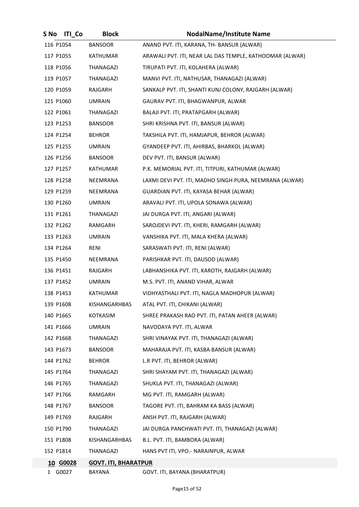| S No         | <b>ITI</b> Co | <b>Block</b>                | <b>NodalName/Institute Name</b>                          |
|--------------|---------------|-----------------------------|----------------------------------------------------------|
| 116 P1054    |               | <b>BANSOOR</b>              | ANAND PVT. ITI, KARANA, TH- BANSUR (ALWAR)               |
| 117 P1055    |               | KATHUMAR                    | ARAWALI PVT. ITI, NEAR LAL DAS TEMPLE, KATHOOMAR (ALWAR) |
| 118 P1056    |               | THANAGAZI                   | TIRUPATI PVT. ITI, KOLAHERA (ALWAR)                      |
| 119 P1057    |               | THANAGAZI                   | MANVI PVT. ITI, NATHUSAR, THANAGAZI (ALWAR)              |
| 120 P1059    |               | RAJGARH                     | SANKALP PVT. ITI, SHANTI KUNJ COLONY, RAJGARH (ALWAR)    |
| 121 P1060    |               | <b>UMRAIN</b>               | GAURAV PVT. ITI, BHAGWANPUR, ALWAR                       |
| 122 P1061    |               | THANAGAZI                   | BALAJI PVT. ITI, PRATAPGARH (ALWAR)                      |
| 123 P1253    |               | <b>BANSOOR</b>              | SHRI KRISHNA PVT. ITI, BANSUR (ALWAR)                    |
| 124 P1254    |               | <b>BEHROR</b>               | TAKSHILA PVT. ITI, HAMJAPUR, BEHROR (ALWAR)              |
| 125 P1255    |               | <b>UMRAIN</b>               | GYANDEEP PVT. ITI, AHIRBAS, BHARKOL (ALWAR)              |
| 126 P1256    |               | <b>BANSOOR</b>              | DEV PVT. ITI, BANSUR (ALWAR)                             |
| 127 P1257    |               | KATHUMAR                    | P.K. MEMORIAL PVT. ITI, TITPURI, KATHUMAR (ALWAR)        |
| 128 P1258    |               | NEEMRANA                    | LAXMI DEVI PVT. ITI, MADHO SINGH PURA, NEEMRANA (ALWAR)  |
| 129 P1259    |               | NEEMRANA                    | GUARDIAN PVT. ITI, KAYASA BEHAR (ALWAR)                  |
| 130 P1260    |               | <b>UMRAIN</b>               | ARAVALI PVT. ITI, UPOLA SONAWA (ALWAR)                   |
| 131 P1261    |               | THANAGAZI                   | JAI DURGA PVT. ITI, ANGARI (ALWAR)                       |
| 132 P1262    |               | RAMGARH                     | SAROJDEVI PVT. ITI, KHERI, RAMGARH (ALWAR)               |
| 133 P1263    |               | <b>UMRAIN</b>               | VANSHIKA PVT. ITI, MALA KHERA (ALWAR)                    |
| 134 P1264    |               | RENI                        | SARASWATI PVT. ITI, RENI (ALWAR)                         |
| 135 P1450    |               | NEEMRANA                    | PARISHKAR PVT. ITI, DAUSOD (ALWAR)                       |
| 136 P1451    |               | RAJGARH                     | LABHANSHIKA PVT. ITI, KAROTH, RAJGARH (ALWAR)            |
| 137 P1452    |               | <b>UMRAIN</b>               | M.S. PVT. ITI, ANAND VIHAR, ALWAR                        |
| 138 P1453    |               | KATHUMAR                    | VIDHYASTHALI PVT. ITI, NAGLA MADHOPUR (ALWAR)            |
| 139 P1608    |               | KISHANGARHBAS               | ATAL PVT. ITI, CHIKANI (ALWAR)                           |
| 140 P1665    |               | KOTKASIM                    | SHREE PRAKASH RAO PVT. ITI, PATAN AHEER (ALWAR)          |
| 141 P1666    |               | <b>UMRAIN</b>               | NAVODAYA PVT. ITI, ALWAR                                 |
| 142 P1668    |               | THANAGAZI                   | SHRI VINAYAK PVT. ITI, THANAGAZI (ALWAR)                 |
| 143 P1673    |               | <b>BANSOOR</b>              | MAHARAJA PVT. ITI, KASBA BANSUR (ALWAR)                  |
| 144 P1762    |               | <b>BEHROR</b>               | L.R PVT. ITI, BEHROR (ALWAR)                             |
| 145 P1764    |               | THANAGAZI                   | SHRI SHAYAM PVT. ITI, THANAGAZI (ALWAR)                  |
| 146 P1765    |               | THANAGAZI                   | SHUKLA PVT. ITI, THANAGAZI (ALWAR)                       |
| 147 P1766    |               | RAMGARH                     | MG PVT. ITI, RAMGARH (ALWAR)                             |
| 148 P1767    |               | <b>BANSOOR</b>              | TAGORE PVT. ITI, BAHRAM KA BASS (ALWAR)                  |
| 149 P1769    |               | RAJGARH                     | ANSH PVT. ITI, RAJGARH (ALWAR)                           |
| 150 P1790    |               | THANAGAZI                   | JAI DURGA PANCHWATI PVT. ITI, THANAGAZI (ALWAR)          |
| 151 P1808    |               | KISHANGARHBAS               | B.L. PVT. ITI, BAMBORA (ALWAR)                           |
| 152 P1814    |               | THANAGAZI                   | HANS PVT ITI, VPO.- NARAINPUR, ALWAR                     |
|              | 10 G0028      | <b>GOVT. ITI, BHARATPUR</b> |                                                          |
| $\mathbf{1}$ | G0027         | BAYANA                      | GOVT. ITI, BAYANA (BHARATPUR)                            |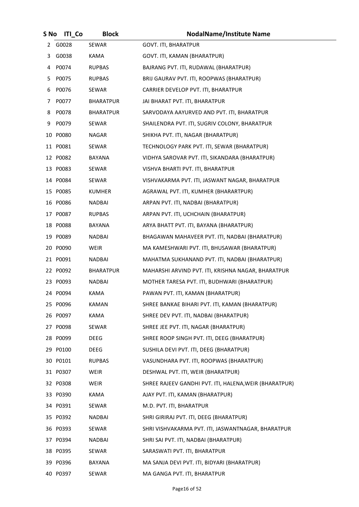| S No | <b>ITI</b> Co | <b>Block</b>     | <b>NodalName/Institute Name</b>                        |
|------|---------------|------------------|--------------------------------------------------------|
|      | 2 G0028       | SEWAR            | <b>GOVT. ITI, BHARATPUR</b>                            |
|      | 3 G0038       | KAMA             | GOVT. ITI, KAMAN (BHARATPUR)                           |
| 4    | P0074         | <b>RUPBAS</b>    | BAJRANG PVT. ITI, RUDAWAL (BHARATPUR)                  |
| 5.   | P0075         | <b>RUPBAS</b>    | BRIJ GAURAV PVT. ITI, ROOPWAS (BHARATPUR)              |
| 6    | P0076         | SEWAR            | CARRIER DEVELOP PVT. ITI, BHARATPUR                    |
| 7    | P0077         | <b>BHARATPUR</b> | JAI BHARAT PVT. ITI, BHARATPUR                         |
| 8    | P0078         | <b>BHARATPUR</b> | SARVODAYA AAYURVED AND PVT. ITI, BHARATPUR             |
| 9    | P0079         | SEWAR            | SHAILENDRA PVT. ITI, SUGRIV COLONY, BHARATPUR          |
|      | 10 P0080      | NAGAR            | SHIKHA PVT. ITI, NAGAR (BHARATPUR)                     |
|      | 11 P0081      | SEWAR            | TECHNOLOGY PARK PVT. ITI, SEWAR (BHARATPUR)            |
|      | 12 P0082      | BAYANA           | VIDHYA SAROVAR PVT. ITI, SIKANDARA (BHARATPUR)         |
|      | 13 P0083      | SEWAR            | VISHVA BHARTI PVT. ITI, BHARATPUR                      |
|      | 14 P0084      | SEWAR            | VISHVAKARMA PVT. ITI, JASWANT NAGAR, BHARATPUR         |
|      | 15 P0085      | <b>KUMHER</b>    | AGRAWAL PVT. ITI, KUMHER (BHARARTPUR)                  |
|      | 16 P0086      | <b>NADBAI</b>    | ARPAN PVT. ITI, NADBAI (BHARATPUR)                     |
|      | 17 P0087      | <b>RUPBAS</b>    | ARPAN PVT. ITI, UCHCHAIN (BHARATPUR)                   |
|      | 18 P0088      | BAYANA           | ARYA BHATT PVT. ITI, BAYANA (BHARATPUR)                |
|      | 19 P0089      | <b>NADBAI</b>    | BHAGAWAN MAHAVEER PVT. ITI, NADBAI (BHARATPUR)         |
|      | 20 P0090      | <b>WEIR</b>      | MA KAMESHWARI PVT. ITI, BHUSAWAR (BHARATPUR)           |
|      | 21 P0091      | NADBAI           | MAHATMA SUKHANAND PVT. ITI, NADBAI (BHARATPUR)         |
|      | 22 P0092      | <b>BHARATPUR</b> | MAHARSHI ARVIND PVT. ITI, KRISHNA NAGAR, BHARATPUR     |
|      | 23 P0093      | <b>NADBAI</b>    | MOTHER TARESA PVT. ITI, BUDHWARI (BHARATPUR)           |
|      | 24 P0094      | KAMA             | PAWAN PVT. ITI, KAMAN (BHARATPUR)                      |
|      | 25 P0096      | KAMAN            | SHREE BANKAE BIHARI PVT. ITI, KAMAN (BHARATPUR)        |
|      | 26 P0097      | KAMA             | SHREE DEV PVT. ITI, NADBAI (BHARATPUR)                 |
|      | 27 P0098      | SEWAR            | SHREE JEE PVT. ITI, NAGAR (BHARATPUR)                  |
|      | 28 P0099      | DEEG             | SHREE ROOP SINGH PVT. ITI, DEEG (BHARATPUR)            |
|      | 29 P0100      | DEEG             | SUSHILA DEVI PVT. ITI, DEEG (BHARATPUR)                |
|      | 30 P0101      | <b>RUPBAS</b>    | VASUNDHARA PVT. ITI, ROOPWAS (BHARATPUR)               |
|      | 31 P0307      | WEIR             | DESHWAL PVT. ITI, WEIR (BHARATPUR)                     |
|      | 32 P0308      | WEIR             | SHREE RAJEEV GANDHI PVT. ITI, HALENA, WEIR (BHARATPUR) |
|      | 33 P0390      | KAMA             | AJAY PVT. ITI, KAMAN (BHARATPUR)                       |
|      | 34 P0391      | SEWAR            | M.D. PVT. ITI, BHARATPUR                               |
|      | 35 P0392      | <b>NADBAI</b>    | SHRI GIRIRAJ PVT. ITI, DEEG (BHARATPUR)                |
|      | 36 P0393      | SEWAR            | SHRI VISHVAKARMA PVT. ITI, JASWANTNAGAR, BHARATPUR     |
|      | 37 P0394      | <b>NADBAI</b>    | SHRI SAI PVT. ITI, NADBAI (BHARATPUR)                  |
|      | 38 P0395      | SEWAR            | SARASWATI PVT. ITI, BHARATPUR                          |
|      | 39 P0396      | BAYANA           | MA SANJA DEVI PVT. ITI, BIDYARI (BHARATPUR)            |
|      | 40 P0397      | SEWAR            | MA GANGA PVT. ITI, BHARATPUR                           |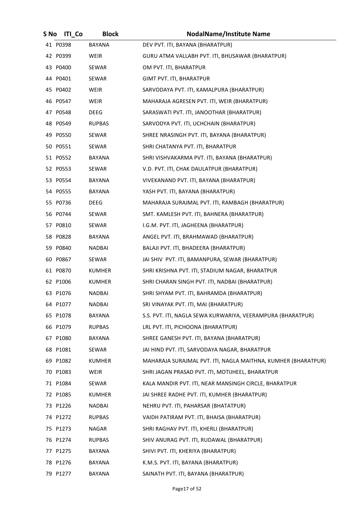| S No | <b>ITI Co</b> | <b>Block</b>  | <b>NodalName/Institute Name</b>                               |
|------|---------------|---------------|---------------------------------------------------------------|
|      | 41 P0398      | <b>BAYANA</b> | DEV PVT. ITI, BAYANA (BHARATPUR)                              |
|      | 42 P0399      | WEIR          | GURU ATMA VALLABH PVT. ITI, BHUSAWAR (BHARATPUR)              |
|      | 43 P0400      | SEWAR         | OM PVT. ITI, BHARATPUR                                        |
|      | 44 P0401      | SEWAR         | GIMT PVT. ITI, BHARATPUR                                      |
|      | 45 P0402      | <b>WEIR</b>   | SARVODAYA PVT. ITI, KAMALPURA (BHARATPUR)                     |
|      | 46 P0547      | WEIR          | MAHARAJA AGRESEN PVT. ITI, WEIR (BHARATPUR)                   |
|      | 47 P0548      | DEEG          | SARASWATI PVT. ITI, JANOOTHAR (BHARATPUR)                     |
|      | 48 P0549      | <b>RUPBAS</b> | SARVODYA PVT. ITI, UCHCHAIN (BHARATPUR)                       |
|      | 49 P0550      | SEWAR         | SHREE NRASINGH PVT. ITI, BAYANA (BHARATPUR)                   |
|      | 50 P0551      | SEWAR         | SHRI CHATANYA PVT. ITI, BHARATPUR                             |
|      | 51 P0552      | BAYANA        | SHRI VISHVAKARMA PVT. ITI, BAYANA (BHARATPUR)                 |
|      | 52 P0553      | SEWAR         | V.D. PVT. ITI, CHAK DAULATPUR (BHARATPUR)                     |
|      | 53 P0554      | BAYANA        | VIVEKANAND PVT. ITI, BAYANA (BHARATPUR)                       |
|      | 54 P0555      | BAYANA        | YASH PVT. ITI, BAYANA (BHARATPUR)                             |
|      | 55 P0736      | DEEG          | MAHARAJA SURAJMAL PVT. ITI, RAMBAGH (BHARATPUR)               |
|      | 56 P0744      | SEWAR         | SMT. KAMLESH PVT. ITI, BAHNERA (BHARATPUR)                    |
|      | 57 P0810      | SEWAR         | I.G.M. PVT. ITI, JAGHEENA (BHARATPUR)                         |
|      | 58 P0828      | BAYANA        | ANGEL PVT. ITI, BRAHMAWAD (BHARATPUR)                         |
|      | 59 P0840      | <b>NADBAI</b> | BALAJI PVT. ITI, BHADEERA (BHARATPUR)                         |
|      | 60 P0867      | SEWAR         | JAI SHIV PVT. ITI, BAMANPURA, SEWAR (BHARATPUR)               |
|      | 61 P0870      | <b>KUMHER</b> | SHRI KRISHNA PVT. ITI, STADIUM NAGAR, BHARATPUR               |
|      | 62 P1006      | <b>KUMHER</b> | SHRI CHARAN SINGH PVT. ITI, NADBAI (BHARATPUR)                |
|      | 63 P1076      | <b>NADBAI</b> | SHRI SHYAM PVT. ITI, BAHRAMDA (BHARATPUR)                     |
|      | 64 P1077      | NADBAI        | SRI VINAYAK PVT. ITI, MAI (BHARATPUR)                         |
|      | 65 P1078      | BAYANA        | S.S. PVT. ITI, NAGLA SEWA KURWARIYA, VEERAMPURA (BHARATPUR)   |
|      | 66 P1079      | <b>RUPBAS</b> | LRL PVT. ITI, PICHOONA (BHARATPUR)                            |
|      | 67 P1080      | BAYANA        | SHREE GANESH PVT. ITI, BAYANA (BHARATPUR)                     |
|      | 68 P1081      | SEWAR         | JAI HIND PVT. ITI, SARVODAYA NAGAR, BHARATPUR                 |
|      | 69 P1082      | <b>KUMHER</b> | MAHARAJA SURAJMAL PVT. ITI, NAGLA MAITHNA, KUMHER (BHARATPUR) |
|      | 70 P1083      | WEIR          | SHRI JAGAN PRASAD PVT. ITI, MOTIJHEEL, BHARATPUR              |
|      | 71 P1084      | SEWAR         | KALA MANDIR PVT. ITI, NEAR MANSINGH CIRCLE, BHARATPUR         |
|      | 72 P1085      | KUMHER        | JAI SHREE RADHE PVT. ITI, KUMHER (BHARATPUR)                  |
|      | 73 P1226      | NADBAI        | NEHRU PVT. ITI, PAHARSAR (BHATATPUR)                          |
|      | 74 P1272      | <b>RUPBAS</b> | VAIDH PATIRAM PVT. ITI, BHAISA (BHARATPUR)                    |
|      | 75 P1273      | NAGAR         | SHRI RAGHAV PVT. ITI, KHERLI (BHARATPUR)                      |
|      | 76 P1274      | <b>RUPBAS</b> | SHIV ANURAG PVT. ITI, RUDAWAL (BHARATPUR)                     |
|      | 77 P1275      | BAYANA        | SHIVI PVT. ITI, KHERIYA (BHARATPUR)                           |
|      | 78 P1276      | BAYANA        | K.M.S. PVT. ITI, BAYANA (BHARATPUR)                           |
|      | 79 P1277      | BAYANA        | SAINATH PVT. ITI, BAYANA (BHARATPUR)                          |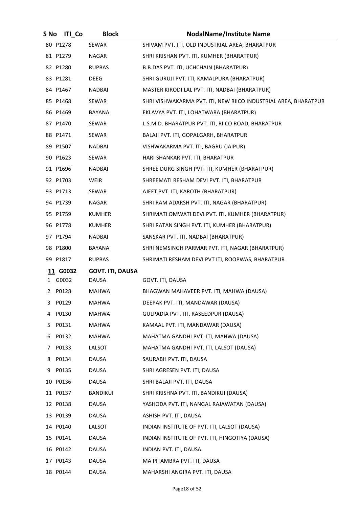| S No | <b>ITI Co</b> | <b>Block</b>            | <b>NodalName/Institute Name</b>                                 |
|------|---------------|-------------------------|-----------------------------------------------------------------|
|      | 80 P1278      | SEWAR                   | SHIVAM PVT. ITI, OLD INDUSTRIAL AREA, BHARATPUR                 |
|      | 81 P1279      | NAGAR                   | SHRI KRISHAN PVT. ITI, KUMHER (BHARATPUR)                       |
|      | 82 P1280      | <b>RUPBAS</b>           | B.B.DAS PVT. ITI, UCHCHAIN (BHARATPUR)                          |
|      | 83 P1281      | DEEG                    | SHRI GURUJI PVT. ITI, KAMALPURA (BHARATPUR)                     |
|      | 84 P1467      | NADBAI                  | MASTER KIRODI LAL PVT. ITI, NADBAI (BHARATPUR)                  |
|      | 85 P1468      | SEWAR                   | SHRI VISHWAKARMA PVT. ITI, NEW RIICO INDUSTRIAL AREA, BHARATPUR |
|      | 86 P1469      | BAYANA                  | EKLAVYA PVT. ITI, LOHATWARA (BHARATPUR)                         |
|      | 87 P1470      | SEWAR                   | L.S.M.D. BHARATPUR PVT. ITI, RIICO ROAD, BHARATPUR              |
|      | 88 P1471      | SEWAR                   | BALAJI PVT. ITI, GOPALGARH, BHARATPUR                           |
|      | 89 P1507      | <b>NADBAI</b>           | VISHWAKARMA PVT. ITI, BAGRU (JAIPUR)                            |
|      | 90 P1623      | SEWAR                   | HARI SHANKAR PVT. ITI, BHARATPUR                                |
|      | 91 P1696      | NADBAI                  | SHREE DURG SINGH PVT. ITI, KUMHER (BHARATPUR)                   |
|      | 92 P1703      | WEIR                    | SHREEMATI RESHAM DEVI PVT. ITI, BHARATPUR                       |
|      | 93 P1713      | SEWAR                   | AJEET PVT. ITI, KAROTH (BHARATPUR)                              |
|      | 94 P1739      | NAGAR                   | SHRI RAM ADARSH PVT. ITI, NAGAR (BHARATPUR)                     |
|      | 95 P1759      | KUMHER                  | SHRIMATI OMWATI DEVI PVT. ITI, KUMHER (BHARATPUR)               |
|      | 96 P1778      | <b>KUMHER</b>           | SHRI RATAN SINGH PVT. ITI, KUMHER (BHARATPUR)                   |
|      | 97 P1794      | <b>NADBAI</b>           | SANSKAR PVT. ITI, NADBAI (BHARATPUR)                            |
|      | 98 P1800      | BAYANA                  | SHRI NEMSINGH PARMAR PVT. ITI, NAGAR (BHARATPUR)                |
|      | 99 P1817      | <b>RUPBAS</b>           | SHRIMATI RESHAM DEVI PVT ITI, ROOPWAS, BHARATPUR                |
|      | 11 G0032      | <b>GOVT. ITI, DAUSA</b> |                                                                 |
|      | 1 G0032       | DAUSA                   | GOVT. ITI, DAUSA                                                |
| 2    | P0128         | MAHWA                   | BHAGWAN MAHAVEER PVT. ITI, MAHWA (DAUSA)                        |
| 3    | P0129         | <b>MAHWA</b>            | DEEPAK PVT. ITI, MANDAWAR (DAUSA)                               |
| 4    | P0130         | <b>MAHWA</b>            | GULPADIA PVT. ITI, RASEEDPUR (DAUSA)                            |
| 5.   | P0131         | MAHWA                   | KAMAAL PVT. ITI, MANDAWAR (DAUSA)                               |
| 6    | P0132         | MAHWA                   | MAHATMA GANDHI PVT. ITI, MAHWA (DAUSA)                          |
| 7    | P0133         | LALSOT                  | MAHATMA GANDHI PVT. ITI, LALSOT (DAUSA)                         |
| 8    | P0134         | DAUSA                   | SAURABH PVT. ITI, DAUSA                                         |
|      | 9 P0135       | DAUSA                   | SHRI AGRESEN PVT. ITI, DAUSA                                    |
|      | 10 P0136      | DAUSA                   | SHRI BALAJI PVT. ITI, DAUSA                                     |
|      | 11 P0137      | BANDIKUI                | SHRI KRISHNA PVT. ITI, BANDIKUI (DAUSA)                         |
|      | 12 P0138      | DAUSA                   | YASHODA PVT. ITI, NANGAL RAJAWATAN (DAUSA)                      |
|      | 13 P0139      | DAUSA                   | ASHISH PVT. ITI, DAUSA                                          |
|      | 14 P0140      | LALSOT                  | INDIAN INSTITUTE OF PVT. ITI, LALSOT (DAUSA)                    |
|      | 15 P0141      | DAUSA                   | INDIAN INSTITUTE OF PVT. ITI, HINGOTIYA (DAUSA)                 |
|      | 16 P0142      | DAUSA                   | INDIAN PVT. ITI, DAUSA                                          |
|      | 17 P0143      | DAUSA                   | MA PITAMBRA PVT. ITI, DAUSA                                     |
|      | 18 P0144      | DAUSA                   | MAHARSHI ANGIRA PVT. ITI, DAUSA                                 |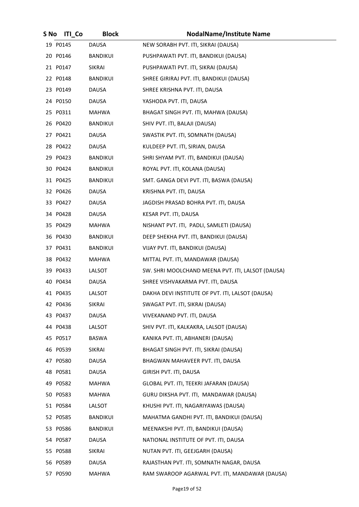| S No | <b>ITI Co</b> | <b>Block</b>    | <b>NodalName/Institute Name</b>                   |
|------|---------------|-----------------|---------------------------------------------------|
|      | 19 P0145      | <b>DAUSA</b>    | NEW SORABH PVT. ITI, SIKRAI (DAUSA)               |
|      | 20 P0146      | BANDIKUI        | PUSHPAWATI PVT. ITI, BANDIKUI (DAUSA)             |
|      | 21 P0147      | <b>SIKRAI</b>   | PUSHPAWATI PVT. ITI, SIKRAI (DAUSA)               |
|      | 22 P0148      | <b>BANDIKUI</b> | SHREE GIRIRAJ PVT. ITI, BANDIKUI (DAUSA)          |
|      | 23 P0149      | <b>DAUSA</b>    | SHREE KRISHNA PVT. ITI, DAUSA                     |
|      | 24 P0150      | DAUSA           | YASHODA PVT. ITI, DAUSA                           |
|      | 25 P0311      | MAHWA           | BHAGAT SINGH PVT. ITI, MAHWA (DAUSA)              |
|      | 26 P0420      | <b>BANDIKUI</b> | SHIV PVT. ITI, BALAJI (DAUSA)                     |
|      | 27 P0421      | <b>DAUSA</b>    | SWASTIK PVT. ITI, SOMNATH (DAUSA)                 |
|      | 28 P0422      | DAUSA           | KULDEEP PVT. ITI, SIRIAN, DAUSA                   |
|      | 29 P0423      | BANDIKUI        | SHRI SHYAM PVT. ITI, BANDIKUI (DAUSA)             |
|      | 30 P0424      | <b>BANDIKUI</b> | ROYAL PVT. ITI, KOLANA (DAUSA)                    |
|      | 31 P0425      | <b>BANDIKUI</b> | SMT. GANGA DEVI PVT. ITI, BASWA (DAUSA)           |
|      | 32 P0426      | DAUSA           | KRISHNA PVT. ITI, DAUSA                           |
|      | 33 P0427      | DAUSA           | JAGDISH PRASAD BOHRA PVT. ITI, DAUSA              |
|      | 34 P0428      | DAUSA           | KESAR PVT. ITI, DAUSA                             |
|      | 35 P0429      | MAHWA           | NISHANT PVT. ITI, PADLI, SAMLETI (DAUSA)          |
|      | 36 P0430      | <b>BANDIKUI</b> | DEEP SHEKHA PVT. ITI, BANDIKUI (DAUSA)            |
|      | 37 P0431      | <b>BANDIKUI</b> | VIJAY PVT. ITI, BANDIKUI (DAUSA)                  |
|      | 38 P0432      | <b>MAHWA</b>    | MITTAL PVT. ITI, MANDAWAR (DAUSA)                 |
|      | 39 P0433      | LALSOT          | SW. SHRI MOOLCHAND MEENA PVT. ITI, LALSOT (DAUSA) |
|      | 40 P0434      | DAUSA           | SHREE VISHVAKARMA PVT. ITI, DAUSA                 |
|      | 41 P0435      | LALSOT          | DAKHA DEVI INSTITUTE OF PVT. ITI, LALSOT (DAUSA)  |
|      | 42 P0436      | SIKRAI          | SWAGAT PVT. ITI, SIKRAI (DAUSA)                   |
|      | 43 P0437      | DAUSA           | VIVEKANAND PVT. ITI, DAUSA                        |
|      | 44 P0438      | LALSOT          | SHIV PVT. ITI, KALKAKRA, LALSOT (DAUSA)           |
|      | 45 P0517      | BASWA           | KANIKA PVT. ITI, ABHANERI (DAUSA)                 |
|      | 46 P0539      | SIKRAI          | BHAGAT SINGH PVT. ITI, SIKRAI (DAUSA)             |
|      | 47 P0580      | <b>DAUSA</b>    | BHAGWAN MAHAVEER PVT. ITI, DAUSA                  |
|      | 48 P0581      | DAUSA           | GIRISH PVT. ITI, DAUSA                            |
|      | 49 P0582      | MAHWA           | GLOBAL PVT. ITI, TEEKRI JAFARAN (DAUSA)           |
|      | 50 P0583      | <b>MAHWA</b>    | GURU DIKSHA PVT. ITI, MANDAWAR (DAUSA)            |
|      | 51 P0584      | LALSOT          | KHUSHI PVT. ITI, NAGARIYAWAS (DAUSA)              |
|      | 52 P0585      | <b>BANDIKUI</b> | MAHATMA GANDHI PVT. ITI, BANDIKUI (DAUSA)         |
|      | 53 P0586      | <b>BANDIKUI</b> | MEENAKSHI PVT. ITI, BANDIKUI (DAUSA)              |
|      | 54 P0587      | <b>DAUSA</b>    | NATIONAL INSTITUTE OF PVT. ITI, DAUSA             |
|      | 55 P0588      | SIKRAI          | NUTAN PVT. ITI, GEEJGARH (DAUSA)                  |
|      | 56 P0589      | <b>DAUSA</b>    | RAJASTHAN PVT. ITI, SOMNATH NAGAR, DAUSA          |
|      | 57 P0590      | <b>MAHWA</b>    | RAM SWAROOP AGARWAL PVT. ITI, MANDAWAR (DAUSA)    |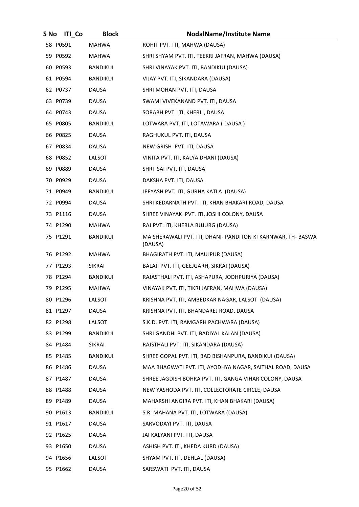| S No | <b>ITI Co</b> | <b>Block</b>    | <b>NodalName/Institute Name</b>                                         |
|------|---------------|-----------------|-------------------------------------------------------------------------|
|      | 58 P0591      | <b>MAHWA</b>    | ROHIT PVT. ITI, MAHWA (DAUSA)                                           |
|      | 59 P0592      | MAHWA           | SHRI SHYAM PVT. ITI, TEEKRI JAFRAN, MAHWA (DAUSA)                       |
|      | 60 P0593      | BANDIKUI        | SHRI VINAYAK PVT. ITI, BANDIKUI (DAUSA)                                 |
|      | 61 P0594      | BANDIKUI        | VIJAY PVT. ITI, SIKANDARA (DAUSA)                                       |
|      | 62 P0737      | <b>DAUSA</b>    | SHRI MOHAN PVT. ITI, DAUSA                                              |
|      | 63 P0739      | DAUSA           | SWAMI VIVEKANAND PVT. ITI, DAUSA                                        |
|      | 64 P0743      | <b>DAUSA</b>    | SORABH PVT. ITI, KHERLI, DAUSA                                          |
|      | 65 P0805      | BANDIKUI        | LOTWARA PVT. ITI, LOTAWARA (DAUSA)                                      |
|      | 66 P0825      | <b>DAUSA</b>    | RAGHUKUL PVT. ITI, DAUSA                                                |
|      | 67 P0834      | DAUSA           | NEW GRISH PVT. ITI, DAUSA                                               |
|      | 68 P0852      | LALSOT          | VINITA PVT. ITI, KALYA DHANI (DAUSA)                                    |
|      | 69 P0889      | DAUSA           | SHRI SAI PVT. ITI, DAUSA                                                |
|      | 70 P0929      | DAUSA           | DAKSHA PVT. ITI, DAUSA                                                  |
|      | 71 P0949      | <b>BANDIKUI</b> | JEEYASH PVT. ITI, GURHA KATLA (DAUSA)                                   |
|      | 72 P0994      | <b>DAUSA</b>    | SHRI KEDARNATH PVT. ITI, KHAN BHAKARI ROAD, DAUSA                       |
|      | 73 P1116      | <b>DAUSA</b>    | SHREE VINAYAK PVT. ITI, JOSHI COLONY, DAUSA                             |
|      | 74 P1290      | <b>MAHWA</b>    | RAJ PVT. ITI, KHERLA BUJURG (DAUSA)                                     |
|      | 75 P1291      | BANDIKUI        | MA SHERAWALI PVT. ITI, DHANI- PANDITON KI KARNWAR, TH- BASWA<br>(DAUSA) |
|      | 76 P1292      | <b>MAHWA</b>    | BHAGIRATH PVT. ITI, MAUJPUR (DAUSA)                                     |
|      | 77 P1293      | SIKRAI          | BALAJI PVT. ITI, GEEJGARH, SIKRAI (DAUSA)                               |
|      | 78 P1294      | <b>BANDIKUI</b> | RAJASTHALI PVT. ITI, ASHAPURA, JODHPURIYA (DAUSA)                       |
|      | 79 P1295      | <b>MAHWA</b>    | VINAYAK PVT. ITI, TIKRI JAFRAN, MAHWA (DAUSA)                           |
|      | 80 P1296      | LALSOT          | KRISHNA PVT. ITI, AMBEDKAR NAGAR, LALSOT (DAUSA)                        |
|      | 81 P1297      | DAUSA           | KRISHNA PVT. ITI, BHANDAREJ ROAD, DAUSA                                 |
|      | 82 P1298      | LALSOT          | S.K.D. PVT. ITI, RAMGARH PACHWARA (DAUSA)                               |
|      | 83 P1299      | <b>BANDIKUI</b> | SHRI GANDHI PVT. ITI, BADIYAL KALAN (DAUSA)                             |
|      | 84 P1484      | <b>SIKRAI</b>   | RAJSTHALI PVT. ITI, SIKANDARA (DAUSA)                                   |
|      | 85 P1485      | BANDIKUI        | SHREE GOPAL PVT. ITI, BAD BISHANPURA, BANDIKUI (DAUSA)                  |
|      | 86 P1486      | <b>DAUSA</b>    | MAA BHAGWATI PVT. ITI, AYODHYA NAGAR, SAITHAL ROAD, DAUSA               |
|      | 87 P1487      | DAUSA           | SHREE JAGDISH BOHRA PVT. ITI, GANGA VIHAR COLONY, DAUSA                 |
|      | 88 P1488      | DAUSA           | NEW YASHODA PVT. ITI, COLLECTORATE CIRCLE, DAUSA                        |
|      | 89 P1489      | <b>DAUSA</b>    | MAHARSHI ANGIRA PVT. ITI, KHAN BHAKARI (DAUSA)                          |
|      | 90 P1613      | <b>BANDIKUI</b> | S.R. MAHANA PVT. ITI, LOTWARA (DAUSA)                                   |
|      | 91 P1617      | <b>DAUSA</b>    | SARVODAYI PVT. ITI, DAUSA                                               |
|      | 92 P1625      | DAUSA           | JAI KALYANI PVT. ITI, DAUSA                                             |
|      | 93 P1650      | <b>DAUSA</b>    | ASHISH PVT. ITI, KHEDA KURD (DAUSA)                                     |
|      | 94 P1656      | LALSOT          | SHYAM PVT. ITI, DEHLAL (DAUSA)                                          |
|      | 95 P1662      | <b>DAUSA</b>    | SARSWATI PVT. ITI, DAUSA                                                |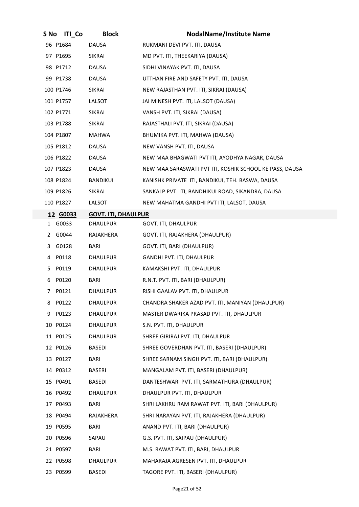| S No | <b>ITI Co</b> | <b>Block</b>               | <b>NodalName/Institute Name</b>                         |
|------|---------------|----------------------------|---------------------------------------------------------|
|      | 96 P1684      | <b>DAUSA</b>               | RUKMANI DEVI PVT. ITI, DAUSA                            |
|      | 97 P1695      | SIKRAI                     | MD PVT. ITI, THEEKARIYA (DAUSA)                         |
|      | 98 P1712      | DAUSA                      | SIDHI VINAYAK PVT. ITI, DAUSA                           |
|      | 99 P1738      | DAUSA                      | UTTHAN FIRE AND SAFETY PVT. ITI, DAUSA                  |
|      | 100 P1746     | SIKRAI                     | NEW RAJASTHAN PVT. ITI, SIKRAI (DAUSA)                  |
|      | 101 P1757     | LALSOT                     | JAI MINESH PVT. ITI, LALSOT (DAUSA)                     |
|      | 102 P1771     | <b>SIKRAI</b>              | VANSH PVT. ITI, SIKRAI (DAUSA)                          |
|      | 103 P1788     | SIKRAI                     | RAJASTHALI PVT. ITI, SIKRAI (DAUSA)                     |
|      | 104 P1807     | MAHWA                      | BHUMIKA PVT. ITI, MAHWA (DAUSA)                         |
|      | 105 P1812     | <b>DAUSA</b>               | NEW VANSH PVT. ITI, DAUSA                               |
|      | 106 P1822     | DAUSA                      | NEW MAA BHAGWATI PVT ITI, AYODHYA NAGAR, DAUSA          |
|      | 107 P1823     | <b>DAUSA</b>               | NEW MAA SARASWATI PVT ITI, KOSHIK SCHOOL KE PASS, DAUSA |
|      | 108 P1824     | BANDIKUI                   | KANISHK PRIVATE ITI, BANDIKUI, TEH. BASWA, DAUSA        |
|      | 109 P1826     | SIKRAI                     | SANKALP PVT. ITI, BANDHIKUI ROAD, SIKANDRA, DAUSA       |
|      | 110 P1827     | LALSOT                     | NEW MAHATMA GANDHI PVT ITI, LALSOT, DAUSA               |
|      | 12 G0033      | <b>GOVT. ITI, DHAULPUR</b> |                                                         |
|      | 1 G0033       | <b>DHAULPUR</b>            | GOVT. ITI, DHAULPUR                                     |
|      | 2 G0044       | RAJAKHERA                  | GOVT. ITI, RAJAKHERA (DHAULPUR)                         |
| 3    | G0128         | BARI                       | GOVT. ITI, BARI (DHAULPUR)                              |
|      | 4 P0118       | <b>DHAULPUR</b>            | GANDHI PVT. ITI, DHAULPUR                               |
| 5.   | P0119         | <b>DHAULPUR</b>            | KAMAKSHI PVT. ITI, DHAULPUR                             |
|      | 6 P0120       | <b>BARI</b>                | R.N.T. PVT. ITI, BARI (DHAULPUR)                        |
| 7    | P0121         | DHAULPUR                   | RISHI GAALAV PVT. ITI, DHAULPUR                         |
| 8    | P0122         | <b>DHAULPUR</b>            | CHANDRA SHAKER AZAD PVT. ITI, MANIYAN (DHAULPUR)        |
| 9    | P0123         | DHAULPUR                   | MASTER DWARIKA PRASAD PVT. ITI, DHAULPUR                |
|      | 10 P0124      | DHAULPUR                   | S.N. PVT. ITI, DHAULPUR                                 |
|      | 11 P0125      | DHAULPUR                   | SHREE GIRIRAJ PVT. ITI, DHAULPUR                        |
|      | 12 P0126      | BASEDI                     | SHREE GOVERDHAN PVT. ITI, BASERI (DHAULPUR)             |
|      | 13 P0127      | BARI                       | SHREE SARNAM SINGH PVT. ITI, BARI (DHAULPUR)            |
|      | 14 P0312      | BASERI                     | MANGALAM PVT. ITI, BASERI (DHAULPUR)                    |
|      | 15 P0491      | <b>BASEDI</b>              | DANTESHWARI PVT. ITI, SARMATHURA (DHAULPUR)             |
|      | 16 P0492      | DHAULPUR                   | DHAULPUR PVT. ITI, DHAULPUR                             |
|      | 17 P0493      | <b>BARI</b>                | SHRI LAKHRU RAM RAWAT PVT. ITI, BARI (DHAULPUR)         |
|      | 18 P0494      | RAJAKHERA                  | SHRI NARAYAN PVT. ITI, RAJAKHERA (DHAULPUR)             |
|      | 19 P0595      | BARI                       | ANAND PVT. ITI, BARI (DHAULPUR)                         |
|      | 20 P0596      | SAPAU                      | G.S. PVT. ITI, SAIPAU (DHAULPUR)                        |
|      | 21 P0597      | BARI                       | M.S. RAWAT PVT. ITI, BARI, DHAULPUR                     |
|      | 22 P0598      | DHAULPUR                   | MAHARAJA AGRESEN PVT. ITI, DHAULPUR                     |
|      | 23 P0599      | <b>BASEDI</b>              | TAGORE PVT. ITI, BASERI (DHAULPUR)                      |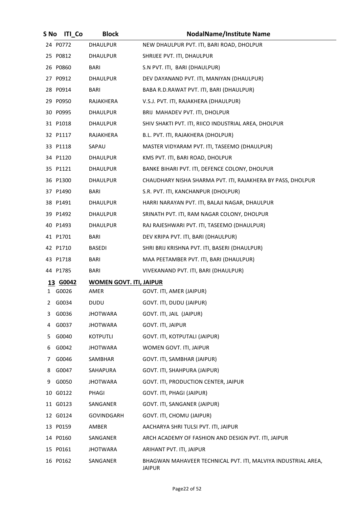| S No | <b>ITI Co</b> | <b>Block</b>                   | <b>NodalName/Institute Name</b>                                                |
|------|---------------|--------------------------------|--------------------------------------------------------------------------------|
|      | 24 P0772      | DHAULPUR                       | NEW DHAULPUR PVT. ITI, BARI ROAD, DHOLPUR                                      |
|      | 25 P0812      | DHAULPUR                       | SHRIJEE PVT. ITI, DHAULPUR                                                     |
|      | 26 P0860      | <b>BARI</b>                    | S.N PVT. ITI, BARI (DHAULPUR)                                                  |
|      | 27 P0912      | DHAULPUR                       | DEV DAYANAND PVT. ITI, MANIYAN (DHAULPUR)                                      |
|      | 28 P0914      | <b>BARI</b>                    | BABA R.D.RAWAT PVT. ITI, BARI (DHAULPUR)                                       |
|      | 29 P0950      | RAJAKHERA                      | V.S.J. PVT. ITI, RAJAKHERA (DHAULPUR)                                          |
|      | 30 P0995      | DHAULPUR                       | BRIJ MAHADEV PVT. ITI, DHOLPUR                                                 |
|      | 31 P1018      | <b>DHAULPUR</b>                | SHIV SHAKTI PVT. ITI, RIICO INDUSTRIAL AREA, DHOLPUR                           |
|      | 32 P1117      | RAJAKHERA                      | B.L. PVT. ITI, RAJAKHERA (DHOLPUR)                                             |
|      | 33 P1118      | SAPAU                          | MASTER VIDYARAM PVT. ITI, TASEEMO (DHAULPUR)                                   |
|      | 34 P1120      | DHAULPUR                       | KMS PVT. ITI, BARI ROAD, DHOLPUR                                               |
|      | 35 P1121      | DHAULPUR                       | BANKE BIHARI PVT. ITI, DEFENCE COLONY, DHOLPUR                                 |
|      | 36 P1300      | DHAULPUR                       | CHAUDHARY NISHA SHARMA PVT. ITI, RAJAKHERA BY PASS, DHOLPUR                    |
|      | 37 P1490      | <b>BARI</b>                    | S.R. PVT. ITI, KANCHANPUR (DHOLPUR)                                            |
|      | 38 P1491      | <b>DHAULPUR</b>                | HARRI NARAYAN PVT. ITI, BALAJI NAGAR, DHAULPUR                                 |
|      | 39 P1492      | DHAULPUR                       | SRINATH PVT. ITI, RAM NAGAR COLONY, DHOLPUR                                    |
|      | 40 P1493      | DHAULPUR                       | RAJ RAJESHWARI PVT. ITI, TASEEMO (DHAULPUR)                                    |
|      | 41 P1701      | <b>BARI</b>                    | DEV KRIPA PVT. ITI, BARI (DHAULPUR)                                            |
|      | 42 P1710      | BASEDI                         | SHRI BRIJ KRISHNA PVT. ITI, BASERI (DHAULPUR)                                  |
|      | 43 P1718      | <b>BARI</b>                    | MAA PEETAMBER PVT. ITI, BARI (DHAULPUR)                                        |
|      | 44 P1785      | <b>BARI</b>                    | VIVEKANAND PVT. ITI, BARI (DHAULPUR)                                           |
|      | 13 G0042      | <b>WOMEN GOVT. ITI, JAIPUR</b> |                                                                                |
|      | 1 G0026       | AMER                           | GOVT. ITI, AMER (JAIPUR)                                                       |
| 2    | G0034         | DUDU                           | GOVT. ITI, DUDU (JAIPUR)                                                       |
| 3.   | G0036         | <b>JHOTWARA</b>                | GOVT. ITI, JAIL (JAIPUR)                                                       |
| 4    | G0037         | <b>JHOTWARA</b>                | GOVT. ITI, JAIPUR                                                              |
| 5    | G0040         | KOTPUTLI                       | GOVT. ITI, KOTPUTALI (JAIPUR)                                                  |
| 6    | G0042         | <b>JHOTWARA</b>                | WOMEN GOVT. ITI, JAIPUR                                                        |
| 7    | G0046         | SAMBHAR                        | GOVT. ITI, SAMBHAR (JAIPUR)                                                    |
| 8    | G0047         | SAHAPURA                       | GOVT. ITI, SHAHPURA (JAIPUR)                                                   |
| 9    | G0050         | <b>JHOTWARA</b>                | GOVT. ITI, PRODUCTION CENTER, JAIPUR                                           |
|      | 10 G0122      | PHAGI                          | GOVT. ITI, PHAGI (JAIPUR)                                                      |
|      | 11 G0123      | SANGANER                       | GOVT. ITI, SANGANER (JAIPUR)                                                   |
|      | 12 G0124      | GOVINDGARH                     | GOVT. ITI, CHOMU (JAIPUR)                                                      |
|      | 13 P0159      | AMBER                          | AACHARYA SHRI TULSI PVT. ITI, JAIPUR                                           |
|      | 14 P0160      | SANGANER                       | ARCH ACADEMY OF FASHION AND DESIGN PVT. ITI, JAIPUR                            |
|      | 15 P0161      | <b>JHOTWARA</b>                | ARIHANT PVT. ITI, JAIPUR                                                       |
|      | 16 P0162      | SANGANER                       | BHAGWAN MAHAVEER TECHNICAL PVT. ITI, MALVIYA INDUSTRIAL AREA,<br><b>JAIPUR</b> |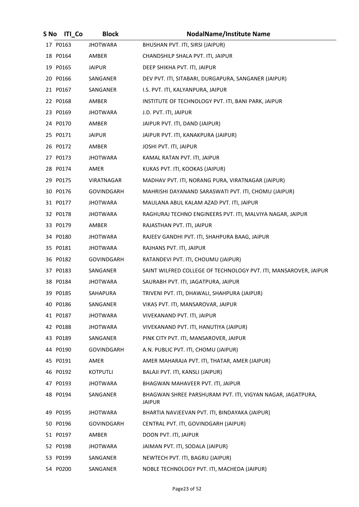| S No | <b>ITI_Co</b> | <b>Block</b>    | <b>NodalName/Institute Name</b>                                             |
|------|---------------|-----------------|-----------------------------------------------------------------------------|
|      | 17 P0163      | <b>JHOTWARA</b> | BHUSHAN PVT. ITI, SIRSI (JAIPUR)                                            |
|      | 18 P0164      | AMBER           | CHANDSHILP SHALA PVT. ITI, JAIPUR                                           |
|      | 19 P0165      | <b>JAIPUR</b>   | DEEP SHIKHA PVT. ITI, JAIPUR                                                |
|      | 20 P0166      | SANGANER        | DEV PVT. ITI, SITABARI, DURGAPURA, SANGANER (JAIPUR)                        |
|      | 21 P0167      | SANGANER        | I.S. PVT. ITI, KALYANPURA, JAIPUR                                           |
|      | 22 P0168      | AMBER           | INSTITUTE OF TECHNOLOGY PVT. ITI, BANI PARK, JAIPUR                         |
|      | 23 P0169      | <b>JHOTWARA</b> | J.D. PVT. ITI, JAIPUR                                                       |
|      | 24 P0170      | AMBER           | JAIPUR PVT. ITI, DAND (JAIPUR)                                              |
|      | 25 P0171      | <b>JAIPUR</b>   | JAIPUR PVT. ITI, KANAKPURA (JAIPUR)                                         |
|      | 26 P0172      | AMBER           | JOSHI PVT. ITI, JAIPUR                                                      |
|      | 27 P0173      | <b>JHOTWARA</b> | KAMAL RATAN PVT. ITI, JAIPUR                                                |
|      | 28 P0174      | AMER            | KUKAS PVT. ITI, KOOKAS (JAIPUR)                                             |
|      | 29 P0175      | VIRATNAGAR      | MADHAV PVT. ITI, NORANG PURA, VIRATNAGAR (JAIPUR)                           |
|      | 30 P0176      | GOVINDGARH      | MAHRISHI DAYANAND SARASWATI PVT. ITI, CHOMU (JAIPUR)                        |
|      | 31 P0177      | <b>JHOTWARA</b> | MAULANA ABUL KALAM AZAD PVT. ITI, JAIPUR                                    |
|      | 32 P0178      | <b>JHOTWARA</b> | RAGHURAJ TECHNO ENGINEERS PVT. ITI, MALVIYA NAGAR, JAIPUR                   |
|      | 33 P0179      | AMBER           | RAJASTHAN PVT. ITI, JAIPUR                                                  |
|      | 34 P0180      | <b>JHOTWARA</b> | RAJEEV GANDHI PVT. ITI, SHAHPURA BAAG, JAIPUR                               |
|      | 35 P0181      | <b>JHOTWARA</b> | RAJHANS PVT. ITI, JAIPUR                                                    |
|      | 36 P0182      | GOVINDGARH      | RATANDEVI PVT. ITI, CHOUMU (JAIPUR)                                         |
|      | 37 P0183      | SANGANER        | SAINT WILFRED COLLEGE OF TECHNOLOGY PVT. ITI, MANSAROVER, JAIPUR            |
|      | 38 P0184      | <b>JHOTWARA</b> | SAURABH PVT. ITI, JAGATPURA, JAIPUR                                         |
|      | 39 P0185      | SAHAPURA        | TRIVENI PVT. ITI, DHAWALI, SHAHPURA (JAIPUR)                                |
|      | 40 P0186      | SANGANER        | VIKAS PVT. ITI, MANSAROVAR, JAIPUR                                          |
|      | 41 P0187      | <b>JHOTWARA</b> | VIVEKANAND PVT. ITI, JAIPUR                                                 |
|      | 42 P0188      | <b>JHOTWARA</b> | VIVEKANAND PVT. ITI, HANUTIYA (JAIPUR)                                      |
|      | 43 P0189      | SANGANER        | PINK CITY PVT. ITI, MANSAROVER, JAIPUR                                      |
|      | 44 P0190      | GOVINDGARH      | A.N. PUBLIC PVT. ITI, CHOMU (JAIPUR)                                        |
|      | 45 P0191      | AMER            | AMER MAHARAJA PVT. ITI, THATAR, AMER (JAIPUR)                               |
|      | 46 P0192      | KOTPUTLI        | BALAJI PVT. ITI, KANSLI (JAIPUR)                                            |
|      | 47 P0193      | <b>JHOTWARA</b> | BHAGWAN MAHAVEER PVT. ITI, JAIPUR                                           |
|      | 48 P0194      | SANGANER        | BHAGWAN SHREE PARSHURAM PVT. ITI, VIGYAN NAGAR, JAGATPURA,<br><b>JAIPUR</b> |
|      | 49 P0195      | <b>JHOTWARA</b> | BHARTIA NAVJEEVAN PVT. ITI, BINDAYAKA (JAIPUR)                              |
|      | 50 P0196      | GOVINDGARH      | CENTRAL PVT. ITI, GOVINDGARH (JAIPUR)                                       |
|      | 51 P0197      | AMBER           | DOON PVT. ITI, JAIPUR                                                       |
|      | 52 P0198      | <b>JHOTWARA</b> | JAIMAN PVT. ITI, SODALA (JAIPUR)                                            |
|      | 53 P0199      | SANGANER        | NEWTECH PVT. ITI, BAGRU (JAIPUR)                                            |
|      | 54 P0200      | SANGANER        | NOBLE TECHNOLOGY PVT. ITI, MACHEDA (JAIPUR)                                 |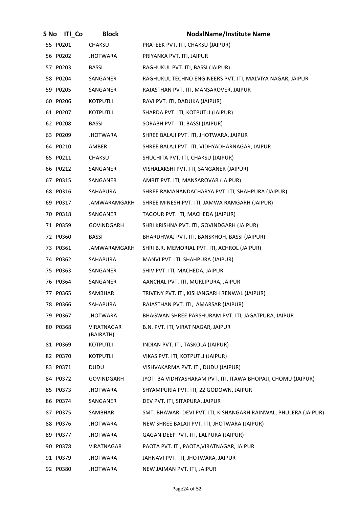| S No | <b>ITI Co</b> | <b>Block</b>            | <b>NodalName/Institute Name</b>                                  |
|------|---------------|-------------------------|------------------------------------------------------------------|
|      | 55 P0201      | CHAKSU                  | PRATEEK PVT. ITI, CHAKSU (JAIPUR)                                |
|      | 56 P0202      | JHOTWARA                | PRIYANKA PVT. ITI, JAIPUR                                        |
|      | 57 P0203      | BASSI                   | RAGHUKUL PVT. ITI, BASSI (JAIPUR)                                |
|      | 58 P0204      | SANGANER                | RAGHUKUL TECHNO ENGINEERS PVT. ITI, MALVIYA NAGAR, JAIPUR        |
|      | 59 P0205      | SANGANER                | RAJASTHAN PVT. ITI, MANSAROVER, JAIPUR                           |
|      | 60 P0206      | KOTPUTLI                | RAVI PVT. ITI, DADUKA (JAIPUR)                                   |
|      | 61 P0207      | KOTPUTLI                | SHARDA PVT. ITI, KOTPUTLI (JAIPUR)                               |
|      | 62 P0208      | <b>BASSI</b>            | SORABH PVT. ITI, BASSI (JAIPUR)                                  |
|      | 63 P0209      | JHOTWARA                | SHREE BALAJI PVT. ITI, JHOTWARA, JAIPUR                          |
|      | 64 P0210      | AMBER                   | SHREE BALAJI PVT. ITI, VIDHYADHARNAGAR, JAIPUR                   |
|      | 65 P0211      | <b>CHAKSU</b>           | SHUCHITA PVT. ITI, CHAKSU (JAIPUR)                               |
|      | 66 P0212      | SANGANER                | VISHALAKSHI PVT. ITI, SANGANER (JAIPUR)                          |
|      | 67 P0315      | SANGANER                | AMRIT PVT. ITI, MANSAROVAR (JAIPUR)                              |
|      | 68 P0316      | SAHAPURA                | SHREE RAMANANDACHARYA PVT. ITI, SHAHPURA (JAIPUR)                |
|      | 69 P0317      | JAMWARAMGARH            | SHREE MINESH PVT. ITI, JAMWA RAMGARH (JAIPUR)                    |
|      | 70 P0318      | SANGANER                | TAGOUR PVT. ITI, MACHEDA (JAIPUR)                                |
|      | 71 P0359      | GOVINDGARH              | SHRI KRISHNA PVT. ITI, GOVINDGARH (JAIPUR)                       |
|      | 72 P0360      | <b>BASSI</b>            | BHARDHWAJ PVT. ITI, BANSKHOH, BASSI (JAIPUR)                     |
|      | 73 P0361      | JAMWARAMGARH            | SHRI B.R. MEMORIAL PVT. ITI, ACHROL (JAIPUR)                     |
|      | 74 P0362      | SAHAPURA                | MANVI PVT. ITI, SHAHPURA (JAIPUR)                                |
|      | 75 P0363      | SANGANER                | SHIV PVT. ITI, MACHEDA, JAIPUR                                   |
|      | 76 P0364      | SANGANER                | AANCHAL PVT. ITI, MURLIPURA, JAIPUR                              |
|      | 77 P0365      | SAMBHAR                 | TRIVENY PVT. ITI, KISHANGARH RENWAL (JAIPUR)                     |
|      | 78 P0366      | <b>SAHAPURA</b>         | RAJASTHAN PVT. ITI, AMARSAR (JAIPUR)                             |
|      | 79 P0367      | <b>JHOTWARA</b>         | BHAGWAN SHREE PARSHURAM PVT. ITI, JAGATPURA, JAIPUR              |
|      | 80 P0368      | VIRATNAGAR<br>(BAIRATH) | B.N. PVT. ITI, VIRAT NAGAR, JAIPUR                               |
|      | 81 P0369      | KOTPUTLI                | INDIAN PVT. ITI, TASKOLA (JAIPUR)                                |
|      | 82 P0370      | KOTPUTLI                | VIKAS PVT. ITI, KOTPUTLI (JAIPUR)                                |
|      | 83 P0371      | <b>DUDU</b>             | VISHVAKARMA PVT. ITI, DUDU (JAIPUR)                              |
|      | 84 P0372      | GOVINDGARH              | JYOTI BA VIDHYASHARAM PVT. ITI, ITAWA BHOPAJI, CHOMU (JAIPUR)    |
|      | 85 P0373      | <b>JHOTWARA</b>         | SHYAMPURIA PVT. ITI, 22 GODOWN, JAIPUR                           |
|      | 86 P0374      | SANGANER                | DEV PVT. ITI, SITAPURA, JAIPUR                                   |
|      | 87 P0375      | SAMBHAR                 | SMT. BHAWARI DEVI PVT. ITI, KISHANGARH RAINWAL, PHULERA (JAIPUR) |
|      | 88 P0376      | <b>JHOTWARA</b>         | NEW SHREE BALAJI PVT. ITI, JHOTWARA (JAIPUR)                     |
|      | 89 P0377      | <b>JHOTWARA</b>         | GAGAN DEEP PVT. ITI, LALPURA (JAIPUR)                            |
|      | 90 P0378      | VIRATNAGAR              | PAOTA PVT. ITI, PAOTA, VIRATNAGAR, JAIPUR                        |
|      | 91 P0379      | <b>JHOTWARA</b>         | JAHNAVI PVT. ITI, JHOTWARA, JAIPUR                               |
|      | 92 P0380      | <b>JHOTWARA</b>         | NEW JAIMAN PVT. ITI, JAIPUR                                      |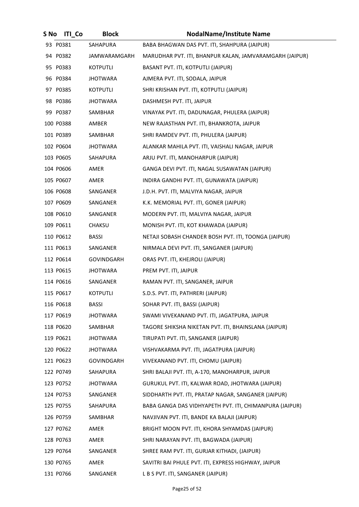| S No | <b>ITI Co</b> | <b>Block</b>      | <b>NodalName/Institute Name</b>                         |
|------|---------------|-------------------|---------------------------------------------------------|
|      | 93 P0381      | SAHAPURA          | BABA BHAGWAN DAS PVT. ITI, SHAHPURA (JAIPUR)            |
|      | 94 P0382      | JAMWARAMGARH      | MARUDHAR PVT. ITI, BHANPUR KALAN, JAMVARAMGARH (JAIPUR) |
|      | 95 P0383      | KOTPUTLI          | BASANT PVT. ITI, KOTPUTLI (JAIPUR)                      |
|      | 96 P0384      | <b>JHOTWARA</b>   | AJMERA PVT. ITI, SODALA, JAIPUR                         |
|      | 97 P0385      | <b>KOTPUTLI</b>   | SHRI KRISHAN PVT. ITI, KOTPUTLI (JAIPUR)                |
|      | 98 P0386      | <b>JHOTWARA</b>   | DASHMESH PVT. ITI, JAIPUR                               |
|      | 99 P0387      | SAMBHAR           | VINAYAK PVT. ITI, DADUNAGAR, PHULERA (JAIPUR)           |
|      | 100 P0388     | AMBER             | NEW RAJASTHAN PVT. ITI, BHANKROTA, JAIPUR               |
|      | 101 P0389     | SAMBHAR           | SHRI RAMDEV PVT. ITI, PHULERA (JAIPUR)                  |
|      | 102 P0604     | JHOTWARA          | ALANKAR MAHILA PVT. ITI, VAISHALI NAGAR, JAIPUR         |
|      | 103 P0605     | SAHAPURA          | ARJU PVT. ITI, MANOHARPUR (JAIPUR)                      |
|      | 104 P0606     | AMER              | GANGA DEVI PVT. ITI, NAGAL SUSAWATAN (JAIPUR)           |
|      | 105 P0607     | AMER              | INDIRA GANDHI PVT. ITI, GUNAWATA (JAIPUR)               |
|      | 106 P0608     | SANGANER          | J.D.H. PVT. ITI, MALVIYA NAGAR, JAIPUR                  |
|      | 107 P0609     | SANGANER          | K.K. MEMORIAL PVT. ITI, GONER (JAIPUR)                  |
|      | 108 P0610     | SANGANER          | MODERN PVT. ITI, MALVIYA NAGAR, JAIPUR                  |
|      | 109 P0611     | <b>CHAKSU</b>     | MONISH PVT. ITI, KOT KHAWADA (JAIPUR)                   |
|      | 110 P0612     | BASSI             | NETAJI SOBASH CHANDER BOSH PVT. ITI, TOONGA (JAIPUR)    |
|      | 111 P0613     | SANGANER          | NIRMALA DEVI PVT. ITI, SANGANER (JAIPUR)                |
|      | 112 P0614     | GOVINDGARH        | ORAS PVT. ITI, KHEJROLI (JAIPUR)                        |
|      | 113 P0615     | JHOTWARA          | PREM PVT. ITI, JAIPUR                                   |
|      | 114 P0616     | SANGANER          | RAMAN PVT. ITI, SANGANER, JAIPUR                        |
|      | 115 P0617     | <b>KOTPUTLI</b>   | S.D.S. PVT. ITI, PATHRERI (JAIPUR)                      |
|      | 116 P0618     | <b>BASSI</b>      | SOHAR PVT. ITI, BASSI (JAIPUR)                          |
|      | 117 P0619     | <b>JHOTWARA</b>   | SWAMI VIVEKANAND PVT. ITI, JAGATPURA, JAIPUR            |
|      | 118 P0620     | SAMBHAR           | TAGORE SHIKSHA NIKETAN PVT. ITI, BHAINSLANA (JAIPUR)    |
|      | 119 P0621     | <b>JHOTWARA</b>   | TIRUPATI PVT. ITI, SANGANER (JAIPUR)                    |
|      | 120 P0622     | <b>JHOTWARA</b>   | VISHVAKARMA PVT. ITI, JAGATPURA (JAIPUR)                |
|      | 121 P0623     | <b>GOVINDGARH</b> | VIVEKANAND PVT. ITI, CHOMU (JAIPUR)                     |
|      | 122 P0749     | SAHAPURA          | SHRI BALAJI PVT. ITI, A-170, MANOHARPUR, JAIPUR         |
|      | 123 P0752     | <b>JHOTWARA</b>   | GURUKUL PVT. ITI, KALWAR ROAD, JHOTWARA (JAIPUR)        |
|      | 124 P0753     | SANGANER          | SIDDHARTH PVT. ITI, PRATAP NAGAR, SANGANER (JAIPUR)     |
|      | 125 P0755     | SAHAPURA          | BABA GANGA DAS VIDHYAPETH PVT. ITI, CHIMANPURA (JAIPUR) |
|      | 126 P0759     | SAMBHAR           | NAVJIVAN PVT. ITI, BANDE KA BALAJI (JAIPUR)             |
|      | 127 P0762     | AMER              | BRIGHT MOON PVT. ITI, KHORA SHYAMDAS (JAIPUR)           |
|      | 128 P0763     | AMER              | SHRI NARAYAN PVT. ITI, BAGWADA (JAIPUR)                 |
|      | 129 P0764     | SANGANER          | SHREE RAM PVT. ITI, GURJAR KITHADI, (JAIPUR)            |
|      | 130 P0765     | AMER              | SAVITRI BAI PHULE PVT. ITI, EXPRESS HIGHWAY, JAIPUR     |
|      | 131 P0766     | SANGANER          | L B S PVT. ITI, SANGANER (JAIPUR)                       |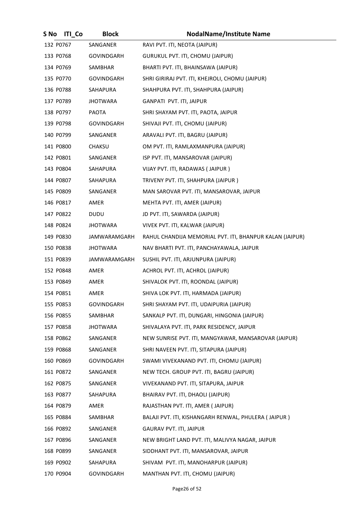| S No      | <b>ITI Co</b> | <b>Block</b>      | <b>NodalName/Institute Name</b>                          |
|-----------|---------------|-------------------|----------------------------------------------------------|
| 132 P0767 |               | SANGANER          | RAVI PVT. ITI, NEOTA (JAIPUR)                            |
| 133 P0768 |               | <b>GOVINDGARH</b> | GURUKUL PVT. ITI, CHOMU (JAIPUR)                         |
| 134 P0769 |               | SAMBHAR           | BHARTI PVT. ITI, BHAINSAWA (JAIPUR)                      |
| 135 P0770 |               | <b>GOVINDGARH</b> | SHRI GIRIRAJ PVT. ITI, KHEJROLI, CHOMU (JAIPUR)          |
| 136 P0788 |               | SAHAPURA          | SHAHPURA PVT. ITI, SHAHPURA (JAIPUR)                     |
| 137 P0789 |               | <b>JHOTWARA</b>   | GANPATI PVT. ITI, JAIPUR                                 |
| 138 P0797 |               | <b>PAOTA</b>      | SHRI SHAYAM PVT. ITI, PAOTA, JAIPUR                      |
| 139 P0798 |               | <b>GOVINDGARH</b> | SHIVAJI PVT. ITI, CHOMU (JAIPUR)                         |
| 140 P0799 |               | SANGANER          | ARAVALI PVT. ITI, BAGRU (JAIPUR)                         |
| 141 P0800 |               | CHAKSU            | OM PVT. ITI, RAMLAXMANPURA (JAIPUR)                      |
| 142 P0801 |               | SANGANER          | ISP PVT. ITI, MANSAROVAR (JAIPUR)                        |
| 143 P0804 |               | SAHAPURA          | VIJAY PVT. ITI, RADAWAS (JAIPUR)                         |
| 144 P0807 |               | SAHAPURA          | TRIVENY PVT. ITI, SHAHPURA (JAIPUR)                      |
| 145 P0809 |               | SANGANER          | MAN SAROVAR PVT. ITI, MANSAROVAR, JAIPUR                 |
| 146 P0817 |               | AMER              | MEHTA PVT. ITI, AMER (JAIPUR)                            |
| 147 P0822 |               | DUDU              | JD PVT. ITI, SAWARDA (JAIPUR)                            |
| 148 P0824 |               | <b>JHOTWARA</b>   | VIVEK PVT. ITI, KALWAR (JAIPUR)                          |
| 149 P0830 |               | JAMWARAMGARH      | RAHUL CHANDIJA MEMORIAL PVT. ITI, BHANPUR KALAN (JAIPUR) |
| 150 P0838 |               | <b>JHOTWARA</b>   | NAV BHARTI PVT. ITI, PANCHAYAWALA, JAIPUR                |
| 151 P0839 |               | JAMWARAMGARH      | SUSHIL PVT. ITI, ARJUNPURA (JAIPUR)                      |
| 152 P0848 |               | AMER              | ACHROL PVT. ITI, ACHROL (JAIPUR)                         |
| 153 P0849 |               | AMER              | SHIVALOK PVT. ITI, ROONDAL (JAIPUR)                      |
| 154 P0851 |               | AMER              | SHIVA LOK PVT. ITI, HARMADA (JAIPUR)                     |
| 155 P0853 |               | <b>GOVINDGARH</b> | SHRI SHAYAM PVT. ITI, UDAIPURIA (JAIPUR)                 |
| 156 P0855 |               | SAMBHAR           | SANKALP PVT. ITI, DUNGARI, HINGONIA (JAIPUR)             |
| 157 P0858 |               | JHOTWARA          | SHIVALAYA PVT. ITI, PARK RESIDENCY, JAIPUR               |
| 158 P0862 |               | SANGANER          | NEW SUNRISE PVT. ITI, MANGYAWAR, MANSAROVAR (JAIPUR)     |
| 159 P0868 |               | SANGANER          | SHRI NAVEEN PVT. ITI, SITAPURA (JAIPUR)                  |
| 160 P0869 |               | <b>GOVINDGARH</b> | SWAMI VIVEKANAND PVT. ITI, CHOMU (JAIPUR)                |
| 161 P0872 |               | SANGANER          | NEW TECH. GROUP PVT. ITI, BAGRU (JAIPUR)                 |
| 162 P0875 |               | SANGANER          | VIVEKANAND PVT. ITI, SITAPURA, JAIPUR                    |
| 163 P0877 |               | SAHAPURA          | BHAIRAV PVT. ITI, DHAOLI (JAIPUR)                        |
| 164 P0879 |               | AMER              | RAJASTHAN PVT. ITI, AMER (JAIPUR)                        |
| 165 P0884 |               | SAMBHAR           | BALAJI PVT. ITI, KISHANGARH RENWAL, PHULERA (JAIPUR)     |
| 166 P0892 |               | SANGANER          | <b>GAURAV PVT. ITI, JAIPUR</b>                           |
| 167 P0896 |               | SANGANER          | NEW BRIGHT LAND PVT. ITI, MALIVYA NAGAR, JAIPUR          |
| 168 P0899 |               | SANGANER          | SIDDHANT PVT. ITI, MANSAROVAR, JAIPUR                    |
| 169 P0902 |               | SAHAPURA          | SHIVAM PVT. ITI, MANOHARPUR (JAIPUR)                     |
| 170 P0904 |               | <b>GOVINDGARH</b> | MANTHAN PVT. ITI, CHOMU (JAIPUR)                         |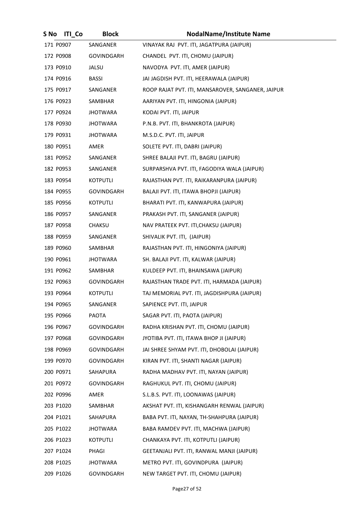| S No      | <b>ITI</b> Co | <b>Block</b>      | <b>NodalName/Institute Name</b>                   |
|-----------|---------------|-------------------|---------------------------------------------------|
| 171 P0907 |               | SANGANER          | VINAYAK RAJ PVT. ITI, JAGATPURA (JAIPUR)          |
| 172 P0908 |               | GOVINDGARH        | CHANDEL PVT. ITI, CHOMU (JAIPUR)                  |
| 173 P0910 |               | JALSU             | NAVODYA PVT. ITI, AMER (JAIPUR)                   |
| 174 P0916 |               | <b>BASSI</b>      | JAI JAGDISH PVT. ITI, HEERAWALA (JAIPUR)          |
| 175 P0917 |               | SANGANER          | ROOP RAJAT PVT. ITI, MANSAROVER, SANGANER, JAIPUR |
| 176 P0923 |               | SAMBHAR           | AARIYAN PVT. ITI, HINGONIA (JAIPUR)               |
| 177 P0924 |               | <b>JHOTWARA</b>   | KODAI PVT. ITI, JAIPUR                            |
| 178 P0930 |               | JHOTWARA          | P.N.B. PVT. ITI, BHANKROTA (JAIPUR)               |
| 179 P0931 |               | <b>JHOTWARA</b>   | M.S.D.C. PVT. ITI, JAIPUR                         |
| 180 P0951 |               | AMER              | SOLETE PVT. ITI, DABRI (JAIPUR)                   |
| 181 P0952 |               | SANGANER          | SHREE BALAJI PVT. ITI, BAGRU (JAIPUR)             |
| 182 P0953 |               | SANGANER          | SURPARSHVA PVT. ITI, FAGODIYA WALA (JAIPUR)       |
| 183 P0954 |               | KOTPUTLI          | RAJASTHAN PVT. ITI, RAIKARANPURA (JAIPUR)         |
| 184 P0955 |               | <b>GOVINDGARH</b> | BALAJI PVT. ITI, ITAWA BHOPJI (JAIPUR)            |
| 185 P0956 |               | KOTPUTLI          | BHARATI PVT. ITI, KANWAPURA (JAIPUR)              |
| 186 P0957 |               | SANGANER          | PRAKASH PVT. ITI, SANGANER (JAIPUR)               |
| 187 P0958 |               | <b>CHAKSU</b>     | NAV PRATEEK PVT. ITI, CHAKSU (JAIPUR)             |
| 188 P0959 |               | SANGANER          | SHIVALIK PVT. ITI, (JAIPUR)                       |
| 189 P0960 |               | SAMBHAR           | RAJASTHAN PVT. ITI, HINGONIYA (JAIPUR)            |
| 190 P0961 |               | JHOTWARA          | SH. BALAJI PVT. ITI, KALWAR (JAIPUR)              |
| 191 P0962 |               | SAMBHAR           | KULDEEP PVT. ITI, BHAINSAWA (JAIPUR)              |
| 192 P0963 |               | <b>GOVINDGARH</b> | RAJASTHAN TRADE PVT. ITI, HARMADA (JAIPUR)        |
| 193 P0964 |               | <b>KOTPUTLI</b>   | TAJ MEMORIAL PVT. ITI, JAGDISHPURA (JAIPUR)       |
| 194 P0965 |               | SANGANER          | SAPIENCE PVT. ITI, JAIPUR                         |
| 195 P0966 |               | PAOTA             | SAGAR PVT. ITI, PAOTA (JAIPUR)                    |
| 196 P0967 |               | GOVINDGARH        | RADHA KRISHAN PVT. ITI, CHOMU (JAIPUR)            |
| 197 P0968 |               | GOVINDGARH        | JYOTIBA PVT. ITI, ITAWA BHOP JI (JAIPUR)          |
| 198 P0969 |               | <b>GOVINDGARH</b> | JAI SHREE SHYAM PVT. ITI, DHOBOLAI (JAIPUR)       |
| 199 P0970 |               | <b>GOVINDGARH</b> | KIRAN PVT. ITI, SHANTI NAGAR (JAIPUR)             |
| 200 P0971 |               | SAHAPURA          | RADHA MADHAV PVT. ITI, NAYAN (JAIPUR)             |
| 201 P0972 |               | GOVINDGARH        | RAGHUKUL PVT. ITI, CHOMU (JAIPUR)                 |
| 202 P0996 |               | AMER              | S.L.B.S. PVT. ITI, LOONAWAS (JAIPUR)              |
| 203 P1020 |               | SAMBHAR           | AKSHAT PVT. ITI, KISHANGARH RENWAL (JAIPUR)       |
| 204 P1021 |               | SAHAPURA          | BABA PVT. ITI, NAYAN, TH-SHAHPURA (JAIPUR)        |
| 205 P1022 |               | <b>JHOTWARA</b>   | BABA RAMDEV PVT. ITI, MACHWA (JAIPUR)             |
| 206 P1023 |               | KOTPUTLI          | CHANKAYA PVT. ITI, KOTPUTLI (JAIPUR)              |
| 207 P1024 |               | PHAGI             | GEETANJALI PVT. ITI, RANWAL MANJI (JAIPUR)        |
| 208 P1025 |               | <b>JHOTWARA</b>   | METRO PVT. ITI, GOVINDPURA (JAIPUR)               |
| 209 P1026 |               | GOVINDGARH        | NEW TARGET PVT. ITI, CHOMU (JAIPUR)               |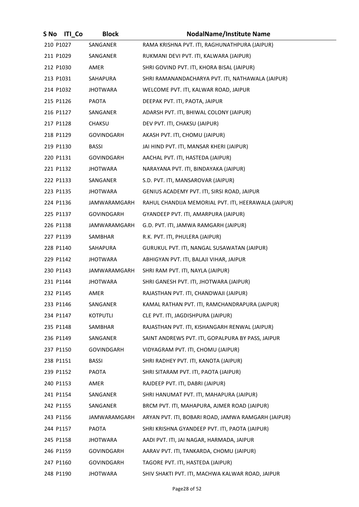| S No      | <b>ITI</b> Co | <b>Block</b>        | <b>NodalName/Institute Name</b>                      |
|-----------|---------------|---------------------|------------------------------------------------------|
| 210 P1027 |               | SANGANER            | RAMA KRISHNA PVT. ITI, RAGHUNATHPURA (JAIPUR)        |
| 211 P1029 |               | SANGANER            | RUKMANI DEVI PVT. ITI, KALWARA (JAIPUR)              |
| 212 P1030 |               | AMER                | SHRI GOVIND PVT. ITI, KHORA BISAL (JAIPUR)           |
| 213 P1031 |               | SAHAPURA            | SHRI RAMANANDACHARYA PVT. ITI, NATHAWALA (JAIPUR)    |
| 214 P1032 |               | <b>JHOTWARA</b>     | WELCOME PVT. ITI, KALWAR ROAD, JAIPUR                |
| 215 P1126 |               | <b>PAOTA</b>        | DEEPAK PVT. ITI, PAOTA, JAIPUR                       |
| 216 P1127 |               | SANGANER            | ADARSH PVT. ITI, BHIWAL COLONY (JAIPUR)              |
| 217 P1128 |               | CHAKSU              | DEV PVT. ITI, CHAKSU (JAIPUR)                        |
| 218 P1129 |               | GOVINDGARH          | AKASH PVT. ITI, CHOMU (JAIPUR)                       |
| 219 P1130 |               | <b>BASSI</b>        | JAI HIND PVT. ITI, MANSAR KHERI (JAIPUR)             |
| 220 P1131 |               | GOVINDGARH          | AACHAL PVT. ITI, HASTEDA (JAIPUR)                    |
| 221 P1132 |               | JHOTWARA            | NARAYANA PVT. ITI, BINDAYAKA (JAIPUR)                |
| 222 P1133 |               | SANGANER            | S.D. PVT. ITI, MANSAROVAR (JAIPUR)                   |
| 223 P1135 |               | JHOTWARA            | GENIUS ACADEMY PVT. ITI, SIRSI ROAD, JAIPUR          |
| 224 P1136 |               | JAMWARAMGARH        | RAHUL CHANDIJA MEMORIAL PVT. ITI, HEERAWALA (JAIPUR) |
| 225 P1137 |               | GOVINDGARH          | GYANDEEP PVT. ITI, AMARPURA (JAIPUR)                 |
| 226 P1138 |               | JAMWARAMGARH        | G.D. PVT. ITI, JAMWA RAMGARH (JAIPUR)                |
| 227 P1139 |               | SAMBHAR             | R.K. PVT. ITI, PHULERA (JAIPUR)                      |
| 228 P1140 |               | SAHAPURA            | GURUKUL PVT. ITI, NANGAL SUSAWATAN (JAIPUR)          |
| 229 P1142 |               | JHOTWARA            | ABHIGYAN PVT. ITI, BALAJI VIHAR, JAIPUR              |
| 230 P1143 |               | JAMWARAMGARH        | SHRI RAM PVT. ITI, NAYLA (JAIPUR)                    |
| 231 P1144 |               | <b>JHOTWARA</b>     | SHRI GANESH PVT. ITI, JHOTWARA (JAIPUR)              |
| 232 P1145 |               | AMER                | RAJASTHAN PVT. ITI, CHANDWAJI (JAIPUR)               |
| 233 P1146 |               | SANGANER            | KAMAL RATHAN PVT. ITI, RAMCHANDRAPURA (JAIPUR)       |
| 234 P1147 |               | KOTPUTLI            | CLE PVT. ITI, JAGDISHPURA (JAIPUR)                   |
| 235 P1148 |               | SAMBHAR             | RAJASTHAN PVT. ITI, KISHANGARH RENWAL (JAIPUR)       |
| 236 P1149 |               | SANGANER            | SAINT ANDREWS PVT. ITI, GOPALPURA BY PASS, JAIPUR    |
| 237 P1150 |               | <b>GOVINDGARH</b>   | VIDYAGRAM PVT. ITI, CHOMU (JAIPUR)                   |
| 238 P1151 |               | <b>BASSI</b>        | SHRI RADHEY PVT. ITI, KANOTA (JAIPUR)                |
| 239 P1152 |               | PAOTA               | SHRI SITARAM PVT. ITI, PAOTA (JAIPUR)                |
| 240 P1153 |               | AMER                | RAJDEEP PVT. ITI, DABRI (JAIPUR)                     |
| 241 P1154 |               | SANGANER            | SHRI HANUMAT PVT. ITI, MAHAPURA (JAIPUR)             |
| 242 P1155 |               | SANGANER            | BRCM PVT. ITI, MAHAPURA, AJMER ROAD (JAIPUR)         |
| 243 P1156 |               | <b>JAMWARAMGARH</b> | ARYAN PVT. ITI, BOBARI ROAD, JAMWA RAMGARH (JAIPUR)  |
| 244 P1157 |               | PAOTA               | SHRI KRISHNA GYANDEEP PVT. ITI, PAOTA (JAIPUR)       |
| 245 P1158 |               | JHOTWARA            | AADI PVT. ITI, JAI NAGAR, HARMADA, JAIPUR            |
| 246 P1159 |               | <b>GOVINDGARH</b>   | AARAV PVT. ITI, TANKARDA, CHOMU (JAIPUR)             |
| 247 P1160 |               | GOVINDGARH          | TAGORE PVT. ITI, HASTEDA (JAIPUR)                    |
| 248 P1190 |               | <b>JHOTWARA</b>     | SHIV SHAKTI PVT. ITI, MACHWA KALWAR ROAD, JAIPUR     |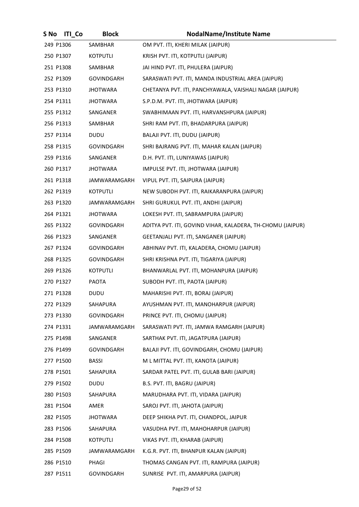| S No      | <b>ITI</b> Co | <b>Block</b>        | <b>NodalName/Institute Name</b>                            |
|-----------|---------------|---------------------|------------------------------------------------------------|
| 249 P1306 |               | SAMBHAR             | OM PVT. ITI, KHERI MILAK (JAIPUR)                          |
| 250 P1307 |               | KOTPUTLI            | KRISH PVT. ITI, KOTPUTLI (JAIPUR)                          |
| 251 P1308 |               | SAMBHAR             | JAI HIND PVT. ITI, PHULERA (JAIPUR)                        |
| 252 P1309 |               | GOVINDGARH          | SARASWATI PVT. ITI, MANDA INDUSTRIAL AREA (JAIPUR)         |
| 253 P1310 |               | <b>JHOTWARA</b>     | CHETANYA PVT. ITI, PANCHYAWALA, VAISHALI NAGAR (JAIPUR)    |
| 254 P1311 |               | <b>JHOTWARA</b>     | S.P.D.M. PVT. ITI, JHOTWARA (JAIPUR)                       |
| 255 P1312 |               | SANGANER            | SWABHIMAAN PVT. ITI, HARVANSHPURA (JAIPUR)                 |
| 256 P1313 |               | SAMBHAR             | SHRI RAM PVT. ITI, BHADARPURA (JAIPUR)                     |
| 257 P1314 |               | DUDU                | BALAJI PVT. ITI, DUDU (JAIPUR)                             |
| 258 P1315 |               | GOVINDGARH          | SHRI BAJRANG PVT. ITI, MAHAR KALAN (JAIPUR)                |
| 259 P1316 |               | SANGANER            | D.H. PVT. ITI, LUNIYAWAS (JAIPUR)                          |
| 260 P1317 |               | <b>JHOTWARA</b>     | IMPULSE PVT. ITI, JHOTWARA (JAIPUR)                        |
| 261 P1318 |               | <b>JAMWARAMGARH</b> | VIPUL PVT. ITI, SAIPURA (JAIPUR)                           |
| 262 P1319 |               | KOTPUTLI            | NEW SUBODH PVT. ITI, RAIKARANPURA (JAIPUR)                 |
| 263 P1320 |               | <b>JAMWARAMGARH</b> | SHRI GURUKUL PVT. ITI, ANDHI (JAIPUR)                      |
| 264 P1321 |               | JHOTWARA            | LOKESH PVT. ITI, SABRAMPURA (JAIPUR)                       |
| 265 P1322 |               | GOVINDGARH          | ADITYA PVT. ITI, GOVIND VIHAR, KALADERA, TH-CHOMU (JAIPUR) |
| 266 P1323 |               | SANGANER            | GEETANJALI PVT. ITI, SANGANER (JAIPUR)                     |
| 267 P1324 |               | GOVINDGARH          | ABHINAV PVT. ITI, KALADERA, CHOMU (JAIPUR)                 |
| 268 P1325 |               | GOVINDGARH          | SHRI KRISHNA PVT. ITI, TIGARIYA (JAIPUR)                   |
| 269 P1326 |               | <b>KOTPUTLI</b>     | BHANWARLAL PVT. ITI, MOHANPURA (JAIPUR)                    |
| 270 P1327 |               | <b>PAOTA</b>        | SUBODH PVT. ITI, PAOTA (JAIPUR)                            |
| 271 P1328 |               | DUDU                | MAHARISHI PVT. ITI, BORAJ (JAIPUR)                         |
| 272 P1329 |               | SAHAPURA            | AYUSHMAN PVT. ITI, MANOHARPUR (JAIPUR)                     |
| 273 P1330 |               | GOVINDGARH          | PRINCE PVT. ITI, CHOMU (JAIPUR)                            |
| 274 P1331 |               | <b>JAMWARAMGARH</b> | SARASWATI PVT. ITI, JAMWA RAMGARH (JAIPUR)                 |
| 275 P1498 |               | SANGANER            | SARTHAK PVT. ITI, JAGATPURA (JAIPUR)                       |
| 276 P1499 |               | GOVINDGARH          | BALAJI PVT. ITI, GOVINDGARH, CHOMU (JAIPUR)                |
| 277 P1500 |               | BASSI               | M L MITTAL PVT. ITI, KANOTA (JAIPUR)                       |
| 278 P1501 |               | SAHAPURA            | SARDAR PATEL PVT. ITI, GULAB BARI (JAIPUR)                 |
| 279 P1502 |               | DUDU                | B.S. PVT. ITI, BAGRU (JAIPUR)                              |
| 280 P1503 |               | SAHAPURA            | MARUDHARA PVT. ITI, VIDARA (JAIPUR)                        |
| 281 P1504 |               | AMER                | SAROJ PVT. ITI, JAHOTA (JAIPUR)                            |
| 282 P1505 |               | JHOTWARA            | DEEP SHIKHA PVT. ITI, CHANDPOL, JAIPUR                     |
| 283 P1506 |               | SAHAPURA            | VASUDHA PVT. ITI, MAHOHARPUR (JAIPUR)                      |
| 284 P1508 |               | KOTPUTLI            | VIKAS PVT. ITI, KHARAB (JAIPUR)                            |
| 285 P1509 |               | JAMWARAMGARH        | K.G.R. PVT. ITI, BHANPUR KALAN (JAIPUR)                    |
| 286 P1510 |               | PHAGI               | THOMAS CANGAN PVT. ITI, RAMPURA (JAIPUR)                   |
| 287 P1511 |               | GOVINDGARH          | SUNRISE PVT. ITI, AMARPURA (JAIPUR)                        |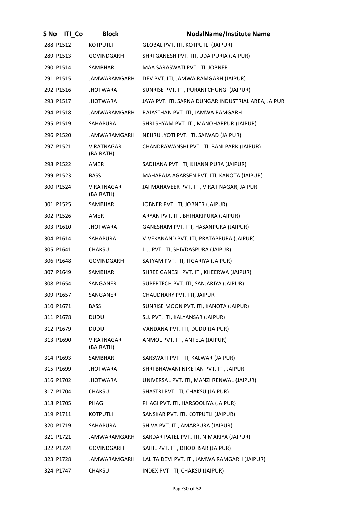| S No      | <b>ITI Co</b> | <b>Block</b>                   | <b>NodalName/Institute Name</b>                     |
|-----------|---------------|--------------------------------|-----------------------------------------------------|
| 288 P1512 |               | <b>KOTPUTLI</b>                | GLOBAL PVT. ITI, KOTPUTLI (JAIPUR)                  |
| 289 P1513 |               | GOVINDGARH                     | SHRI GANESH PVT. ITI, UDAIPURIA (JAIPUR)            |
| 290 P1514 |               | SAMBHAR                        | MAA SARASWATI PVT. ITI, JOBNER                      |
| 291 P1515 |               | JAMWARAMGARH                   | DEV PVT. ITI, JAMWA RAMGARH (JAIPUR)                |
| 292 P1516 |               | JHOTWARA                       | SUNRISE PVT. ITI, PURANI CHUNGI (JAIPUR)            |
| 293 P1517 |               | <b>JHOTWARA</b>                | JAYA PVT. ITI, SARNA DUNGAR INDUSTRIAL AREA, JAIPUR |
| 294 P1518 |               | JAMWARAMGARH                   | RAJASTHAN PVT. ITI, JAMWA RAMGARH                   |
| 295 P1519 |               | SAHAPURA                       | SHRI SHYAM PVT. ITI, MANOHARPUR (JAIPUR)            |
| 296 P1520 |               | JAMWARAMGARH                   | NEHRU JYOTI PVT. ITI, SAIWAD (JAIPUR)               |
| 297 P1521 |               | <b>VIRATNAGAR</b><br>(BAIRATH) | CHANDRAWANSHI PVT. ITI, BANI PARK (JAIPUR)          |
| 298 P1522 |               | AMER                           | SADHANA PVT. ITI, KHANNIPURA (JAIPUR)               |
| 299 P1523 |               | <b>BASSI</b>                   | MAHARAJA AGARSEN PVT. ITI, KANOTA (JAIPUR)          |
| 300 P1524 |               | <b>VIRATNAGAR</b><br>(BAIRATH) | JAI MAHAVEER PVT. ITI, VIRAT NAGAR, JAIPUR          |
| 301 P1525 |               | SAMBHAR                        | JOBNER PVT. ITI, JOBNER (JAIPUR)                    |
| 302 P1526 |               | AMER                           | ARYAN PVT. ITI, BHIHARIPURA (JAIPUR)                |
| 303 P1610 |               | JHOTWARA                       | GANESHAM PVT. ITI, HASANPURA (JAIPUR)               |
| 304 P1614 |               | SAHAPURA                       | VIVEKANAND PVT. ITI, PRATAPPURA (JAIPUR)            |
| 305 P1641 |               | <b>CHAKSU</b>                  | L.J. PVT. ITI, SHIVDASPURA (JAIPUR)                 |
| 306 P1648 |               | GOVINDGARH                     | SATYAM PVT. ITI, TIGARIYA (JAIPUR)                  |
| 307 P1649 |               | <b>SAMBHAR</b>                 | SHREE GANESH PVT. ITI, KHEERWA (JAIPUR)             |
| 308 P1654 |               | SANGANER                       | SUPERTECH PVT. ITI, SANJARIYA (JAIPUR)              |
| 309 P1657 |               | SANGANER                       | CHAUDHARY PVT. ITI, JAIPUR                          |
| 310 P1671 |               | BASSI                          | SUNRISE MOON PVT. ITI, KANOTA (JAIPUR)              |
| 311 P1678 |               | <b>DUDU</b>                    | S.J. PVT. ITI, KALYANSAR (JAIPUR)                   |
| 312 P1679 |               | <b>DUDU</b>                    | VANDANA PVT. ITI, DUDU (JAIPUR)                     |
| 313 P1690 |               | VIRATNAGAR<br>(BAIRATH)        | ANMOL PVT. ITI, ANTELA (JAIPUR)                     |
| 314 P1693 |               | SAMBHAR                        | SARSWATI PVT. ITI, KALWAR (JAIPUR)                  |
| 315 P1699 |               | <b>JHOTWARA</b>                | SHRI BHAWANI NIKETAN PVT. ITI, JAIPUR               |
| 316 P1702 |               | <b>JHOTWARA</b>                | UNIVERSAL PVT. ITI, MANZI RENWAL (JAIPUR)           |
| 317 P1704 |               | <b>CHAKSU</b>                  | SHASTRI PVT. ITI, CHAKSU (JAIPUR)                   |
| 318 P1705 |               | PHAGI                          | PHAGI PVT. ITI, HARSOOLIYA (JAIPUR)                 |
| 319 P1711 |               | KOTPUTLI                       | SANSKAR PVT. ITI, KOTPUTLI (JAIPUR)                 |
| 320 P1719 |               | SAHAPURA                       | SHIVA PVT. ITI, AMARPURA (JAIPUR)                   |
| 321 P1721 |               | JAMWARAMGARH                   | SARDAR PATEL PVT. ITI, NIMARIYA (JAIPUR)            |
| 322 P1724 |               | <b>GOVINDGARH</b>              | SAHIL PVT. ITI, DHODHSAR (JAIPUR)                   |
| 323 P1728 |               | JAMWARAMGARH                   | LALITA DEVI PVT. ITI, JAMWA RAMGARH (JAIPUR)        |
| 324 P1747 |               | CHAKSU                         | INDEX PVT. ITI, CHAKSU (JAIPUR)                     |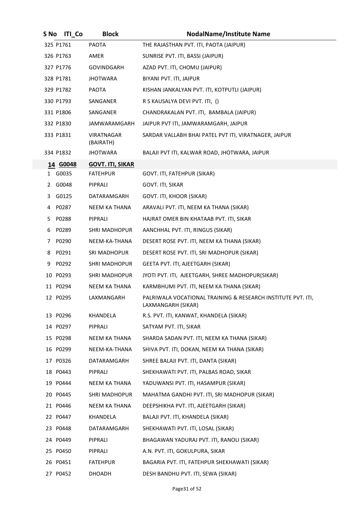| S No | <b>ITI</b> Co | <b>Block</b>            | <b>NodalName/Institute Name</b>                                                    |
|------|---------------|-------------------------|------------------------------------------------------------------------------------|
|      | 325 P1761     | <b>PAOTA</b>            | THE RAJASTHAN PVT. ITI, PAOTA (JAIPUR)                                             |
|      | 326 P1763     | AMER                    | SUNRISE PVT. ITI, BASSI (JAIPUR)                                                   |
|      | 327 P1776     | <b>GOVINDGARH</b>       | AZAD PVT. ITI, CHOMU (JAIPUR)                                                      |
|      | 328 P1781     | <b>JHOTWARA</b>         | BIYANI PVT. ITI, JAIPUR                                                            |
|      | 329 P1782     | <b>PAOTA</b>            | KISHAN JANKALYAN PVT. ITI, KOTPUTLI (JAIPUR)                                       |
|      | 330 P1793     | SANGANER                | R S KAUSALYA DEVI PVT. ITI, ()                                                     |
|      | 331 P1806     | SANGANER                | CHANDRAKALAN PVT. ITI, BAMBALA (JAIPUR)                                            |
|      | 332 P1830     | JAMWARAMGARH            | JAIPUR PVT ITI, JAMWARAMGARH, JAIPUR                                               |
|      | 333 P1831     | VIRATNAGAR<br>(BAIRATH) | SARDAR VALLABH BHAI PATEL PVT ITI, VIRATNAGER, JAIPUR                              |
|      | 334 P1832     | <b>JHOTWARA</b>         | BALAJI PVT ITI, KALWAR ROAD, JHOTWARA, JAIPUR                                      |
|      | 14 G0048      | <b>GOVT. ITI, SIKAR</b> |                                                                                    |
|      | 1 G0035       | <b>FATEHPUR</b>         | GOVT. ITI, FATEHPUR (SIKAR)                                                        |
|      | 2 G0048       | PIPRALI                 | GOVT. ITI, SIKAR                                                                   |
| 3    | G0125         | DATARAMGARH             | GOVT. ITI, KHOOR (SIKAR)                                                           |
| 4    | P0287         | <b>NEEM KA THANA</b>    | ARAVALI PVT. ITI, NEEM KA THANA (SIKAR)                                            |
| 5.   | P0288         | PIPRALI                 | HAJRAT OMER BIN KHATAAB PVT. ITI, SIKAR                                            |
| 6    | P0289         | <b>SHRI MADHOPUR</b>    | AANCHHAL PVT. ITI, RINGUS (SIKAR)                                                  |
| 7    | P0290         | NEEM-KA-THANA           | DESERT ROSE PVT. ITI, NEEM KA THANA (SIKAR)                                        |
| 8    | P0291         | <b>SRI MADHOPUR</b>     | DESERT ROSE PVT. ITI, SRI MADHOPUR (SIKAR)                                         |
| 9    | P0292         | <b>SHRI MADHOPUR</b>    | GEETA PVT. ITI, AJEETGARH (SIKAR)                                                  |
|      | 10 P0293      | <b>SHRI MADHOPUR</b>    | JYOTI PVT. ITI, AJEETGARH, SHREE MADHOPUR(SIKAR)                                   |
|      | 11 P0294      | NEEM KA THANA           | KARMBHUMI PVT. ITI, NEEM KA THANA (SIKAR)                                          |
|      | 12 P0295      | LAXMANGARH              | PALRIWALA VOCATIONAL TRAINING & RESEARCH INSTITUTE PVT. ITI,<br>LAXMANGARH (SIKAR) |
|      | 13 P0296      | KHANDELA                | R.S. PVT. ITI, KANWAT, KHANDELA (SIKAR)                                            |
|      | 14 P0297      | PIPRALI                 | SATYAM PVT. ITI, SIKAR                                                             |
|      | 15 P0298      | <b>NEEM KA THANA</b>    | SHARDA SADAN PVT. ITI, NEEM KA THANA (SIKAR)                                       |
|      | 16 P0299      | NEEM-KA-THANA           | SHIVA PVT. ITI, DOKAN, NEEM KA THANA (SIKAR)                                       |
|      | 17 P0326      | DATARAMGARH             | SHREE BALAJI PVT. ITI, DANTA (SIKAR)                                               |
|      | 18 P0443      | PIPRALI                 | SHEKHAWATI PVT. ITI, PALBAS ROAD, SIKAR                                            |
|      | 19 P0444      | NEEM KA THANA           | YADUWANSI PVT. ITI, HASAMPUR (SIKAR)                                               |
|      | 20 P0445      | SHRI MADHOPUR           | MAHATMA GANDHI PVT. ITI, SRI MADHOPUR (SIKAR)                                      |
|      | 21 P0446      | NEEM KA THANA           | DEEPSHIKHA PVT. ITI, AJEETGARH (SIKAR)                                             |
|      | 22 P0447      | KHANDELA                | BALAJI PVT. ITI, KHANDELA (SIKAR)                                                  |
|      | 23 P0448      | DATARAMGARH             | SHEKHAWATI PVT. ITI, LOSAL (SIKAR)                                                 |
|      | 24 P0449      | PIPRALI                 | BHAGAWAN YADURAJ PVT. ITI, RANOLI (SIKAR)                                          |
|      | 25 P0450      | PIPRALI                 | A.N. PVT. ITI, GOKULPURA, SIKAR                                                    |
|      | 26 P0451      | <b>FATEHPUR</b>         | BAGARIA PVT. ITI, FATEHPUR SHEKHAWATI (SIKAR)                                      |
| 27   | P0452         | <b>DHOADH</b>           | DESH BANDHU PVT. ITI, SEWA (SIKAR)                                                 |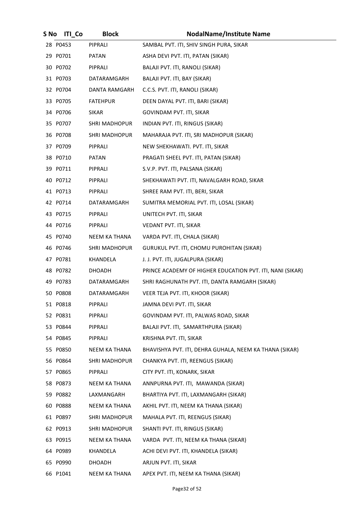| S No | <b>ITI Co</b> | <b>Block</b>         | <b>NodalName/Institute Name</b>                           |
|------|---------------|----------------------|-----------------------------------------------------------|
|      | 28 P0453      | PIPRALI              | SAMBAL PVT. ITI, SHIV SINGH PURA, SIKAR                   |
|      | 29 P0701      | PATAN                | ASHA DEVI PVT. ITI, PATAN (SIKAR)                         |
|      | 30 P0702      | PIPRALI              | BALAJI PVT. ITI, RANOLI (SIKAR)                           |
|      | 31 P0703      | DATARAMGARH          | BALAJI PVT. ITI, BAY (SIKAR)                              |
|      | 32 P0704      | DANTA RAMGARH        | C.C.S. PVT. ITI, RANOLI (SIKAR)                           |
|      | 33 P0705      | <b>FATEHPUR</b>      | DEEN DAYAL PVT. ITI, BARI (SIKAR)                         |
|      | 34 P0706      | <b>SIKAR</b>         | GOVINDAM PVT. ITI, SIKAR                                  |
|      | 35 P0707      | SHRI MADHOPUR        | INDIAN PVT. ITI, RINGUS (SIKAR)                           |
|      | 36 P0708      | <b>SHRI MADHOPUR</b> | MAHARAJA PVT. ITI, SRI MADHOPUR (SIKAR)                   |
|      | 37 P0709      | PIPRALI              | NEW SHEKHAWATI. PVT. ITI, SIKAR                           |
|      | 38 P0710      | PATAN                | PRAGATI SHEEL PVT. ITI, PATAN (SIKAR)                     |
|      | 39 P0711      | PIPRALI              | S.V.P. PVT. ITI, PALSANA (SIKAR)                          |
|      | 40 P0712      | PIPRALI              | SHEKHAWATI PVT. ITI, NAVALGARH ROAD, SIKAR                |
|      | 41 P0713      | PIPRALI              | SHREE RAM PVT. ITI, BERI, SIKAR                           |
|      | 42 P0714      | DATARAMGARH          | SUMITRA MEMORIAL PVT. ITI, LOSAL (SIKAR)                  |
|      | 43 P0715      | PIPRALI              | UNITECH PVT. ITI, SIKAR                                   |
|      | 44 P0716      | PIPRALI              | VEDANT PVT. ITI, SIKAR                                    |
|      | 45 P0740      | NEEM KA THANA        | VARDA PVT. ITI, CHALA (SIKAR)                             |
|      | 46 P0746      | <b>SHRI MADHOPUR</b> | GURUKUL PVT. ITI, CHOMU PUROHITAN (SIKAR)                 |
|      | 47 P0781      | KHANDELA             | J. J. PVT. ITI, JUGALPURA (SIKAR)                         |
|      | 48 P0782      | DHOADH               | PRINCE ACADEMY OF HIGHER EDUCATION PVT. ITI, NANI (SIKAR) |
|      | 49 P0783      | DATARAMGARH          | SHRI RAGHUNATH PVT. ITI, DANTA RAMGARH (SIKAR)            |
|      | 50 P0808      | DATARAMGARH          | VEER TEJA PVT. ITI, KHOOR (SIKAR)                         |
|      | 51 P0818      | PIPRALI              | JAMNA DEVI PVT. ITI, SIKAR                                |
|      | 52 P0831      | PIPRALI              | GOVINDAM PVT. ITI, PALWAS ROAD, SIKAR                     |
|      | 53 P0844      | PIPRALI              | BALAJI PVT. ITI, SAMARTHPURA (SIKAR)                      |
|      | 54 P0845      | PIPRALI              | KRISHNA PVT. ITI, SIKAR                                   |
|      | 55 P0850      | NEEM KA THANA        | BHAVISHYA PVT. ITI, DEHRA GUHALA, NEEM KA THANA (SIKAR)   |
|      | 56 P0864      | <b>SHRI MADHOPUR</b> | CHANKYA PVT. ITI, REENGUS (SIKAR)                         |
|      | 57 P0865      | PIPRALI              | CITY PVT. ITI, KONARK, SIKAR                              |
|      | 58 P0873      | NEEM KA THANA        | ANNPURNA PVT. ITI, MAWANDA (SIKAR)                        |
|      | 59 P0882      | LAXMANGARH           | BHARTIYA PVT. ITI, LAXMANGARH (SIKAR)                     |
|      | 60 P0888      | NEEM KA THANA        | AKHIL PVT. ITI, NEEM KA THANA (SIKAR)                     |
|      | 61 P0897      | <b>SHRI MADHOPUR</b> | MAHALA PVT. ITI, REENGUS (SIKAR)                          |
|      | 62 P0913      | <b>SHRI MADHOPUR</b> | SHANTI PVT. ITI, RINGUS (SIKAR)                           |
|      | 63 P0915      | NEEM KA THANA        | VARDA PVT. ITI, NEEM KA THANA (SIKAR)                     |
|      | 64 P0989      | KHANDELA             | ACHI DEVI PVT. ITI, KHANDELA (SIKAR)                      |
|      | 65 P0990      | <b>DHOADH</b>        | ARJUN PVT. ITI, SIKAR                                     |
|      | 66 P1041      | NEEM KA THANA        | APEX PVT. ITI, NEEM KA THANA (SIKAR)                      |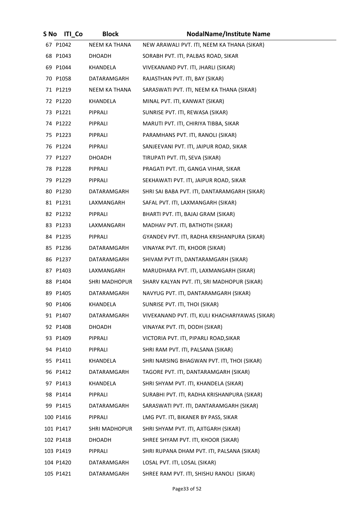| S No | <b>ITI Co</b> | <b>Block</b>         | <b>NodalName/Institute Name</b>                 |
|------|---------------|----------------------|-------------------------------------------------|
|      | 67 P1042      | NEEM KA THANA        | NEW ARAWALI PVT. ITI, NEEM KA THANA (SIKAR)     |
|      | 68 P1043      | DHOADH               | SORABH PVT. ITI, PALBAS ROAD, SIKAR             |
|      | 69 P1044      | KHANDELA             | VIVEKANAND PVT. ITI, JHARLI (SIKAR)             |
|      | 70 P1058      | DATARAMGARH          | RAJASTHAN PVT. ITI, BAY (SIKAR)                 |
|      | 71 P1219      | NEEM KA THANA        | SARASWATI PVT. ITI, NEEM KA THANA (SIKAR)       |
|      | 72 P1220      | KHANDELA             | MINAL PVT. ITI, KANWAT (SIKAR)                  |
|      | 73 P1221      | PIPRALI              | SUNRISE PVT. ITI, REWASA (SIKAR)                |
|      | 74 P1222      | PIPRALI              | MARUTI PVT. ITI, CHIRIYA TIBBA, SIKAR           |
|      | 75 P1223      | PIPRALI              | PARAMHANS PVT. ITI, RANOLI (SIKAR)              |
|      | 76 P1224      | PIPRALI              | SANJEEVANI PVT. ITI, JAIPUR ROAD, SIKAR         |
|      | 77 P1227      | DHOADH               | TIRUPATI PVT. ITI, SEVA (SIKAR)                 |
|      | 78 P1228      | PIPRALI              | PRAGATI PVT. ITI, GANGA VIHAR, SIKAR            |
|      | 79 P1229      | PIPRALI              | SEKHAWATI PVT. ITI, JAIPUR ROAD, SIKAR          |
|      | 80 P1230      | DATARAMGARH          | SHRI SAI BABA PVT. ITI, DANTARAMGARH (SIKAR)    |
|      | 81 P1231      | LAXMANGARH           | SAFAL PVT. ITI, LAXMANGARH (SIKAR)              |
|      | 82 P1232      | PIPRALI              | BHARTI PVT. ITI, BAJAJ GRAM (SIKAR)             |
|      | 83 P1233      | LAXMANGARH           | MADHAV PVT. ITI, BATHOTH (SIKAR)                |
|      | 84 P1235      | PIPRALI              | GYANDEV PVT. ITI, RADHA KRISHANPURA (SIKAR)     |
|      | 85 P1236      | DATARAMGARH          | VINAYAK PVT. ITI, KHOOR (SIKAR)                 |
|      | 86 P1237      | DATARAMGARH          | SHIVAM PVT ITI, DANTARAMGARH (SIKAR)            |
|      | 87 P1403      | LAXMANGARH           | MARUDHARA PVT. ITI, LAXMANGARH (SIKAR)          |
|      | 88 P1404      | <b>SHRI MADHOPUR</b> | SHARV KALYAN PVT. ITI, SRI MADHOPUR (SIKAR)     |
|      | 89 P1405      | DATARAMGARH          | NAVYUG PVT. ITI, DANTARAMGARH (SIKAR)           |
|      | 90 P1406      | KHANDELA             | SUNRISE PVT. ITI, THOI (SIKAR)                  |
|      | 91 P1407      | DATARAMGARH          | VIVEKANAND PVT. ITI, KULI KHACHARIYAWAS (SIKAR) |
|      | 92 P1408      | <b>DHOADH</b>        | VINAYAK PVT. ITI, DODH (SIKAR)                  |
|      | 93 P1409      | PIPRALI              | VICTORIA PVT. ITI, PIPARLI ROAD, SIKAR          |
|      | 94 P1410      | PIPRALI              | SHRI RAM PVT. ITI, PALSANA (SIKAR)              |
|      | 95 P1411      | KHANDELA             | SHRI NARSING BHAGWAN PVT. ITI, THOI (SIKAR)     |
|      | 96 P1412      | <b>DATARAMGARH</b>   | TAGORE PVT. ITI, DANTARAMGARH (SIKAR)           |
|      | 97 P1413      | KHANDELA             | SHRI SHYAM PVT. ITI, KHANDELA (SIKAR)           |
|      | 98 P1414      | PIPRALI              | SURABHI PVT. ITI, RADHA KRISHANPURA (SIKAR)     |
|      | 99 P1415      | DATARAMGARH          | SARASWATI PVT. ITI, DANTARAMGARH (SIKAR)        |
|      | 100 P1416     | PIPRALI              | LMG PVT. ITI, BIKANER BY PASS, SIKAR            |
|      | 101 P1417     | SHRI MADHOPUR        | SHRI SHYAM PVT. ITI, AJITGARH (SIKAR)           |
|      | 102 P1418     | <b>DHOADH</b>        | SHREE SHYAM PVT. ITI, KHOOR (SIKAR)             |
|      | 103 P1419     | PIPRALI              | SHRI RUPANA DHAM PVT. ITI, PALSANA (SIKAR)      |
|      | 104 P1420     | DATARAMGARH          | LOSAL PVT. ITI, LOSAL (SIKAR)                   |
|      | 105 P1421     | DATARAMGARH          | SHREE RAM PVT. ITI, SHISHU RANOLI (SIKAR)       |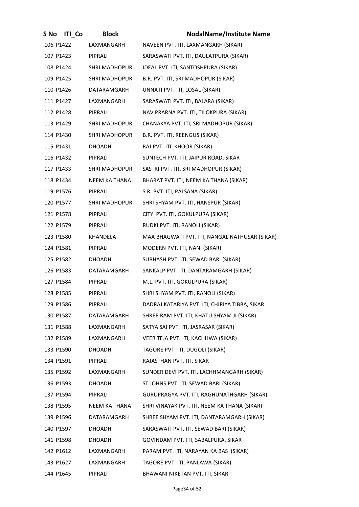| S No      | <b>ITI</b> Co | <b>Block</b>         | <b>NodalName/Institute Name</b>                |
|-----------|---------------|----------------------|------------------------------------------------|
| 106 P1422 |               | LAXMANGARH           | NAVEEN PVT. ITI, LAXMANGARH (SIKAR)            |
| 107 P1423 |               | PIPRALI              | SARASWATI PVT. ITI, DAULATPURA (SIKAR)         |
| 108 P1424 |               | <b>SHRI MADHOPUR</b> | IDEAL PVT. ITI, SANTOSHPURA (SIKAR)            |
| 109 P1425 |               | SHRI MADHOPUR        | B.R. PVT. ITI, SRI MADHOPUR (SIKAR)            |
| 110 P1426 |               | DATARAMGARH          | UNNATI PVT. ITI, LOSAL (SIKAR)                 |
| 111 P1427 |               | LAXMANGARH           | SARASWATI PVT. ITI, BALARA (SIKAR)             |
| 112 P1428 |               | PIPRALI              | NAV PRARNA PVT. ITI, TILOKPURA (SIKAR)         |
| 113 P1429 |               | <b>SHRI MADHOPUR</b> | CHANAKYA PVT. ITI, SRI MADHOPUR (SIKAR)        |
| 114 P1430 |               | SHRI MADHOPUR        | B.R. PVT. ITI, REENGUS (SIKAR)                 |
| 115 P1431 |               | DHOADH               | RAJ PVT. ITI, KHOOR (SIKAR)                    |
| 116 P1432 |               | PIPRALI              | SUNTECH PVT. ITI, JAIPUR ROAD, SIKAR           |
| 117 P1433 |               | <b>SHRI MADHOPUR</b> | SASTRI PVT. ITI, SRI MADHOPUR (SIKAR)          |
| 118 P1434 |               | NEEM KA THANA        | BHARAT PVT. ITI, NEEM KA THANA (SIKAR)         |
| 119 P1576 |               | PIPRALI              | S.R. PVT. ITI, PALSANA (SIKAR)                 |
| 120 P1577 |               | SHRI MADHOPUR        | SHRI SHYAM PVT. ITI, HANSPUR (SIKAR)           |
| 121 P1578 |               | PIPRALI              | CITY PVT. ITI, GOKULPURA (SIKAR)               |
| 122 P1579 |               | PIPRALI              | RUDKI PVT. ITI, RANOLI (SIKAR)                 |
| 123 P1580 |               | KHANDELA             | MAA BHAGWATI PVT. ITI, NANGAL NATHUSAR (SIKAR) |
| 124 P1581 |               | PIPRALI              | MODERN PVT. ITI, NANI (SIKAR)                  |
| 125 P1582 |               | DHOADH               | SUBHASH PVT. ITI, SEWAD BARI (SIKAR)           |
| 126 P1583 |               | DATARAMGARH          | SANKALP PVT. ITI, DANTARAMGARH (SIKAR)         |
| 127 P1584 |               | PIPRALI              | M.L. PVT. ITI, GOKULPURA (SIKAR)               |
| 128 P1585 |               | PIPRALI              | SHRI SHYAM PVT. ITI, RANOLI (SIKAR)            |
| 129 P1586 |               | PIPRALI              | DADRAJ KATARIYA PVT. ITI, CHIRIYA TIBBA, SIKAR |
| 130 P1587 |               | DATARAMGARH          | SHREE RAM PVT. ITI, KHATU SHYAM JI (SIKAR)     |
| 131 P1588 |               | LAXMANGARH           | SATYA SAI PVT. ITI, JASRASAR (SIKAR)           |
| 132 P1589 |               | LAXMANGARH           | VEER TEJA PVT. ITI, KACHHWA (SIKAR)            |
| 133 P1590 |               | <b>DHOADH</b>        | TAGORE PVT. ITI, DUGOLI (SIKAR)                |
| 134 P1591 |               | PIPRALI              | RAJASTHAN PVT. ITI, SIKAR                      |
| 135 P1592 |               | LAXMANGARH           | SUNDER DEVI PVT. ITI, LACHHMANGARH (SIKAR)     |
| 136 P1593 |               | <b>DHOADH</b>        | ST.JOHNS PVT. ITI, SEWAD BARI (SIKAR)          |
| 137 P1594 |               | PIPRALI              | GURUPRAGYA PVT. ITI, RAGHUNATHGARH (SIKAR)     |
| 138 P1595 |               | NEEM KA THANA        | SHRI VINAYAK PVT. ITI, NEEM KA THANA (SIKAR)   |
| 139 P1596 |               | DATARAMGARH          | SHREE SHYAM PVT. ITI, DANTARAMGARH (SIKAR)     |
| 140 P1597 |               | DHOADH               | SARASWATI PVT. ITI, SEWAD BARI (SIKAR)         |
| 141 P1598 |               | DHOADH               | GOVINDAM PVT. ITI, SABALPURA, SIKAR            |
| 142 P1612 |               | LAXMANGARH           | PARAM PVT. ITI, NARAYAN KA BAS (SIKAR)         |
| 143 P1627 |               | LAXMANGARH           | TAGORE PVT. ITI, PANLAWA (SIKAR)               |
| 144 P1645 |               | PIPRALI              | BHAWANI NIKETAN PVT. ITI, SIKAR                |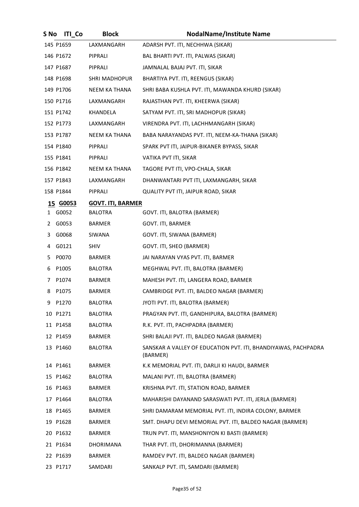| S No | <b>ITI Co</b> | <b>Block</b>             | <b>NodalName/Institute Name</b>                                            |
|------|---------------|--------------------------|----------------------------------------------------------------------------|
|      | 145 P1659     | LAXMANGARH               | ADARSH PVT. ITI, NECHHWA (SIKAR)                                           |
|      | 146 P1672     | PIPRALI                  | BAL BHARTI PVT. ITI, PALWAS (SIKAR)                                        |
|      | 147 P1687     | PIPRALI                  | JAMNALAL BAJAJ PVT. ITI, SIKAR                                             |
|      | 148 P1698     | <b>SHRI MADHOPUR</b>     | BHARTIYA PVT. ITI, REENGUS (SIKAR)                                         |
|      | 149 P1706     | NEEM KA THANA            | SHRI BABA KUSHLA PVT. ITI, MAWANDA KHURD (SIKAR)                           |
|      | 150 P1716     | LAXMANGARH               | RAJASTHAN PVT. ITI, KHEERWA (SIKAR)                                        |
|      | 151 P1742     | KHANDELA                 | SATYAM PVT. ITI, SRI MADHOPUR (SIKAR)                                      |
|      | 152 P1773     | LAXMANGARH               | VIRENDRA PVT. ITI, LACHHMANGARH (SIKAR)                                    |
|      | 153 P1787     | NEEM KA THANA            | BABA NARAYANDAS PVT. ITI, NEEM-KA-THANA (SIKAR)                            |
|      | 154 P1840     | PIPRALI                  | SPARK PVT ITI, JAIPUR-BIKANER BYPASS, SIKAR                                |
|      | 155 P1841     | PIPRALI                  | VATIKA PVT ITI, SIKAR                                                      |
|      | 156 P1842     | NEEM KA THANA            | TAGORE PVT ITI, VPO-CHALA, SIKAR                                           |
|      | 157 P1843     | LAXMANGARH               | DHANWANTARI PVT ITI, LAXMANGARH, SIKAR                                     |
|      | 158 P1844     | PIPRALI                  | QUALITY PVT ITI, JAIPUR ROAD, SIKAR                                        |
|      | 15 G0053      | <b>GOVT. ITI, BARMER</b> |                                                                            |
|      | 1 G0052       | BALOTRA                  | GOVT. ITI, BALOTRA (BARMER)                                                |
| 2    | G0053         | BARMER                   | GOVT. ITI, BARMER                                                          |
|      | 3 G0068       | SIWANA                   | GOVT. ITI, SIWANA (BARMER)                                                 |
| 4    | G0121         | <b>SHIV</b>              | GOVT. ITI, SHEO (BARMER)                                                   |
|      | 5 P0070       | BARMER                   | JAI NARAYAN VYAS PVT. ITI, BARMER                                          |
| 6    | P1005         | <b>BALOTRA</b>           | MEGHWAL PVT. ITI, BALOTRA (BARMER)                                         |
|      | 7 P1074       | BARMER                   | MAHESH PVT. ITI, LANGERA ROAD, BARMER                                      |
| 8    | P1075         | <b>BARMER</b>            | CAMBRIDGE PVT. ITI, BALDEO NAGAR (BARMER)                                  |
| 9    | P1270         | BALOTRA                  | JYOTI PVT. ITI, BALOTRA (BARMER)                                           |
|      | 10 P1271      | BALOTRA                  | PRAGYAN PVT. ITI, GANDHIPURA, BALOTRA (BARMER)                             |
|      | 11 P1458      | BALOTRA                  | R.K. PVT. ITI, PACHPADRA (BARMER)                                          |
|      | 12 P1459      | BARMER                   | SHRI BALAJI PVT. ITI, BALDEO NAGAR (BARMER)                                |
|      | 13 P1460      | BALOTRA                  | SANSKAR A VALLEY OF EDUCATION PVT. ITI, BHANDIYAWAS, PACHPADRA<br>(BARMER) |
|      | 14 P1461      | BARMER                   | K.K MEMORIAL PVT. ITI, DARLJI KI HAUDI, BARMER                             |
|      | 15 P1462      | BALOTRA                  | MALANI PVT. ITI, BALOTRA (BARMER)                                          |
|      | 16 P1463      | BARMER                   | KRISHNA PVT. ITI, STATION ROAD, BARMER                                     |
|      | 17 P1464      | BALOTRA                  | MAHARISHI DAYANAND SARASWATI PVT. ITI, JERLA (BARMER)                      |
|      | 18 P1465      | BARMER                   | SHRI DAMARAM MEMORIAL PVT. ITI, INDIRA COLONY, BARMER                      |
|      | 19 P1628      | BARMER                   | SMT. DHAPU DEVI MEMORIAL PVT. ITI, BALDEO NAGAR (BARMER)                   |
|      | 20 P1632      | BARMER                   | TRUN PVT. ITI, MANSHONIYON KI BASTI (BARMER)                               |
|      | 21 P1634      | DHORIMANA                | THAR PVT. ITI, DHORIMANNA (BARMER)                                         |
|      | 22 P1639      | BARMER                   | RAMDEV PVT. ITI, BALDEO NAGAR (BARMER)                                     |
|      | 23 P1717      | SAMDARI                  | SANKALP PVT. ITI, SAMDARI (BARMER)                                         |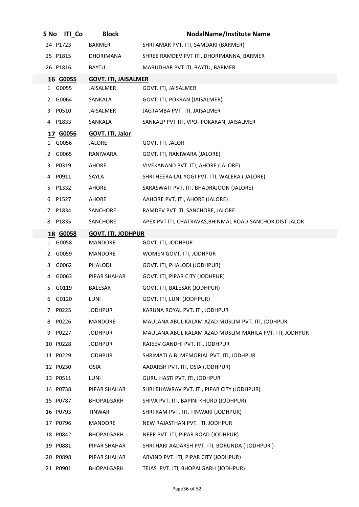| S No         | <b>ITI_Co</b> | <b>Block</b>                | <b>NodalName/Institute Name</b>                           |
|--------------|---------------|-----------------------------|-----------------------------------------------------------|
|              | 24 P1723      | <b>BARMER</b>               | SHRI AMAR PVT. ITI, SAMDARI (BARMER)                      |
|              | 25 P1815      | DHORIMANA                   | SHREE RAMDEV PVT ITI, DHORIMANNA, BARMER                  |
|              | 26 P1816      | <b>BAYTU</b>                | MARUDHAR PVT ITI, BAYTU, BARMER                           |
|              | 16 G0055      | <b>GOVT. ITI, JAISALMER</b> |                                                           |
|              | 1 G0055       | <b>JAISALMER</b>            | GOVT. ITI, JAISALMER                                      |
| 2            | G0064         | SANKALA                     | GOVT. ITI, POKRAN (JAISALMER)                             |
| 3            | P0510         | JAISALMER                   | JAGTAMBA PVT. ITI, JAISALMER                              |
|              | 4 P1833       | SANKALA                     | SANKALP PVT ITI, VPO- POKARAN, JAISALMER                  |
|              | 17 G0056      | <b>GOVT. ITI, Jalor</b>     |                                                           |
| 1            | G0056         | JALORE                      | GOVT. ITI, JALOR                                          |
| 2            | G0065         | RANIWARA                    | GOVT. ITI, RANIWARA (JALORE)                              |
| 3.           | P0319         | AHORE                       | VIVEKANAND PVT. ITI, AHORE (JALORE)                       |
| 4            | P0911         | SAYLA                       | SHRI HEERA LAL YOGI PVT. ITI, WALERA ( JALORE)            |
| 5.           | P1332         | AHORE                       | SARASWATI PVT. ITI, BHADRAJOON (JALORE)                   |
| 6            | P1527         | <b>AHORE</b>                | AAHORE PVT. ITI, AHORE (JALORE)                           |
| 7            | P1834         | SANCHORE                    | RAMDEV PVT ITI, SANCHORE, JALORE                          |
| 8            | P1835         | SANCHORE                    | APEX PVT ITI, CHATRAVAS, BHINMAL ROAD-SANCHOR, DIST-JALOR |
|              | 18 G0058      | <b>GOVT. ITI, JODHPUR</b>   |                                                           |
| $\mathbf{1}$ | G0058         | MANDORE                     | GOVT. ITI, JODHPUR                                        |
| 2            | G0059         | MANDORE                     | WOMEN GOVT. ITI, JODHPUR                                  |
| 3            | G0062         | PHALODI                     | GOVT. ITI, PHALODI (JODHPUR)                              |
| 4            | G0063         | PIPAR SHAHAR                | GOVT. ITI, PIPAR CITY (JODHPUR)                           |
| 5.           | G0119         | <b>BALESAR</b>              | GOVT. ITI, BALESAR (JODHPUR)                              |
| 6            | G0120         | LUNI                        | GOVT. ITI, LUNI (JODHPUR)                                 |
| 7            | P0225         | <b>JODHPUR</b>              | KARUNA ROYAL PVT. ITI, JODHPUR                            |
| 8            | P0226         | MANDORE                     | MAULANA ABUL KALAM AZAD MUSLIM PVT. ITI, JODHPUR          |
| 9            | P0227         | <b>JODHPUR</b>              | MAULANA ABUL KALAM AZAD MUSLIM MAHILA PVT. ITI, JODHPUR   |
|              | 10 P0228      | <b>JODHPUR</b>              | RAJEEV GANDHI PVT. ITI, JODHPUR                           |
|              | 11 P0229      | <b>JODHPUR</b>              | SHRIMATI A.B. MEMORIAL PVT. ITI, JODHPUR                  |
|              | 12 P0230      | <b>OSIA</b>                 | AADARSH PVT. ITI, OSIA (JODHPUR)                          |
|              | 13 P0511      | LUNI                        | <b>GURU HASTI PVT. ITI, JODHPUR</b>                       |
|              | 14 P0738      | PIPAR SHAHAR                | SHRI BHAWRAV PVT. ITI, PIPAR CITY (JODHPUR)               |
|              | 15 P0787      | BHOPALGARH                  | SHIVA PVT. ITI, BAPINI KHURD (JODHPUR)                    |
|              | 16 P0793      | <b>TINWARI</b>              | SHRI RAM PVT. ITI, TINWARI (JODHPUR)                      |
|              | 17 P0796      | MANDORE                     | NEW RAJASTHAN PVT. ITI, JODHPUR                           |
|              | 18 P0842      | BHOPALGARH                  | NEER PVT. ITI, PIPAR ROAD (JODHPUR)                       |
|              | 19 P0881      | PIPAR SHAHAR                | SHRI HARI AADARSH PVT. ITI, BORUNDA (JODHPUR)             |
|              | 20 P0898      | PIPAR SHAHAR                | ARVIND PVT. ITI, PIPAR CITY (JODHPUR)                     |
|              | 21 P0901      | BHOPALGARH                  | TEJAS PVT. ITI, BHOPALGARH (JODHPUR)                      |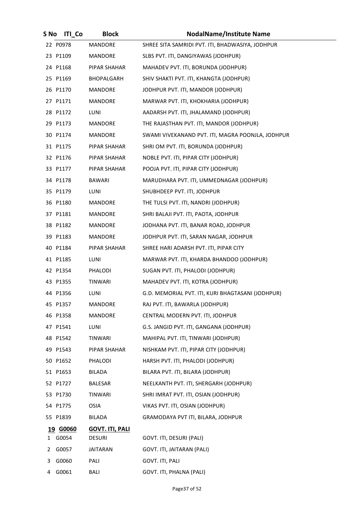| S No | <b>ITI Co</b>     | <b>Block</b>                            | <b>NodalName/Institute Name</b>                   |
|------|-------------------|-----------------------------------------|---------------------------------------------------|
|      | 22 P0978          | MANDORE                                 | SHREE SITA SAMRIDI PVT. ITI, BHADWASIYA, JODHPUR  |
|      | 23 P1109          | MANDORE                                 | SLBS PVT. ITI, DANGIYAWAS (JODHPUR)               |
|      | 24 P1168          | PIPAR SHAHAR                            | MAHADEV PVT. ITI, BORUNDA (JODHPUR)               |
|      | 25 P1169          | BHOPALGARH                              | SHIV SHAKTI PVT. ITI, KHANGTA (JODHPUR)           |
|      | 26 P1170          | MANDORE                                 | JODHPUR PVT. ITI, MANDOR (JODHPUR)                |
|      | 27 P1171          | <b>MANDORE</b>                          | MARWAR PVT. ITI, KHOKHARIA (JODHPUR)              |
|      | 28 P1172          | LUNI                                    | AADARSH PVT. ITI, JHALAMAND (JODHPUR)             |
|      | 29 P1173          | MANDORE                                 | THE RAJASTHAN PVT. ITI, MANDOR (JODHPUR)          |
|      | 30 P1174          | <b>MANDORE</b>                          | SWAMI VIVEKANAND PVT. ITI, MAGRA POONJLA, JODHPUR |
|      | 31 P1175          | PIPAR SHAHAR                            | SHRI OM PVT. ITI, BORUNDA (JODHPUR)               |
|      | 32 P1176          | PIPAR SHAHAR                            | NOBLE PVT. ITI, PIPAR CITY (JODHPUR)              |
|      | 33 P1177          | PIPAR SHAHAR                            | POOJA PVT. ITI, PIPAR CITY (JODHPUR)              |
|      | 34 P1178          | <b>BAWARI</b>                           | MARUDHARA PVT. ITI, UMMEDNAGAR (JODHPUR)          |
|      | 35 P1179          | LUNI                                    | SHUBHDEEP PVT. ITI, JODHPUR                       |
|      | 36 P1180          | MANDORE                                 | THE TULSI PVT. ITI, NANDRI (JODHPUR)              |
|      | 37 P1181          | <b>MANDORE</b>                          | SHRI BALAJI PVT. ITI, PAOTA, JODHPUR              |
|      | 38 P1182          | <b>MANDORE</b>                          | JODHANA PVT. ITI, BANAR ROAD, JODHPUR             |
|      | 39 P1183          | <b>MANDORE</b>                          | JODHPUR PVT. ITI, SARAN NAGAR, JODHPUR            |
|      | 40 P1184          | PIPAR SHAHAR                            | SHREE HARI ADARSH PVT. ITI, PIPAR CITY            |
|      | 41 P1185          | LUNI                                    | MARWAR PVT. ITI, KHARDA BHANDOO (JODHPUR)         |
|      | 42 P1354          | PHALODI                                 | SUGAN PVT. ITI, PHALODI (JODHPUR)                 |
|      | 43 P1355          | <b>TINWARI</b>                          | MAHADEV PVT. ITI, KOTRA (JODHPUR)                 |
|      | 44 P1356          | <b>LUNI</b>                             | G.D. MEMORIAL PVT. ITI, KURI BHAGTASANI (JODHPUR) |
|      | 45 P1357          | MANDORE                                 | RAJ PVT. ITI, BAWARLA (JODHPUR)                   |
|      | 46 P1358          | MANDORE                                 | CENTRAL MODERN PVT. ITI, JODHPUR                  |
|      | 47 P1541          | LUNI                                    | G.S. JANGID PVT. ITI, GANGANA (JODHPUR)           |
|      | 48 P1542          | <b>TINWARI</b>                          | MAHIPAL PVT. ITI, TINWARI (JODHPUR)               |
|      | 49 P1543          | PIPAR SHAHAR                            | NISHKAM PVT. ITI, PIPAR CITY (JODHPUR)            |
|      | 50 P1652          | PHALODI                                 | HARSH PVT. ITI, PHALODI (JODHPUR)                 |
|      | 51 P1653          | BILADA                                  | BILARA PVT. ITI, BILARA (JODHPUR)                 |
|      | 52 P1727          | BALESAR                                 | NEELKANTH PVT. ITI, SHERGARH (JODHPUR)            |
|      | 53 P1730          | TINWARI                                 | SHRI IMRAT PVT. ITI, OSIAN (JODHPUR)              |
|      | 54 P1775          | <b>OSIA</b>                             | VIKAS PVT. ITI, OSIAN (JODHPUR)                   |
|      | 55 P1839          | BILADA                                  | GRAMODAYA PVT ITI, BILARA, JODHPUR                |
| 1    | 19 G0060<br>G0054 | <b>GOVT. ITI, PALI</b><br><b>DESURI</b> | GOVT. ITI, DESURI (PALI)                          |
| 2    | G0057             | <b>JAITARAN</b>                         | GOVT. ITI, JAITARAN (PALI)                        |
| 3    | G0060             | PALI                                    | GOVT. ITI, PALI                                   |
| 4    | G0061             | BALI                                    | GOVT. ITI, PHALNA (PALI)                          |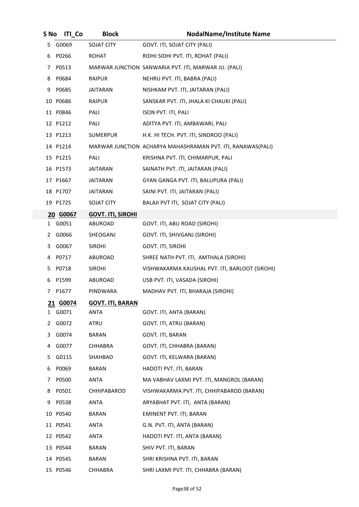| S No | <b>ITI Co</b> | <b>Block</b>             | <b>NodalName/Institute Name</b>                             |
|------|---------------|--------------------------|-------------------------------------------------------------|
| 5.   | G0069         | SOJAT CITY               | GOVT. ITI, SOJAT CITY (PALI)                                |
|      | 6 P0266       | <b>ROHAT</b>             | RIDHI SIDHI PVT. ITI, ROHAT (PALI)                          |
| 7    | P0513         |                          | MARWAR JUNCTION SANWARIA PVT. ITI, MARWAR JU. (PALI)        |
|      | 8 P0684       | RAIPUR                   | NEHRU PVT. ITI, BABRA (PALI)                                |
| 9    | P0685         | <b>JAITARAN</b>          | NISHKAM PVT. ITI, JAITARAN (PALI)                           |
|      | 10 P0686      | RAIPUR                   | SANSKAR PVT. ITI, JHALA KI CHAUKI (PALI)                    |
|      | 11 P0846      | PALI                     | ISON PVT. ITI, PALI                                         |
|      | 12 P1212      | PALI                     | ADITYA PVT. ITI, AMBAWARI, PALI                             |
|      | 13 P1213      | SUMERPUR                 | H.K. HI TECH. PVT. ITI, SINDROO (PALI)                      |
|      | 14 P1214      |                          | MARWAR JUNCTION ACHARYA MAHASHRAMAN PVT. ITI, RANAWAS(PALI) |
|      | 15 P1215      | PALI                     | KRISHNA PVT. ITI, CHIMARPUR, PALI                           |
|      | 16 P1573      | JAITARAN                 | SAINATH PVT. ITI, JAITARAN (PALI)                           |
|      | 17 P1667      | <b>JAITARAN</b>          | GYAN GANGA PVT. ITI, BALUPURA (PALI)                        |
|      | 18 P1707      | <b>JAITARAN</b>          | SAINI PVT. ITI, JAITARAN (PALI)                             |
|      | 19 P1725      | SOJAT CITY               | BALAJI PVT ITI, SOJAT CITY (PALI)                           |
|      | 20 G0067      | <b>GOVT. ITI, SIROHI</b> |                                                             |
|      | 1 G0051       | ABUROAD                  | GOVT. ITI, ABU ROAD (SIROHI)                                |
|      | 2 G0066       | SHEOGANJ                 | GOVT. ITI, SHIVGANJ (SIROHI)                                |
| 3.   | G0067         | <b>SIROHI</b>            | GOVT. ITI, SIROHI                                           |
|      | 4 P0717       | ABUROAD                  | SHREE NATH PVT. ITI, AMTHALA (SIROHI)                       |
| 5    | P0718         | <b>SIROHI</b>            | VISHWAKARMA KAUSHAL PVT. ITI, BARLOOT (SIROHI)              |
| 6    | P1599         | ABUROAD                  | USB PVT. ITI, VASADA (SIROHI)                               |
| 7    | P1677         | PINDWARA                 | MADHAV PVT. ITI, BHARAJA (SIROHI)                           |
|      | 21 G0074      | <b>GOVT. ITI, BARAN</b>  |                                                             |
| 1    | G0071         | <b>ANTA</b>              | GOVT. ITI, ANTA (BARAN)                                     |
| 2    | G0072         | ATRU                     | GOVT. ITI, ATRU (BARAN)                                     |
| 3.   | G0074         | BARAN                    | GOVT. ITI, BARAN                                            |
| 4    | G0077         | CHHABRA                  | GOVT. ITI, CHHABRA (BARAN)                                  |
| 5.   | G0115         | SHAHBAD                  | GOVT. ITI, KELWARA (BARAN)                                  |
| 6    | P0069         | <b>BARAN</b>             | HADOTI PVT. ITI, BARAN                                      |
| 7    | P0500         | ANTA                     | MA VABHAV LAXMI PVT. ITI, MANGROL (BARAN)                   |
| 8    | P0501         | CHHIPABAROD              | VISHWAKARMA PVT. ITI, CHHIPABAROD (BARAN)                   |
| 9    | P0538         | <b>ANTA</b>              | ARYABHAT PVT. ITI, ANTA (BARAN)                             |
|      | 10 P0540      | <b>BARAN</b>             | EMINENT PVT. ITI, BARAN                                     |
|      | 11 P0541      | ANTA                     | G.N. PVT. ITI, ANTA (BARAN)                                 |
|      | 12 P0542      | <b>ANTA</b>              | HADOTI PVT. ITI, ANTA (BARAN)                               |
|      | 13 P0544      | <b>BARAN</b>             | SHIV PVT. ITI, BARAN                                        |
|      | 14 P0545      | <b>BARAN</b>             | SHRI KRISHNA PVT. ITI, BARAN                                |
|      | 15 P0546      | CHHABRA                  | SHRI LAXMI PVT. ITI, CHHABRA (BARAN)                        |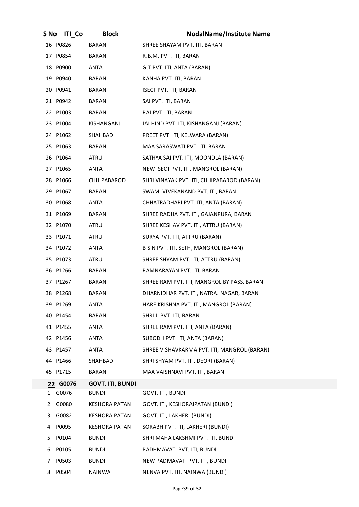| S No | <b>ITI Co</b> | <b>Block</b>            | <b>NodalName/Institute Name</b>             |
|------|---------------|-------------------------|---------------------------------------------|
|      | 16 P0826      | <b>BARAN</b>            | SHREE SHAYAM PVT. ITI, BARAN                |
|      | 17 P0854      | BARAN                   | R.B.M. PVT. ITI, BARAN                      |
|      | 18 P0900      | ANTA                    | G.T PVT. ITI, ANTA (BARAN)                  |
|      | 19 P0940      | BARAN                   | KANHA PVT. ITI, BARAN                       |
|      | 20 P0941      | BARAN                   | <b>ISECT PVT. ITI, BARAN</b>                |
|      | 21 P0942      | BARAN                   | SAI PVT. ITI, BARAN                         |
|      | 22 P1003      | <b>BARAN</b>            | RAJ PVT. ITI, BARAN                         |
|      | 23 P1004      | KISHANGANJ              | JAI HIND PVT. ITI, KISHANGANJ (BARAN)       |
|      | 24 P1062      | SHAHBAD                 | PREET PVT. ITI, KELWARA (BARAN)             |
|      | 25 P1063      | <b>BARAN</b>            | MAA SARASWATI PVT. ITI, BARAN               |
|      | 26 P1064      | ATRU                    | SATHYA SAI PVT. ITI, MOONDLA (BARAN)        |
|      | 27 P1065      | ANTA                    | NEW ISECT PVT. ITI, MANGROL (BARAN)         |
|      | 28 P1066      | CHHIPABAROD             | SHRI VINAYAK PVT. ITI, CHHIPABAROD (BARAN)  |
|      | 29 P1067      | BARAN                   | SWAMI VIVEKANAND PVT. ITI, BARAN            |
|      | 30 P1068      | ANTA                    | CHHATRADHARI PVT. ITI, ANTA (BARAN)         |
|      | 31 P1069      | BARAN                   | SHREE RADHA PVT. ITI, GAJANPURA, BARAN      |
|      | 32 P1070      | ATRU                    | SHREE KESHAV PVT. ITI, ATTRU (BARAN)        |
|      | 33 P1071      | ATRU                    | SURYA PVT. ITI, ATTRU (BARAN)               |
|      | 34 P1072      | ANTA                    | B S N PVT. ITI, SETH, MANGROL (BARAN)       |
|      | 35 P1073      | ATRU                    | SHREE SHYAM PVT. ITI, ATTRU (BARAN)         |
|      | 36 P1266      | BARAN                   | RAMNARAYAN PVT. ITI, BARAN                  |
|      | 37 P1267      | BARAN                   | SHREE RAM PVT. ITI, MANGROL BY PASS, BARAN  |
|      | 38 P1268      | <b>BARAN</b>            | DHARNIDHAR PVT. ITI, NATRAJ NAGAR, BARAN    |
|      | 39 P1269      | <b>ANTA</b>             | HARE KRISHNA PVT. ITI, MANGROL (BARAN)      |
|      | 40 P1454      | BARAN                   | SHRI JI PVT. ITI, BARAN                     |
|      | 41 P1455      | ANTA                    | SHREE RAM PVT. ITI, ANTA (BARAN)            |
|      | 42 P1456      | ANTA                    | SUBODH PVT. ITI, ANTA (BARAN)               |
|      | 43 P1457      | ANTA                    | SHREE VISHAVKARMA PVT. ITI, MANGROL (BARAN) |
|      | 44 P1466      | SHAHBAD                 | SHRI SHYAM PVT. ITI, DEORI (BARAN)          |
|      | 45 P1715      | <b>BARAN</b>            | MAA VAISHNAVI PVT. ITI, BARAN               |
|      | 22 G0076      | <b>GOVT. ITI, BUNDI</b> |                                             |
|      | 1 G0076       | <b>BUNDI</b>            | GOVT. ITI, BUNDI                            |
| 2    | G0080         | <b>KESHORAIPATAN</b>    | GOVT. ITI, KESHORAIPATAN (BUNDI)            |
| 3    | G0082         | KESHORAIPATAN           | GOVT. ITI, LAKHERI (BUNDI)                  |
| 4    | P0095         | KESHORAIPATAN           | SORABH PVT. ITI, LAKHERI (BUNDI)            |
| 5    | P0104         | <b>BUNDI</b>            | SHRI MAHA LAKSHMI PVT. ITI, BUNDI           |
| 6    | P0105         | <b>BUNDI</b>            | PADHMAVATI PVT. ITI, BUNDI                  |
| 7    | P0503         | <b>BUNDI</b>            | NEW PADMAVATI PVT. ITI, BUNDI               |
| 8    | P0504         | NAINWA                  | NENVA PVT. ITI, NAINWA (BUNDI)              |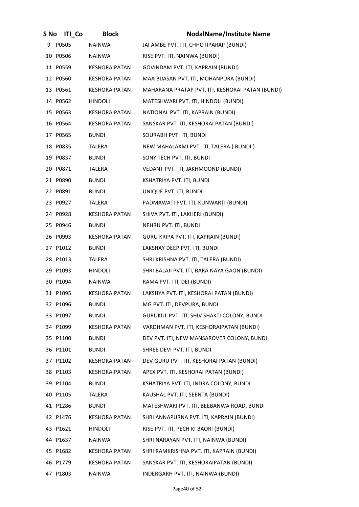| S No | <b>ITI Co</b> | <b>Block</b>         | <b>NodalName/Institute Name</b>                  |
|------|---------------|----------------------|--------------------------------------------------|
| 9.   | P0505         | <b>NAINWA</b>        | JAI AMBE PVT. ITI, CHHOTIPARAP (BUNDI)           |
|      | 10 P0506      | NAINWA               | RISE PVT. ITI, NAINWA (BUNDI)                    |
|      | 11 P0559      | KESHORAIPATAN        | GOVINDAM PVT. ITI, KAPRAIN (BUNDI)               |
|      | 12 P0560      | KESHORAIPATAN        | MAA BIJASAN PVT. ITI, MOHANPURA (BUNDI)          |
|      | 13 P0561      | <b>KESHORAIPATAN</b> | MAHARANA PRATAP PVT. ITI, KESHORAI PATAN (BUNDI) |
|      | 14 P0562      | <b>HINDOLI</b>       | MATESHWARI PVT. ITI, HINDOLI (BUNDI)             |
|      | 15 P0563      | KESHORAIPATAN        | NATIONAL PVT. ITI, KAPRAIN (BUNDI)               |
|      | 16 P0564      | KESHORAIPATAN        | SANSKAR PVT. ITI, KESHORAI PATAN (BUNDI)         |
|      | 17 P0565      | <b>BUNDI</b>         | SOURABH PVT. ITI, BUNDI                          |
|      | 18 P0835      | TALERA               | NEW MAHALAXMI PVT. ITI, TALERA ( BUNDI )         |
|      | 19 P0837      | <b>BUNDI</b>         | SONY TECH PVT. ITI, BUNDI                        |
|      | 20 P0871      | TALERA               | VEDANT PVT. ITI, JAKHMOOND (BUNDI)               |
|      | 21 P0890      | <b>BUNDI</b>         | KSHATRIYA PVT. ITI, BUNDI                        |
|      | 22 P0891      | <b>BUNDI</b>         | UNIQUE PVT. ITI, BUNDI                           |
|      | 23 P0927      | <b>TALERA</b>        | PADMAWATI PVT. ITI, KUNWARTI (BUNDI)             |
|      | 24 P0928      | KESHORAIPATAN        | SHIVA PVT. ITI, LAKHERI (BUNDI)                  |
|      | 25 P0946      | <b>BUNDI</b>         | NEHRU PVT. ITI, BUNDI                            |
|      | 26 P0993      | KESHORAIPATAN        | GURU KRIPA PVT. ITI, KAPRAIN (BUNDI)             |
|      | 27 P1012      | <b>BUNDI</b>         | LAKSHAY DEEP PVT. ITI, BUNDI                     |
|      | 28 P1013      | TALERA               | SHRI KRISHNA PVT. ITI, TALERA (BUNDI)            |
|      | 29 P1093      | <b>HINDOLI</b>       | SHRI BALAJI PVT. ITI, BARA NAYA GAON (BUNDI)     |
|      | 30 P1094      | NAINWA               | RAMA PVT. ITI, DEI (BUNDI)                       |
|      | 31 P1095      | KESHORAIPATAN        | LAKSHYA PVT. ITI, KESHORAI PATAN (BUNDI)         |
|      | 32 P1096      | <b>BUNDI</b>         | MG PVT. ITI, DEVPURA, BUNDI                      |
|      | 33 P1097      | <b>BUNDI</b>         | GURUKUL PVT. ITI, SHIV SHAKTI COLONY, BUNDI      |
|      | 34 P1099      | KESHORAIPATAN        | VARDHMAN PVT. ITI, KESHORAIPATAN (BUNDI)         |
|      | 35 P1100      | <b>BUNDI</b>         | DEV PVT. ITI, NEW MANSAROVER COLONY, BUNDI       |
|      | 36 P1101      | <b>BUNDI</b>         | SHREE DEVI PVT. ITI, BUNDI                       |
|      | 37 P1102      | KESHORAIPATAN        | DEV GURU PVT. ITI, KESHORAI PATAN (BUNDI)        |
|      | 38 P1103      | KESHORAIPATAN        | APEX PVT. ITI, KESHORAI PATAN (BUNDI)            |
|      | 39 P1104      | <b>BUNDI</b>         | KSHATRIYA PVT. ITI, INDRA COLONY, BUNDI          |
|      | 40 P1105      | TALERA               | KAUSHAL PVT. ITI, SEENTA (BUNDI)                 |
|      | 41 P1286      | <b>BUNDI</b>         | MATESHWARI PVT. ITI, BEEBANWA ROAD, BUNDI        |
|      | 42 P1476      | KESHORAIPATAN        | SHRI ANNAPURNA PVT. ITI, KAPRAIN (BUNDI)         |
|      | 43 P1621      | <b>HINDOLI</b>       | RISE PVT. ITI, PECH KI BAORI (BUNDI)             |
|      | 44 P1637      | <b>NAINWA</b>        | SHRI NARAYAN PVT. ITI, NAINWA (BUNDI)            |
|      | 45 P1682      | KESHORAIPATAN        | SHRI RAMKRISHNA PVT. ITI, KAPRAIN (BUNDI)        |
|      | 46 P1779      | <b>KESHORAIPATAN</b> | SANSKAR PVT. ITI, KESHORAIPATAN (BUNDI)          |
|      | 47 P1803      | <b>NAINWA</b>        | INDERGARH PVT. ITI, NAINWA (BUNDI)               |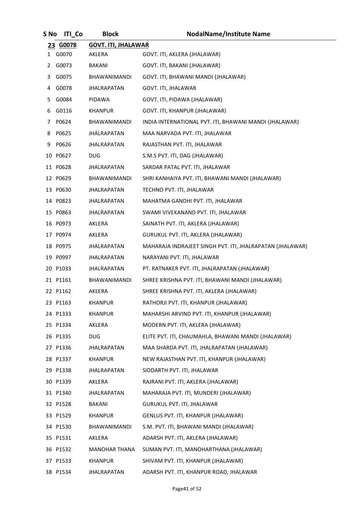| S No      | <b>ITI</b> Co | <b>Block</b>               | <b>NodalName/Institute Name</b>                           |
|-----------|---------------|----------------------------|-----------------------------------------------------------|
|           | 23 G0078      | <b>GOVT. ITI, JHALAWAR</b> |                                                           |
| $1 \quad$ | G0070         | AKLERA                     | GOVT. ITI, AKLERA (JHALAWAR)                              |
| 2         | G0073         | BAKANI                     | GOVT. ITI, BAKANI (JHALAWAR)                              |
| 3         | G0075         | BHAWANIMANDI               | GOVT. ITI, BHAWANI MANDI (JHALAWAR)                       |
| 4         | G0078         | <b>JHALRAPATAN</b>         | GOVT. ITI, JHALAWAR                                       |
| 5.        | G0084         | PIDAWA                     | GOVT. ITI, PIDAWA (JHALAWAR)                              |
| 6         | G0116         | KHANPUR                    | GOVT. ITI, KHANPUR (JHALAWAR)                             |
|           | 7 P0624       | BHAWANIMANDI               | INDIA INTERNATIONAL PVT. ITI, BHAWANI MANDI (JHALAWAR)    |
| 8         | P0625         | <b>JHALRAPATAN</b>         | MAA NARVADA PVT. ITI, JHALAWAR                            |
| 9         | P0626         | JHALRAPATAN                | RAJASTHAN PVT. ITI, JHALAWAR                              |
|           | 10 P0627      | <b>DUG</b>                 | S.M.S PVT. ITI, DAG (JHALAWAR)                            |
|           | 11 P0628      | JHALRAPATAN                | SARDAR PATAL PVT. ITI, JHALAWAR                           |
|           | 12 P0629      | <b>BHAWANIMANDI</b>        | SHRI KANHAIYA PVT. ITI, BHAWANI MANDI (JHALAWAR)          |
|           | 13 P0630      | <b>JHALRAPATAN</b>         | TECHNO PVT. ITI, JHALAWAR                                 |
|           | 14 P0823      | JHALRAPATAN                | MAHATMA GANDHI PVT. ITI, JHALAWAR                         |
|           | 15 P0863      | JHALRAPATAN                | SWAMI VIVEKANAND PVT. ITI, JHALAWAR                       |
|           | 16 P0973      | AKLERA                     | SAINATH PVT. ITI, AKLERA (JHALAWAR)                       |
|           | 17 P0974      | AKLERA                     | GURUKUL PVT. ITI, AKLERA (JHALAWAR)                       |
|           | 18 P0975      | JHALRAPATAN                | MAHARAJA INDRAJEET SINGH PVT. ITI, JHALRAPATAN (JHALAWAR) |
|           | 19 P0997      | JHALRAPATAN                | NARAYANI PVT. ITI, JHALAWAR                               |
|           | 20 P1033      | <b>JHALRAPATAN</b>         | PT. RATNAKER PVT. ITI, JHALRAPATAN (JHALAWAR)             |
|           | 21 P1161      | BHAWANIMANDI               | SHREE KRISHNA PVT. ITI, BHAWANI MANDI (JHALAWAR)          |
|           | 22 P1162      | AKLERA                     | SHREE KRISHNA PVT. ITI, AKLERA (JHALAWAR)                 |
|           | 23 P1163      | <b>KHANPUR</b>             | RATHORJI PVT. ITI, KHANPUR (JHALAWAR)                     |
|           | 24 P1333      | <b>KHANPUR</b>             | MAHARSHI ARVIND PVT. ITI, KHANPUR (JHALAWAR)              |
|           | 25 P1334      | AKLERA                     | MODERN PVT. ITI, AKLERA (JHALAWAR)                        |
|           | 26 P1335      | <b>DUG</b>                 | ELITE PVT. ITI, CHAUMAHLA, BHAWANI MANDI (JHALAWAR)       |
|           | 27 P1336      | JHALRAPATAN                | MAA SHARDA PVT. ITI, JHALRAPATAN (JHALAWAR)               |
|           | 28 P1337      | <b>KHANPUR</b>             | NEW RAJASTHAN PVT. ITI, KHANPUR (JHALAWAR)                |
|           | 29 P1338      | JHALRAPATAN                | SIDDARTH PVT. ITI, JHALAWAR                               |
|           | 30 P1339      | AKLERA                     | RAJRANI PVT. ITI, AKLERA (JHALAWAR)                       |
|           | 31 P1340      | JHALRAPATAN                | MAHARAJA PVT. ITI, MUNDERI (JHALAWAR)                     |
|           | 32 P1528      | BAKANI                     | GURUKUL PVT. ITI, JHALAWAR                                |
|           | 33 P1529      | KHANPUR                    | GENLUS PVT. ITI, KHANPUR (JHALAWAR)                       |
|           | 34 P1530      | BHAWANIMANDI               | S.M. PVT. ITI, BHAWANI MANDI (JHALAWAR)                   |
|           | 35 P1531      | AKLERA                     | ADARSH PVT. ITI, AKLERA (JHALAWAR)                        |
|           | 36 P1532      | <b>MANOHAR THANA</b>       | SUMAN PVT. ITI, MANOHARTHANA (JHALAWAR)                   |
|           | 37 P1533      | <b>KHANPUR</b>             | SHIVAM PVT. ITI, KHANPUR (JHALAWAR)                       |
|           | 38 P1534      | JHALRAPATAN                | ADARSH PVT. ITI, KHANPUR ROAD, JHALAWAR                   |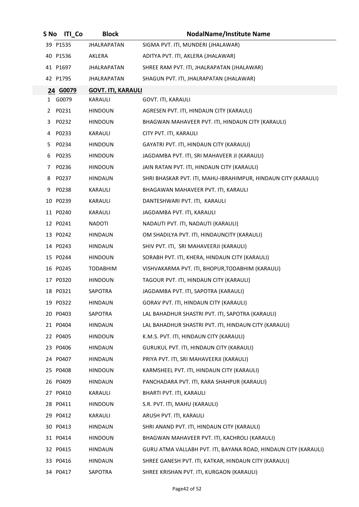| S No | <b>ITI Co</b> | <b>Block</b>              | <b>NodalName/Institute Name</b>                                 |
|------|---------------|---------------------------|-----------------------------------------------------------------|
|      | 39 P1535      | <b>JHALRAPATAN</b>        | SIGMA PVT. ITI, MUNDERI (JHALAWAR)                              |
|      | 40 P1536      | AKLERA                    | ADITYA PVT. ITI, AKLERA (JHALAWAR)                              |
|      | 41 P1697      | JHALRAPATAN               | SHREE RAM PVT. ITI, JHALRAPATAN (JHALAWAR)                      |
|      | 42 P1795      | <b>JHALRAPATAN</b>        | SHAGUN PVT. ITI, JHALRAPATAN (JHALAWAR)                         |
|      | 24 G0079      | <b>GOVT. ITI, KARAULI</b> |                                                                 |
| 1    | G0079         | KARAULI                   | GOVT. ITI, KARAULI                                              |
| 2    | P0231         | <b>HINDOUN</b>            | AGRESEN PVT. ITI, HINDAUN CITY (KARAULI)                        |
| 3.   | P0232         | <b>HINDOUN</b>            | BHAGWAN MAHAVEER PVT. ITI, HINDAUN CITY (KARAULI)               |
| 4    | P0233         | KARAULI                   | CITY PVT. ITI, KARAULI                                          |
| 5.   | P0234         | <b>HINDOUN</b>            | GAYATRI PVT. ITI, HINDAUN CITY (KARAULI)                        |
| 6    | P0235         | <b>HINDOUN</b>            | JAGDAMBA PVT. ITI, SRI MAHAVEER JI (KARAULI)                    |
| 7    | P0236         | <b>HINDOUN</b>            | JAIN RATAN PVT. ITI, HINDAUN CITY (KARAULI)                     |
| 8    | P0237         | <b>HINDAUN</b>            | SHRI BHASKAR PVT. ITI, MAHU-IBRAHIMPUR, HINDAUN CITY (KARAULI)  |
| 9    | P0238         | KARAULI                   | BHAGAWAN MAHAVEER PVT. ITI, KARAULI                             |
|      | 10 P0239      | KARAULI                   | DANTESHWARI PVT. ITI, KARAULI                                   |
|      | 11 P0240      | KARAULI                   | JAGDAMBA PVT. ITI, KARAULI                                      |
|      | 12 P0241      | <b>NADOTI</b>             | NADAUTI PVT. ITI, NADAUTI (KARAULI)                             |
|      | 13 P0242      | <b>HINDAUN</b>            | OM SHADILYA PVT. ITI, HINDAUNCITY (KARAULI)                     |
|      | 14 P0243      | <b>HINDAUN</b>            | SHIV PVT. ITI, SRI MAHAVEERJI (KARAULI)                         |
|      | 15 P0244      | <b>HINDOUN</b>            | SORABH PVT. ITI, KHERA, HINDAUN CITY (KARAULI)                  |
|      | 16 P0245      | <b>TODABHIM</b>           | VISHVAKARMA PVT. ITI, BHOPUR, TODABHIM (KARAULI)                |
|      | 17 P0320      | <b>HINDOUN</b>            | TAGOUR PVT. ITI, HINDAUN CITY (KARAULI)                         |
|      | 18 P0321      | SAPOTRA                   | JAGDAMBA PVT. ITI, SAPOTRA (KARAULI)                            |
|      | 19 P0322      | <b>HINDAUN</b>            | GORAV PVT. ITI, HINDAUN CITY (KARAULI)                          |
|      | 20 P0403      | SAPOTRA                   | LAL BAHADHUR SHASTRI PVT. ITI, SAPOTRA (KARAULI)                |
|      | 21 P0404      | <b>HINDAUN</b>            | LAL BAHADHUR SHASTRI PVT. ITI, HINDAUN CITY (KARAULI)           |
|      | 22 P0405      | <b>HINDOUN</b>            | K.M.S. PVT. ITI, HINDAUN CITY (KARAULI)                         |
|      | 23 P0406      | <b>HINDAUN</b>            | GURUKUL PVT. ITI, HINDAUN CITY (KARAULI)                        |
|      | 24 P0407      | <b>HINDAUN</b>            | PRIYA PVT. ITI, SRI MAHAVEERJI (KARAULI)                        |
|      | 25 P0408      | <b>HINDOUN</b>            | KARMSHEEL PVT. ITI, HINDAUN CITY (KARAULI)                      |
|      | 26 P0409      | <b>HINDAUN</b>            | PANCHADARA PVT. ITI, RARA SHAHPUR (KARAULI)                     |
|      | 27 P0410      | KARAULI                   | BHARTI PVT. ITI, KARAULI                                        |
|      | 28 P0411      | <b>HINDOUN</b>            | S.R. PVT. ITI, MAHU (KARAULI)                                   |
|      | 29 P0412      | KARAULI                   | ARUSH PVT. ITI, KARAULI                                         |
|      | 30 P0413      | <b>HINDAUN</b>            | SHRI ANAND PVT. ITI, HINDAUN CITY (KARAULI)                     |
|      | 31 P0414      | <b>HINDOUN</b>            | BHAGWAN MAHAVEER PVT. ITI, KACHROLI (KARAULI)                   |
|      | 32 P0415      | <b>HINDAUN</b>            | GURU ATMA VALLABH PVT. ITI, BAYANA ROAD, HINDAUN CITY (KARAULI) |
|      | 33 P0416      | <b>HINDAUN</b>            | SHREE GANESH PVT. ITI, KATKAR, HINDAUN CITY (KARAULI)           |
|      | 34 P0417      | SAPOTRA                   | SHREE KRISHAN PVT. ITI, KURGAON (KARAULI)                       |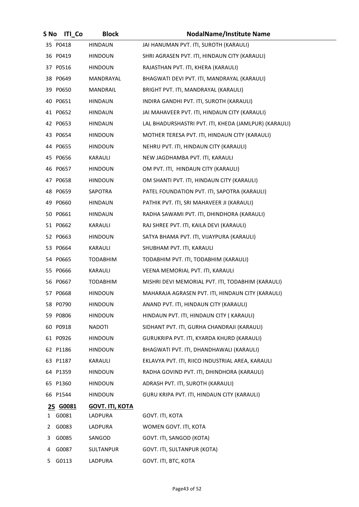| S No | <b>ITI Co</b> | <b>Block</b>           | <b>NodalName/Institute Name</b>                       |
|------|---------------|------------------------|-------------------------------------------------------|
|      | 35 P0418      | <b>HINDAUN</b>         | JAI HANUMAN PVT. ITI, SUROTH (KARAULI)                |
|      | 36 P0419      | <b>HINDOUN</b>         | SHRI AGRASEN PVT. ITI, HINDAUN CITY (KARAULI)         |
|      | 37 P0516      | <b>HINDOUN</b>         | RAJASTHAN PVT. ITI, KHERA (KARAULI)                   |
|      | 38 P0649      | MANDRAYAL              | BHAGWATI DEVI PVT. ITI, MANDRAYAL (KARAULI)           |
|      | 39 P0650      | MANDRAIL               | BRIGHT PVT. ITI, MANDRAYAL (KARAULI)                  |
|      | 40 P0651      | <b>HINDAUN</b>         | INDIRA GANDHI PVT. ITI, SUROTH (KARAULI)              |
|      | 41 P0652      | HINDAUN                | JAI MAHAVEER PVT. ITI, HINDAUN CITY (KARAULI)         |
|      | 42 P0653      | <b>HINDAUN</b>         | LAL BHADURSHASTRI PVT. ITI, KHEDA (JAMLPUR) (KARAULI) |
|      | 43 P0654      | <b>HINDOUN</b>         | MOTHER TERESA PVT. ITI, HINDAUN CITY (KARAULI)        |
|      | 44 P0655      | <b>HINDOUN</b>         | NEHRU PVT. ITI, HINDAUN CITY (KARAULI)                |
|      | 45 P0656      | KARAULI                | NEW JAGDHAMBA PVT. ITI, KARAULI                       |
|      | 46 P0657      | <b>HINDOUN</b>         | OM PVT. ITI, HINDAUN CITY (KARAULI)                   |
|      | 47 P0658      | <b>HINDOUN</b>         | OM SHANTI PVT. ITI, HINDAUN CITY (KARAULI)            |
|      | 48 P0659      | SAPOTRA                | PATEL FOUNDATION PVT. ITI, SAPOTRA (KARAULI)          |
|      | 49 P0660      | <b>HINDAUN</b>         | PATHIK PVT. ITI, SRI MAHAVEER JI (KARAULI)            |
|      | 50 P0661      | <b>HINDAUN</b>         | RADHA SAWAMI PVT. ITI, DHINDHORA (KARAULI)            |
|      | 51 P0662      | KARAULI                | RAJ SHREE PVT. ITI, KAILA DEVI (KARAULI)              |
|      | 52 P0663      | <b>HINDOUN</b>         | SATYA BHAMA PVT. ITI, VIJAYPURA (KARAULI)             |
|      | 53 P0664      | KARAULI                | SHUBHAM PVT. ITI, KARAULI                             |
|      | 54 P0665      | <b>TODABHIM</b>        | TODABHIM PVT. ITI, TODABHIM (KARAULI)                 |
|      | 55 P0666      | KARAULI                | VEENA MEMORIAL PVT. ITI, KARAULI                      |
|      | 56 P0667      | <b>TODABHIM</b>        | MISHRI DEVI MEMORIAL PVT. ITI, TODABHIM (KARAULI)     |
|      | 57 P0668      | <b>HINDOUN</b>         | MAHARAJA AGRASEN PVT. ITI, HINDAUN CITY (KARAULI)     |
|      | 58 P0790      | <b>HINDOUN</b>         | ANAND PVT. ITI, HINDAUN CITY (KARAULI)                |
|      | 59 P0806      | <b>HINDOUN</b>         | HINDAUN PVT. ITI, HINDAUN CITY (KARAULI)              |
|      | 60 P0918      | <b>NADOTI</b>          | SIDHANT PVT. ITI, GURHA CHANDRAJI (KARAULI)           |
|      | 61 P0926      | <b>HINDOUN</b>         | GURUKRIPA PVT. ITI, KYARDA KHURD (KARAULI)            |
|      | 62 P1186      | <b>HINDOUN</b>         | BHAGWATI PVT. ITI, DHANDHAWALI (KARAULI)              |
|      | 63 P1187      | KARAULI                | EKLAVYA PVT. ITI, RIICO INDUSTRIAL AREA, KARAULI      |
|      | 64 P1359      | <b>HINDOUN</b>         | RADHA GOVIND PVT. ITI, DHINDHORA (KARAULI)            |
|      | 65 P1360      | <b>HINDOUN</b>         | ADRASH PVT. ITI, SUROTH (KARAULI)                     |
|      | 66 P1544      | <b>HINDOUN</b>         | GURU KRIPA PVT. ITI, HINDAUN CITY (KARAULI)           |
|      | 25 G0081      | <b>GOVT. ITI, KOTA</b> |                                                       |
|      | 1 G0081       | LADPURA                | GOVT. ITI, KOTA                                       |
| 2    | G0083         | LADPURA                | WOMEN GOVT. ITI, KOTA                                 |
| 3    | G0085         | SANGOD                 | GOVT. ITI, SANGOD (KOTA)                              |
| 4    | G0087         | SULTANPUR              | GOVT. ITI, SULTANPUR (KOTA)                           |
| 5    | G0113         | LADPURA                | GOVT. ITI, BTC, KOTA                                  |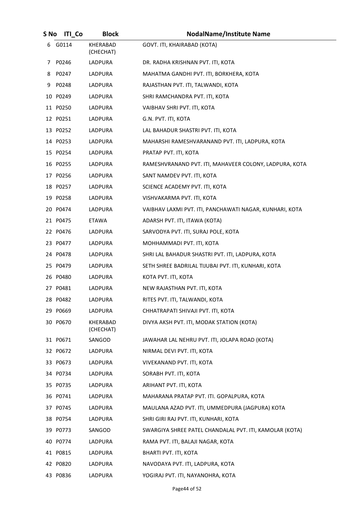| S No | <b>ITI_Co</b> | <b>Block</b>                 | <b>NodalName/Institute Name</b>                         |
|------|---------------|------------------------------|---------------------------------------------------------|
|      | 6 G0114       | KHERABAD<br>(CHECHAT)        | GOVT. ITI, KHAIRABAD (KOTA)                             |
|      | 7 P0246       | LADPURA                      | DR. RADHA KRISHNAN PVT. ITI, KOTA                       |
|      | 8 P0247       | LADPURA                      | MAHATMA GANDHI PVT. ITI, BORKHERA, KOTA                 |
|      | 9 P0248       | LADPURA                      | RAJASTHAN PVT. ITI, TALWANDI, KOTA                      |
|      | 10 P0249      | LADPURA                      | SHRI RAMCHANDRA PVT. ITI, KOTA                          |
|      | 11 P0250      | LADPURA                      | VAIBHAV SHRI PVT. ITI, KOTA                             |
|      | 12 P0251      | LADPURA                      | G.N. PVT. ITI, KOTA                                     |
|      | 13 P0252      | LADPURA                      | LAL BAHADUR SHASTRI PVT. ITI, KOTA                      |
|      | 14 P0253      | LADPURA                      | MAHARSHI RAMESHVARANAND PVT. ITI, LADPURA, KOTA         |
|      | 15 P0254      | LADPURA                      | PRATAP PVT. ITI, KOTA                                   |
|      | 16 P0255      | LADPURA                      | RAMESHVRANAND PVT. ITI, MAHAVEER COLONY, LADPURA, KOTA  |
|      | 17 P0256      | LADPURA                      | SANT NAMDEV PVT. ITI, KOTA                              |
|      | 18 P0257      | LADPURA                      | SCIENCE ACADEMY PVT. ITI, KOTA                          |
|      | 19 P0258      | LADPURA                      | VISHVAKARMA PVT. ITI, KOTA                              |
|      | 20 P0474      | LADPURA                      | VAIBHAV LAXMI PVT. ITI, PANCHAWATI NAGAR, KUNHARI, KOTA |
|      | 21 P0475      | <b>ETAWA</b>                 | ADARSH PVT. ITI, ITAWA (KOTA)                           |
|      | 22 P0476      | LADPURA                      | SARVODYA PVT. ITI, SURAJ POLE, KOTA                     |
|      | 23 P0477      | LADPURA                      | MOHHAMMADI PVT. ITI, KOTA                               |
|      | 24 P0478      | LADPURA                      | SHRI LAL BAHADUR SHASTRI PVT. ITI, LADPURA, KOTA        |
|      | 25 P0479      | LADPURA                      | SETH SHREE BADRILAL TIJUBAI PVT. ITI, KUNHARI, KOTA     |
|      | 26 P0480      | LADPURA                      | KOTA PVT. ITI, KOTA                                     |
|      | 27 P0481      | LADPURA                      | NEW RAJASTHAN PVT. ITI, KOTA                            |
|      | 28 P0482      | LADPURA                      | RITES PVT. ITI, TALWANDI, KOTA                          |
|      | 29 P0669      | LADPURA                      | CHHATRAPATI SHIVAJI PVT. ITI, KOTA                      |
|      | 30 P0670      | <b>KHERABAD</b><br>(CHECHAT) | DIVYA AKSH PVT. ITI, MODAK STATION (KOTA)               |
|      | 31 P0671      | SANGOD                       | JAWAHAR LAL NEHRU PVT. ITI, JOLAPA ROAD (KOTA)          |
|      | 32 P0672      | LADPURA                      | NIRMAL DEVI PVT. ITI, KOTA                              |
|      | 33 P0673      | LADPURA                      | VIVEKANAND PVT. ITI, KOTA                               |
|      | 34 P0734      | LADPURA                      | SORABH PVT. ITI, KOTA                                   |
|      | 35 P0735      | LADPURA                      | ARIHANT PVT. ITI, KOTA                                  |
|      | 36 P0741      | LADPURA                      | MAHARANA PRATAP PVT. ITI. GOPALPURA, KOTA               |
|      | 37 P0745      | LADPURA                      | MAULANA AZAD PVT. ITI, UMMEDPURA (JAGPURA) KOTA         |
|      | 38 P0754      | LADPURA                      | SHRI GIRI RAJ PVT. ITI, KUNHARI, KOTA                   |
|      | 39 P0773      | SANGOD                       | SWARGIYA SHREE PATEL CHANDALAL PVT. ITI, KAMOLAR (KOTA) |
|      | 40 P0774      | LADPURA                      | RAMA PVT. ITI, BALAJI NAGAR, KOTA                       |
|      | 41 P0815      | LADPURA                      | BHARTI PVT. ITI, KOTA                                   |
|      | 42 P0820      | LADPURA                      | NAVODAYA PVT. ITI, LADPURA, KOTA                        |
|      | 43 P0836      | LADPURA                      | YOGIRAJ PVT. ITI, NAYANOHRA, KOTA                       |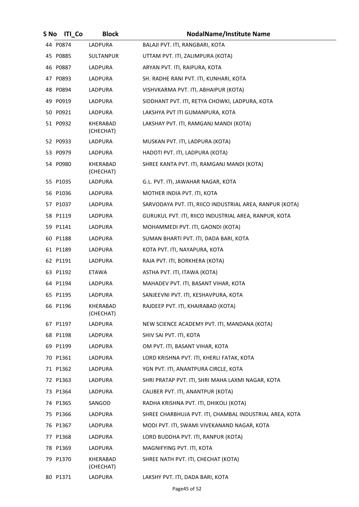| S No | <b>ITI</b> Co | <b>Block</b>          | <b>NodalName/Institute Name</b>                          |
|------|---------------|-----------------------|----------------------------------------------------------|
|      | 44 P0874      | LADPURA               | BALAJI PVT. ITI, RANGBARI, KOTA                          |
|      | 45 P0885      | <b>SULTANPUR</b>      | UTTAM PVT. ITI, ZALIMPURA (KOTA)                         |
|      | 46 P0887      | LADPURA               | ARYAN PVT. ITI, RAIPURA, KOTA                            |
|      | 47 P0893      | LADPURA               | SH. RADHE RANI PVT. ITI, KUNHARI, KOTA                   |
|      | 48 P0894      | LADPURA               | VISHVKARMA PVT. ITI, ABHAIPUR (KOTA)                     |
|      | 49 P0919      | LADPURA               | SIDDHANT PVT. ITI, RETYA CHOWKI, LADPURA, KOTA           |
|      | 50 P0921      | LADPURA               | LAKSHYA PVT ITI GUMANPURA, KOTA                          |
|      | 51 P0932      | KHERABAD<br>(CHECHAT) | LAKSHAY PVT. ITI, RAMGANJ MANDI (KOTA)                   |
|      | 52 P0933      | LADPURA               | MUSKAN PVT. ITI, LADPURA (KOTA)                          |
|      | 53 P0979      | LADPURA               | HADOTI PVT. ITI, LADPURA (KOTA)                          |
|      | 54 P0980      | KHERABAD<br>(CHECHAT) | SHREE KANTA PVT. ITI, RAMGANJ MANDI (KOTA)               |
|      | 55 P1035      | LADPURA               | G.L. PVT. ITI, JAWAHAR NAGAR, KOTA                       |
|      | 56 P1036      | LADPURA               | MOTHER INDIA PVT. ITI, KOTA                              |
|      | 57 P1037      | LADPURA               | SARVODAYA PVT. ITI, RIICO INDUSTRIAL AREA, RANPUR (KOTA) |
|      | 58 P1119      | LADPURA               | GURUKUL PVT. ITI, RIICO INDUSTRIAL AREA, RANPUR, KOTA    |
|      | 59 P1141      | LADPURA               | MOHAMMEDI PVT. ITI, GAONDI (KOTA)                        |
|      | 60 P1188      | LADPURA               | SUMAN BHARTI PVT. ITI, DADA BARI, KOTA                   |
|      | 61 P1189      | LADPURA               | KOTA PVT. ITI, NAYAPURA, KOTA                            |
|      | 62 P1191      | LADPURA               | RAJA PVT. ITI, BORKHERA (KOTA)                           |
|      | 63 P1192      | ETAWA                 | ASTHA PVT. ITI, ITAWA (KOTA)                             |
|      | 64 P1194      | LADPURA               | MAHADEV PVT. ITI, BASANT VIHAR, KOTA                     |
|      | 65 P1195      | LADPURA               | SANJEEVNI PVT. ITI, KESHAVPURA, KOTA                     |
|      | 66 P1196      | KHERABAD<br>(CHECHAT) | RAJDEEP PVT. ITI, KHAIRABAD (KOTA)                       |
|      | 67 P1197      | LADPURA               | NEW SCIENCE ACADEMY PVT. ITI, MANDANA (KOTA)             |
|      | 68 P1198      | LADPURA               | SHIV SAI PVT. ITI, KOTA                                  |
|      | 69 P1199      | LADPURA               | OM PVT. ITI, BASANT VIHAR, KOTA                          |
|      | 70 P1361      | LADPURA               | LORD KRISHNA PVT. ITI, KHERLI FATAK, KOTA                |
|      | 71 P1362      | LADPURA               | YGN PVT. ITI, ANANTPURA CIRCLE, KOTA                     |
|      | 72 P1363      | LADPURA               | SHRI PRATAP PVT. ITI, SHRI MAHA LAXMI NAGAR, KOTA        |
|      | 73 P1364      | LADPURA               | CALIBER PVT. ITI, ANANTPUR (KOTA)                        |
|      | 74 P1365      | SANGOD                | RADHA KRISHNA PVT. ITI, DHIKOLI (KOTA)                   |
|      | 75 P1366      | LADPURA               | SHREE CHARBHUJA PVT. ITI, CHAMBAL INDUSTRIAL AREA, KOTA  |
|      | 76 P1367      | LADPURA               | MODI PVT. ITI, SWAMI VIVEKANAND NAGAR, KOTA              |
|      | 77 P1368      | LADPURA               | LORD BUDDHA PVT. ITI, RANPUR (KOTA)                      |
|      | 78 P1369      | LADPURA               | MAGNIFYING PVT. ITI, KOTA                                |
|      | 79 P1370      | KHERABAD<br>(CHECHAT) | SHREE NATH PVT. ITI, CHECHAT (KOTA)                      |
|      | 80 P1371      | LADPURA               | LAKSHY PVT. ITI, DADA BARI, KOTA                         |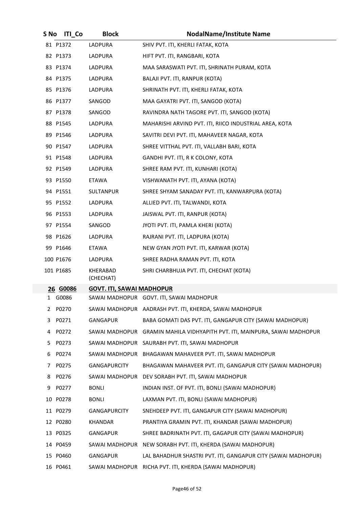| S No | <b>ITI Co</b> | <b>Block</b>                     | <b>NodalName/Institute Name</b>                               |
|------|---------------|----------------------------------|---------------------------------------------------------------|
|      | 81 P1372      | LADPURA                          | SHIV PVT. ITI, KHERLI FATAK, KOTA                             |
|      | 82 P1373      | LADPURA                          | HIFT PVT. ITI, RANGBARI, KOTA                                 |
|      | 83 P1374      | LADPURA                          | MAA SARASWATI PVT. ITI, SHRINATH PURAM, KOTA                  |
|      | 84 P1375      | LADPURA                          | BALAJI PVT. ITI, RANPUR (KOTA)                                |
|      | 85 P1376      | LADPURA                          | SHRINATH PVT. ITI, KHERLI FATAK, KOTA                         |
|      | 86 P1377      | SANGOD                           | MAA GAYATRI PVT. ITI, SANGOD (KOTA)                           |
|      | 87 P1378      | SANGOD                           | RAVINDRA NATH TAGORE PVT. ITI, SANGOD (KOTA)                  |
|      | 88 P1545      | LADPURA                          | MAHARISHI ARVIND PVT. ITI, RIICO INDUSTRIAL AREA, KOTA        |
|      | 89 P1546      | LADPURA                          | SAVITRI DEVI PVT. ITI, MAHAVEER NAGAR, KOTA                   |
|      | 90 P1547      | LADPURA                          | SHREE VITTHAL PVT. ITI, VALLABH BARI, KOTA                    |
|      | 91 P1548      | LADPURA                          | GANDHI PVT. ITI, R K COLONY, KOTA                             |
|      | 92 P1549      | LADPURA                          | SHREE RAM PVT. ITI, KUNHARI (KOTA)                            |
|      | 93 P1550      | ETAWA                            | VISHWANATH PVT. ITI, AYANA (KOTA)                             |
|      | 94 P1551      | <b>SULTANPUR</b>                 | SHREE SHYAM SANADAY PVT. ITI, KANWARPURA (KOTA)               |
|      | 95 P1552      | LADPURA                          | ALLIED PVT. ITI, TALWANDI, KOTA                               |
|      | 96 P1553      | LADPURA                          | JAISWAL PVT. ITI, RANPUR (KOTA)                               |
|      | 97 P1554      | SANGOD                           | JYOTI PVT. ITI, PAMLA KHERI (KOTA)                            |
|      | 98 P1626      | LADPURA                          | RAJRANI PVT. ITI, LADPURA (KOTA)                              |
|      | 99 P1646      | <b>ETAWA</b>                     | NEW GYAN JYOTI PVT. ITI, KARWAR (KOTA)                        |
|      | 100 P1676     | LADPURA                          | SHREE RADHA RAMAN PVT. ITI, KOTA                              |
|      | 101 P1685     | KHERABAD<br>(CHECHAT)            | SHRI CHARBHUJA PVT. ITI, CHECHAT (KOTA)                       |
|      | 26 G0086      | <b>GOVT. ITI, SAWAI MADHOPUR</b> |                                                               |
|      | 1 G0086       |                                  | SAWAI MADHOPUR GOVT. ITI, SAWAI MADHOPUR                      |
| 2    | P0270         |                                  | SAWAI MADHOPUR AADRASH PVT. ITI, KHERDA, SAWAI MADHOPUR       |
| 3    | P0271         | <b>GANGAPUR</b>                  | BABA GOMATI DAS PVT. ITI, GANGAPUR CITY (SAWAI MADHOPUR)      |
| 4    | P0272         | SAWAI MADHOPUR                   | GRAMIN MAHILA VIDHYAPITH PVT. ITI, MAINPURA, SAWAI MADHOPUR   |
| 5    | P0273         | SAWAI MADHOPUR                   | SAURABH PVT. ITI, SAWAI MADHOPUR                              |
| 6    | P0274         | SAWAI MADHOPUR                   | BHAGAWAN MAHAVEER PVT. ITI, SAWAI MADHOPUR                    |
| 7    | P0275         | <b>GANGAPURCITY</b>              | BHAGAWAN MAHAVEER PVT. ITI, GANGAPUR CITY (SAWAI MADHOPUR)    |
| 8    | P0276         | SAWAI MADHOPUR                   | DEV SORABH PVT. ITI, SAWAI MADHOPUR                           |
| 9    | P0277         | <b>BONLI</b>                     | INDIAN INST. OF PVT. ITI, BONLI (SAWAI MADHOPUR)              |
|      | 10 P0278      | <b>BONLI</b>                     | LAXMAN PVT. ITI, BONLI (SAWAI MADHOPUR)                       |
|      | 11 P0279      | <b>GANGAPURCITY</b>              | SNEHDEEP PVT. ITI, GANGAPUR CITY (SAWAI MADHOPUR)             |
|      | 12 P0280      | <b>KHANDAR</b>                   | PRANTIYA GRAMIN PVT. ITI, KHANDAR (SAWAI MADHOPUR)            |
|      | 13 P0325      | GANGAPUR                         | SHREE BADRINATH PVT. ITI, GAGAPUR CITY (SAWAI MADHOPUR)       |
|      | 14 P0459      |                                  | SAWAI MADHOPUR NEW SORABH PVT. ITI, KHERDA (SAWAI MADHOPUR)   |
|      | 15 P0460      | GANGAPUR                         | LAL BAHADHUR SHASTRI PVT. ITI, GANGAPUR CITY (SAWAI MADHOPUR) |
|      | 16 P0461      |                                  | SAWAI MADHOPUR RICHA PVT. ITI, KHERDA (SAWAI MADHOPUR)        |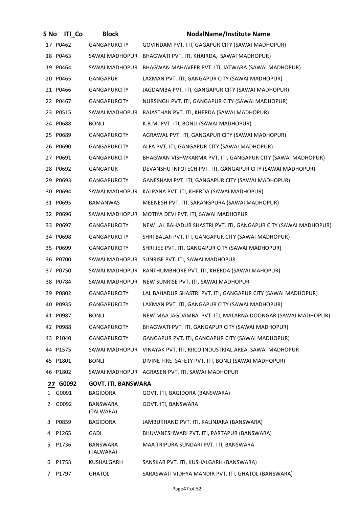| S No | <b>ITI Co</b> | <b>Block</b>                 | <b>NodalName/Institute Name</b>                                  |
|------|---------------|------------------------------|------------------------------------------------------------------|
|      | 17 P0462      | <b>GANGAPURCITY</b>          | GOVINDAM PVT. ITI, GAGAPUR CITY (SAWAI MADHOPUR)                 |
|      | 18 P0463      | SAWAI MADHOPUR               | BHAGWATI PVT. ITI, KHAIRDA, SAWAI MADHOPUR)                      |
|      | 19 P0464      | SAWAI MADHOPUR               | BHAGWAN MAHAVEER PVT. ITI, JATWARA (SAWAI MADHOPUR)              |
|      | 20 P0465      | GANGAPUR                     | LAXMAN PVT. ITI, GANGAPUR CITY (SAWAI MADHOPUR)                  |
|      | 21 P0466      | <b>GANGAPURCITY</b>          | JAGDAMBA PVT. ITI, GANGAPUR CITY (SAWAI MADHOPUR)                |
|      | 22 P0467      | <b>GANGAPURCITY</b>          | NURSINGH PVT. ITI, GANGAPUR CITY (SAWAI MADHOPUR)                |
|      | 23 P0515      | SAWAI MADHOPUR               | RAJASTHAN PVT. ITI, KHERDA (SAWAI MADHOPUR)                      |
|      | 24 P0688      | <b>BONLI</b>                 | K.B.M. PVT. ITI, BONLI (SAWAI MADHOPUR)                          |
|      | 25 P0689      | <b>GANGAPURCITY</b>          | AGRAWAL PVT. ITI, GANGAPUR CITY (SAWAI MADHOPUR)                 |
|      | 26 P0690      | <b>GANGAPURCITY</b>          | ALFA PVT. ITI, GANGAPUR CITY (SAWAI MADHOPUR)                    |
|      | 27 P0691      | GANGAPURCITY                 | BHAGWAN VISHWKARMA PVT. ITI, GANGAPUR CITY (SAWAI MADHOPUR)      |
|      | 28 P0692      | GANGAPUR                     | DEVANSHU INFOTECH PVT. ITI, GANGAPUR CITY (SAWAI MADHOPUR)       |
|      | 29 P0693      | <b>GANGAPURCITY</b>          | GANESHAM PVT. ITI, GANGAPUR CITY (SAWAI MADHOPUR)                |
|      | 30 P0694      | SAWAI MADHOPUR               | KALPANA PVT. ITI, KHERDA (SAWAI MADHOPUR)                        |
|      | 31 P0695      | <b>BAMANWAS</b>              | MEENESH PVT. ITI, SARANGPURA (SAWAI MADHOPUR)                    |
|      | 32 P0696      | SAWAI MADHOPUR               | MOTIYA DEVI PVT. ITI, SAWAI MADHOPUR                             |
|      | 33 P0697      | <b>GANGAPURCITY</b>          | NEW LAL BAHADUR SHASTRI PVT. ITI, GANGAPUR CITY (SAWAI MADHOPUR) |
|      | 34 P0698      | <b>GANGAPURCITY</b>          | SHRI BALAJI PVT. ITI, GANGAPUR CITY (SAWAI MADHOPUR)             |
|      | 35 P0699      | <b>GANGAPURCITY</b>          | SHRI JEE PVT. ITI, GANGAPUR CITY (SAWAI MADHOPUR)                |
|      | 36 P0700      | SAWAI MADHOPUR               | SUNRISE PVT. ITI, SAWAI MADHOPUR                                 |
|      | 37 P0750      | SAWAI MADHOPUR               | RANTHUMBHORE PVT. ITI, KHERDA (SAWAI MAHOPUR)                    |
|      | 38 P0784      | SAWAI MADHOPUR               | NEW SUNRISE PVT. ITI, SAWAI MADHOPUR                             |
|      | 39 P0802      | <b>GANGAPURCITY</b>          | LAL BAHADUR SHASTRI PVT. ITI, GANGAPUR CITY (SAWAI MADHOPUR)     |
|      | 40 P0935      | <b>GANGAPURCITY</b>          | LAXMAN PVT. ITI, GANGAPUR CITY (SAWAI MADHOPUR)                  |
|      | 41 P0987      | <b>BONLI</b>                 | NEW MAA JAGDAMBA PVT. ITI, MALARNA DOONGAR (SAWAI MADHOPUR)      |
|      | 42 P0988      | <b>GANGAPURCITY</b>          | BHAGWATI PVT. ITI, GANGAPUR CITY (SAWAI MADHOPUR)                |
|      | 43 P1040      | <b>GANGAPURCITY</b>          | GANGAPUR PVT. ITI, GANGAPUR CITY (SAWAI MADHOPUR)                |
|      | 44 P1575      | SAWAI MADHOPUR               | VINAYAK PVT. ITI, RIICO INDUSTRIAL AREA, SAWAI MADHOPUR          |
|      | 45 P1801      | <b>BONLI</b>                 | DIVINE FIRE SAFETY PVT. ITI, BONLI (SAWAI MADHOPUR)              |
|      | 46 P1802      |                              | SAWAI MADHOPUR AGRASEN PVT. ITI, SAWAI MADHOPUR                  |
|      | 27 G0092      | <b>GOVT. ITI, BANSWARA</b>   |                                                                  |
|      | 1 G0091       | <b>BAGIDORA</b>              | GOVT. ITI, BAGIDORA (BANSWARA)                                   |
| 2    | G0092         | <b>BANSWARA</b><br>(TALWARA) | GOVT. ITI, BANSWARA                                              |
| 3    | P0859         | <b>BAGIDORA</b>              | JAMBUKHAND PVT. ITI, KALINJARA (BANSWARA)                        |
| 4    | P1265         | <b>GADI</b>                  | BHUVANESHWARI PVT. ITI, PARTAPUR (BANSWARA)                      |
| 5.   | P1736         | BANSWARA<br>(TALWARA)        | MAA TRIPURA SUNDARI PVT. ITI, BANSWARA                           |
| 6    | P1753         | KUSHALGARH                   | SANSKAR PVT. ITI, KUSHALGARH (BANSWARA)                          |
| 7.   | P1797         | <b>GHATOL</b>                | SARASWATI VIDHYA MANDIR PVT. ITI, GHATOL (BANSWARA)              |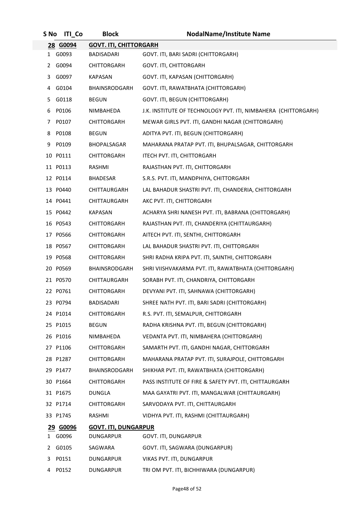| S No | <b>ITI Co</b> | <b>Block</b>                  | <b>NodalName/Institute Name</b>                                |
|------|---------------|-------------------------------|----------------------------------------------------------------|
|      | 28 G0094      | <b>GOVT. ITI, CHITTORGARH</b> |                                                                |
| 1    | G0093         | BADISADARI                    | GOVT. ITI, BARI SADRI (CHITTORGARH)                            |
|      | 2 G0094       | CHITTORGARH                   | <b>GOVT. ITI, CHITTORGARH</b>                                  |
| 3    | G0097         | <b>KAPASAN</b>                | GOVT. ITI, KAPASAN (CHITTORGARH)                               |
| 4    | G0104         | BHAINSRODGARH                 | GOVT. ITI, RAWATBHATA (CHITTORGARH)                            |
| 5.   | G0118         | <b>BEGUN</b>                  | GOVT. ITI, BEGUN (CHITTORGARH)                                 |
| 6    | P0106         | NIMBAHEDA                     | J.K. INSTITUTE OF TECHNOLOGY PVT. ITI, NIMBAHERA (CHITTORGARH) |
| 7    | P0107         | <b>CHITTORGARH</b>            | MEWAR GIRLS PVT. ITI, GANDHI NAGAR (CHITTORGARH)               |
| 8    | P0108         | <b>BEGUN</b>                  | ADITYA PVT. ITI, BEGUN (CHITTORGARH)                           |
| 9    | P0109         | BHOPALSAGAR                   | MAHARANA PRATAP PVT. ITI, BHUPALSAGAR, CHITTORGARH             |
|      | 10 P0111      | CHITTORGARH                   | ITECH PVT. ITI, CHITTORGARH                                    |
|      | 11 P0113      | RASHMI                        | RAJASTHAN PVT. ITI, CHITTORGARH                                |
|      | 12 P0114      | <b>BHADESAR</b>               | S.R.S. PVT. ITI, MANDPHIYA, CHITTORGARH                        |
|      | 13 P0440      | <b>CHITTAURGARH</b>           | LAL BAHADUR SHASTRI PVT. ITI, CHANDERIA, CHITTORGARH           |
|      | 14 P0441      | CHITTAURGARH                  | AKC PVT. ITI, CHITTORGARH                                      |
|      | 15 P0442      | <b>KAPASAN</b>                | ACHARYA SHRI NANESH PVT. ITI, BABRANA (CHITTORGARH)            |
|      | 16 P0543      | CHITTORGARH                   | RAJASTHAN PVT. ITI, CHANDERIYA (CHITTAURGARH)                  |
|      | 17 P0566      | CHITTORGARH                   | AITECH PVT. ITI, SENTHI, CHITTORGARH                           |
|      | 18 P0567      | CHITTORGARH                   | LAL BAHADUR SHASTRI PVT. ITI, CHITTORGARH                      |
|      | 19 P0568      | <b>CHITTORGARH</b>            | SHRI RADHA KRIPA PVT. ITI, SAINTHI, CHITTORGARH                |
|      | 20 P0569      | BHAINSRODGARH                 | SHRI VIISHVAKARMA PVT. ITI, RAWATBHATA (CHITTORGARH)           |
|      | 21 P0570      | CHITTAURGARH                  | SORABH PVT. ITI, CHANDRIYA, CHITTORGARH                        |
|      | 22 P0761      | <b>CHITTORGARH</b>            | DEVYANI PVT. ITI, SAHNAWA (CHITTORGARH)                        |
|      | 23 P0794      | <b>BADISADARI</b>             | SHREE NATH PVT. ITI, BARI SADRI (CHITTORGARH)                  |
|      | 24 P1014      | CHITTORGARH                   | R.S. PVT. ITI, SEMALPUR, CHITTORGARH                           |
|      | 25 P1015      | <b>BEGUN</b>                  | RADHA KRISHNA PVT. ITI, BEGUN (CHITTORGARH)                    |
|      | 26 P1016      | NIMBAHEDA                     | VEDANTA PVT. ITI, NIMBAHERA (CHITTORGARH)                      |
|      | 27 P1106      | CHITTORGARH                   | SAMARTH PVT. ITI, GANDHI NAGAR, CHITTORGARH                    |
|      | 28 P1287      | CHITTORGARH                   | MAHARANA PRATAP PVT. ITI, SURAJPOLE, CHITTORGARH               |
|      | 29 P1477      | BHAINSRODGARH                 | SHIKHAR PVT. ITI, RAWATBHATA (CHITTORGARH)                     |
|      | 30 P1664      | <b>CHITTORGARH</b>            | PASS INSTITUTE OF FIRE & SAFETY PVT. ITI, CHITTAURGARH         |
|      | 31 P1675      | DUNGLA                        | MAA GAYATRI PVT. ITI, MANGALWAR (CHITTAURGARH)                 |
|      | 32 P1714      | CHITTORGARH                   | SARVODAYA PVT. ITI, CHITTAURGARH                               |
|      | 33 P1745      | RASHMI                        | VIDHYA PVT. ITI, RASHMI (CHITTAURGARH)                         |
|      | 29 G0096      | <b>GOVT. ITI, DUNGARPUR</b>   |                                                                |
|      | 1 G0096       | DUNGARPUR                     | GOVT. ITI, DUNGARPUR                                           |
| 2    | G0105         | SAGWARA                       | GOVT. ITI, SAGWARA (DUNGARPUR)                                 |
| 3    | P0151         | DUNGARPUR                     | VIKAS PVT. ITI, DUNGARPUR                                      |
| 4    | P0152         | DUNGARPUR                     | TRI OM PVT. ITI, BICHHIWARA (DUNGARPUR)                        |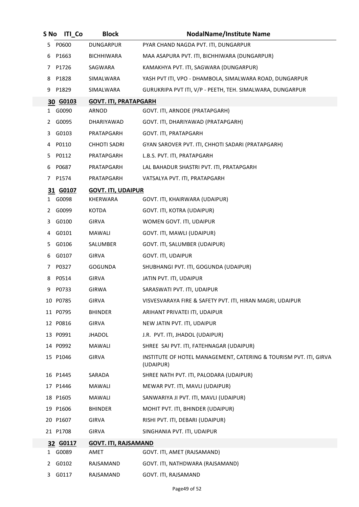| S No | <b>ITI Co</b> | <b>Block</b>                 | <b>NodalName/Institute Name</b>                                                |
|------|---------------|------------------------------|--------------------------------------------------------------------------------|
| 5.   | P0600         | <b>DUNGARPUR</b>             | PYAR CHAND NAGDA PVT. ITI, DUNGARPUR                                           |
| 6    | P1663         | <b>BICHHIWARA</b>            | MAA ASAPURA PVT. ITI, BICHHIWARA (DUNGARPUR)                                   |
| 7    | P1726         | SAGWARA                      | KAMAKHYA PVT. ITI, SAGWARA (DUNGARPUR)                                         |
| 8    | P1828         | SIMALWARA                    | YASH PVT ITI, VPO - DHAMBOLA, SIMALWARA ROAD, DUNGARPUR                        |
| 9    | P1829         | SIMALWARA                    | GURUKRIPA PVT ITI, V/P - PEETH, TEH. SIMALWARA, DUNGARPUR                      |
|      | 30 G0103      | <b>GOVT. ITI, PRATAPGARH</b> |                                                                                |
| 1    | G0090         | ARNOD                        | GOVT. ITI, ARNODE (PRATAPGARH)                                                 |
| 2    | G0095         | DHARIYAWAD                   | GOVT. ITI, DHARIYAWAD (PRATAPGARH)                                             |
| 3    | G0103         | PRATAPGARH                   | GOVT. ITI, PRATAPGARH                                                          |
| 4    | P0110         | <b>CHHOTI SADRI</b>          | GYAN SAROVER PVT. ITI, CHHOTI SADARI (PRATAPGARH)                              |
| 5.   | P0112         | PRATAPGARH                   | L.B.S. PVT. ITI, PRATAPGARH                                                    |
| 6    | P0687         | PRATAPGARH                   | LAL BAHADUR SHASTRI PVT. ITI, PRATAPGARH                                       |
| 7    | P1574         | PRATAPGARH                   | VATSALYA PVT. ITI, PRATAPGARH                                                  |
|      | 31 G0107      | <b>GOVT. ITI, UDAIPUR</b>    |                                                                                |
| 1    | G0098         | KHERWARA                     | GOVT. ITI, KHAIRWARA (UDAIPUR)                                                 |
| 2    | G0099         | KOTDA                        | GOVT. ITI, KOTRA (UDAIPUR)                                                     |
| 3.   | G0100         | <b>GIRVA</b>                 | WOMEN GOVT. ITI, UDAIPUR                                                       |
| 4    | G0101         | MAWALI                       | GOVT. ITI, MAWLI (UDAIPUR)                                                     |
| 5.   | G0106         | SALUMBER                     | GOVT. ITI, SALUMBER (UDAIPUR)                                                  |
| 6    | G0107         | <b>GIRVA</b>                 | GOVT. ITI, UDAIPUR                                                             |
| 7    | P0327         | <b>GOGUNDA</b>               | SHUBHANGI PVT. ITI, GOGUNDA (UDAIPUR)                                          |
| 8    | P0514         | <b>GIRVA</b>                 | JATIN PVT. ITI, UDAIPUR                                                        |
| 9    | P0733         | <b>GIRWA</b>                 | SARASWATI PVT. ITI, UDAIPUR                                                    |
|      | 10 P0785      | <b>GIRVA</b>                 | VISVESVARAYA FIRE & SAFETY PVT. ITI, HIRAN MAGRI, UDAIPUR                      |
|      | 11 P0795      | <b>BHINDER</b>               | ARIHANT PRIVATEI ITI, UDAIPUR                                                  |
|      | 12 P0816      | <b>GIRVA</b>                 | NEW JATIN PVT. ITI, UDAIPUR                                                    |
|      | 13 P0991      | <b>JHADOL</b>                | J.R. PVT. ITI, JHADOL (UDAIPUR)                                                |
|      | 14 P0992      | MAWALI                       | SHREE SAI PVT. ITI, FATEHNAGAR (UDAIPUR)                                       |
|      | 15 P1046      | <b>GIRVA</b>                 | INSTITUTE OF HOTEL MANAGEMENT, CATERING & TOURISM PVT. ITI, GIRVA<br>(UDAIPUR) |
|      | 16 P1445      | SARADA                       | SHREE NATH PVT. ITI, PALODARA (UDAIPUR)                                        |
|      | 17 P1446      | MAWALI                       | MEWAR PVT. ITI, MAVLI (UDAIPUR)                                                |
|      | 18 P1605      | MAWALI                       | SANWARIYA JI PVT. ITI, MAVLI (UDAIPUR)                                         |
|      | 19 P1606      | <b>BHINDER</b>               | MOHIT PVT. ITI, BHINDER (UDAIPUR)                                              |
|      | 20 P1607      | <b>GIRVA</b>                 | RISHI PVT. ITI, DEBARI (UDAIPUR)                                               |
|      | 21 P1708      | <b>GIRVA</b>                 | SINGHANIA PVT. ITI, UDAIPUR                                                    |
|      | 32 G0117      | <b>GOVT. ITI, RAJSAMAND</b>  |                                                                                |
|      | 1 G0089       | AMET                         | GOVT. ITI, AMET (RAJSAMAND)                                                    |
| 2    | G0102         | RAJSAMAND                    | GOVT. ITI, NATHDWARA (RAJSAMAND)                                               |
| 3    | G0117         | RAJSAMAND                    | GOVT. ITI, RAJSAMAND                                                           |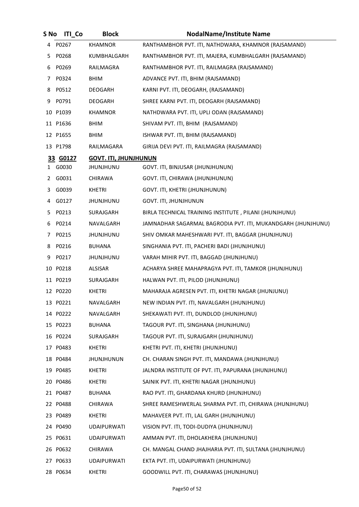| S No | <b>ITI Co</b> | <b>Block</b>                 | <b>NodalName/Institute Name</b>                              |
|------|---------------|------------------------------|--------------------------------------------------------------|
|      | 4 P0267       | <b>KHAMNOR</b>               | RANTHAMBHOR PVT. ITI, NATHDWARA, KHAMNOR (RAJSAMAND)         |
|      | 5 P0268       | KUMBHALGARH                  | RANTHAMBHOR PVT. ITI, MAJERA, KUMBHALGARH (RAJSAMAND)        |
| 6    | P0269         | RAILMAGRA                    | RANTHAMBHOR PVT. ITI, RAILMAGRA (RAJSAMAND)                  |
|      | 7 P0324       | <b>BHIM</b>                  | ADVANCE PVT. ITI, BHIM (RAJSAMAND)                           |
| 8    | P0512         | DEOGARH                      | KARNI PVT. ITI, DEOGARH, (RAJSAMAND)                         |
|      | 9 P0791       | DEOGARH                      | SHREE KARNI PVT. ITI, DEOGARH (RAJSAMAND)                    |
|      | 10 P1039      | KHAMNOR                      | NATHDWARA PVT. ITI, UPLI ODAN (RAJSAMAND)                    |
|      | 11 P1636      | <b>BHIM</b>                  | SHIVAM PVT. ITI, BHIM (RAJSAMAND)                            |
|      | 12 P1655      | <b>BHIM</b>                  | ISHWAR PVT. ITI, BHIM (RAJSAMAND)                            |
|      | 13 P1798      | RAILMAGARA                   | GIRIJA DEVI PVT. ITI, RAILMAGRA (RAJSAMAND)                  |
|      | 33 G0127      | <b>GOVT. ITI, JHUNJHUNUN</b> |                                                              |
|      | 1 G0030       | <b>JHUNJHUNU</b>             | GOVT. ITI, BINJUSAR (JHUNJHUNUN)                             |
| 2    | G0031         | CHIRAWA                      | GOVT. ITI, CHIRAWA (JHUNJHUNUN)                              |
| 3    | G0039         | KHETRI                       | GOVT. ITI, KHETRI (JHUNJHUNUN)                               |
|      | 4 G0127       | JHUNJHUNU                    | GOVT. ITI, JHUNJHUNUN                                        |
| 5.   | P0213         | SURAJGARH                    | BIRLA TECHNICAL TRAINING INSTITUTE, PILANI (JHUNJHUNU)       |
| 6    | P0214         | NAVALGARH                    | JAMNADHAR SAGARMAL BAGRODIA PVT. ITI, MUKANDGARH (JHUNJHUNU) |
| 7    | P0215         | <b>JHUNJHUNU</b>             | SHIV OMKAR MAHESHWARI PVT. ITI, BAGGAR (JHUNJHUNU)           |
| 8    | P0216         | <b>BUHANA</b>                | SINGHANIA PVT. ITI, PACHERI BADI (JHUNJHUNU)                 |
| 9    | P0217         | JHUNJHUNU                    | VARAH MIHIR PVT. ITI, BAGGAD (JHUNJHUNU)                     |
|      | 10 P0218      | <b>ALSISAR</b>               | ACHARYA SHREE MAHAPRAGYA PVT. ITI, TAMKOR (JHUNJHUNU)        |
|      | 11 P0219      | SURAJGARH                    | HALWAN PVT. ITI, PILOD (JHUNJHUNU)                           |
|      | 12 P0220      | KHETRI                       | MAHARAJA AGRESEN PVT. ITI, KHETRI NAGAR (JHUNJUNU)           |
|      | 13 P0221      | NAVALGARH                    | NEW INDIAN PVT. ITI, NAVALGARH (JHUNJHUNU)                   |
|      | 14 P0222      | NAVALGARH                    | SHEKAWATI PVT. ITI, DUNDLOD (JHUNJHUNU)                      |
|      | 15 P0223      | <b>BUHANA</b>                | TAGOUR PVT. ITI, SINGHANA (JHUNJHUNU)                        |
|      | 16 P0224      | SURAJGARH                    | TAGOUR PVT. ITI, SURAJGARH (JHUNJHUNU)                       |
|      | 17 P0483      | KHETRI                       | KHETRI PVT. ITI, KHETRI (JHUNJHUNU)                          |
|      | 18 P0484      | <b>JHUNJHUNUN</b>            | CH. CHARAN SINGH PVT. ITI, MANDAWA (JHUNJHUNU)               |
|      | 19 P0485      | KHETRI                       | JALNDRA INSTITUTE OF PVT. ITI, PAPURANA (JHUNJHUNU)          |
|      | 20 P0486      | KHETRI                       | SAINIK PVT. ITI, KHETRI NAGAR (JHUNJHUNU)                    |
|      | 21 P0487      | BUHANA                       | RAO PVT. ITI, GHARDANA KHURD (JHUNJHUNU)                     |
|      | 22 P0488      | CHIRAWA                      | SHREE RAMESHWERLAL SHARMA PVT. ITI, CHIRAWA (JHUNJHUNU)      |
|      | 23 P0489      | KHETRI                       | MAHAVEER PVT. ITI, LAL GARH (JHUNJHUNU)                      |
|      | 24 P0490      | <b>UDAIPURWATI</b>           | VISION PVT. ITI, TODI-DUDIYA (JHUNJHUNU)                     |
|      | 25 P0631      | <b>UDAIPURWATI</b>           | AMMAN PVT. ITI, DHOLAKHERA (JHUNJHUNU)                       |
|      | 26 P0632      | CHIRAWA                      | CH. MANGAL CHAND JHAJHARIA PVT. ITI, SULTANA (JHUNJHUNU)     |
|      | 27 P0633      | <b>UDAIPURWATI</b>           | EKTA PVT. ITI, UDAIPURWATI (JHUNJHUNU)                       |
|      | 28 P0634      | KHETRI                       | GOODWILL PVT. ITI, CHARAWAS (JHUNJHUNU)                      |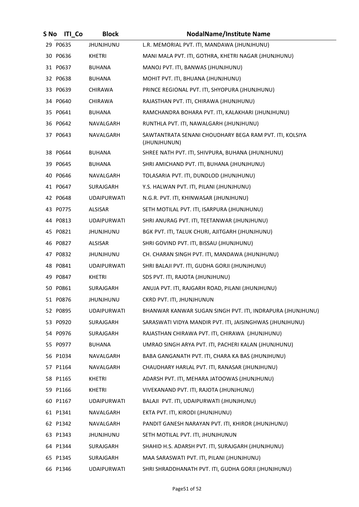| S No | <b>ITI Co</b> | <b>Block</b>       | <b>NodalName/Institute Name</b>                                         |
|------|---------------|--------------------|-------------------------------------------------------------------------|
|      | 29 P0635      | <b>JHUNJHUNU</b>   | L.R. MEMORIAL PVT. ITI, MANDAWA (JHUNJHUNU)                             |
|      | 30 P0636      | KHETRI             | MANI MALA PVT. ITI, GOTHRA, KHETRI NAGAR (JHUNJHUNU)                    |
|      | 31 P0637      | <b>BUHANA</b>      | MANOJ PVT. ITI, BANWAS (JHUNJHUNU)                                      |
|      | 32 P0638      | BUHANA             | MOHIT PVT. ITI, BHUANA (JHUNJHUNU)                                      |
|      | 33 P0639      | <b>CHIRAWA</b>     | PRINCE REGIONAL PVT. ITI, SHYOPURA (JHUNJHUNU)                          |
|      | 34 P0640      | CHIRAWA            | RAJASTHAN PVT. ITI, CHIRAWA (JHUNJHUNU)                                 |
|      | 35 P0641      | BUHANA             | RAMCHANDRA BOHARA PVT. ITI, KALAKHARI (JHUNJHUNU)                       |
|      | 36 P0642      | NAVALGARH          | RUNTHLA PVT. ITI, NAWALGARH (JHUNJHUNU)                                 |
|      | 37 P0643      | NAVALGARH          | SAWTANTRATA SENANI CHOUDHARY BEGA RAM PVT. ITI, KOLSIYA<br>(JHUNJHUNUN) |
|      | 38 P0644      | <b>BUHANA</b>      | SHREE NATH PVT. ITI, SHIVPURA, BUHANA (JHUNJHUNU)                       |
|      | 39 P0645      | BUHANA             | SHRI AMICHAND PVT. ITI, BUHANA (JHUNJHUNU)                              |
|      | 40 P0646      | NAVALGARH          | TOLASARIA PVT. ITI, DUNDLOD (JHUNJHUNU)                                 |
|      | 41 P0647      | SURAJGARH          | Y.S. HALWAN PVT. ITI, PILANI (JHUNJHUNU)                                |
|      | 42 P0648      | <b>UDAIPURWATI</b> | N.G.R. PVT. ITI, KHINWASAR (JHUNJHUNU)                                  |
|      | 43 P0775      | ALSISAR            | SETH MOTILAL PVT. ITI, ISARPURA (JHUNJHUNU)                             |
|      | 44 P0813      | <b>UDAIPURWATI</b> | SHRI ANURAG PVT. ITI, TEETANWAR (JHUNJHUNU)                             |
|      | 45 P0821      | <b>JHUNJHUNU</b>   | BGK PVT. ITI, TALUK CHURI, AJITGARH (JHUNJHUNU)                         |
|      | 46 P0827      | ALSISAR            | SHRI GOVIND PVT. ITI, BISSAU (JHUNJHUNU)                                |
|      | 47 P0832      | <b>JHUNJHUNU</b>   | CH. CHARAN SINGH PVT. ITI, MANDAWA (JHUNJHUNU)                          |
|      | 48 P0841      | <b>UDAIPURWATI</b> | SHRI BALAJI PVT. ITI, GUDHA GORJI (JHUNJHUNU)                           |
|      | 49 P0847      | <b>KHETRI</b>      | SDS PVT. ITI, RAJOTA (JHUNJHUNU)                                        |
|      | 50 P0861      | SURAJGARH          | ANUJA PVT. ITI, RAJGARH ROAD, PILANI (JHUNJHUNU)                        |
|      | 51 P0876      | <b>JHUNJHUNU</b>   | CKRD PVT. ITI, JHUNJHUNUN                                               |
|      | 52 P0895      | <b>UDAIPURWATI</b> | BHANWAR KANWAR SUGAN SINGH PVT. ITI, INDRAPURA (JHUNJHUNU)              |
|      | 53 P0920      | SURAJGARH          | SARASWATI VIDYA MANDIR PVT. ITI, JAISINGHWAS (JHUNJHUNU)                |
|      | 54 P0976      | SURAJGARH          | RAJASTHAN CHIRAWA PVT. ITI, CHIRAWA (JHUNJHUNU)                         |
|      | 55 P0977      | <b>BUHANA</b>      | UMRAO SINGH ARYA PVT. ITI, PACHERI KALAN (JHUNJHUNU)                    |
|      | 56 P1034      | NAVALGARH          | BABA GANGANATH PVT. ITI, CHARA KA BAS (JHUNJHUNU)                       |
|      | 57 P1164      | NAVALGARH          | CHAUDHARY HARLAL PVT. ITI, RANASAR (JHUNJHUNU)                          |
|      | 58 P1165      | <b>KHETRI</b>      | ADARSH PVT. ITI, MEHARA JATOOWAS (JHUNJHUNU)                            |
|      | 59 P1166      | <b>KHETRI</b>      | VIVEKANAND PVT. ITI, RAJOTA (JHUNJHUNU)                                 |
|      | 60 P1167      | <b>UDAIPURWATI</b> | BALAJI PVT. ITI, UDAIPURWATI (JHUNJHUNU)                                |
|      | 61 P1341      | NAVALGARH          | EKTA PVT. ITI, KIRODI (JHUNJHUNU)                                       |
|      | 62 P1342      | NAVALGARH          | PANDIT GANESH NARAYAN PVT. ITI, KHIROR (JHUNJHUNU)                      |
|      | 63 P1343      | <b>JHUNJHUNU</b>   | SETH MOTILAL PVT. ITI, JHUNJHUNUN                                       |
|      | 64 P1344      | SURAJGARH          | SHAHID H.S. ADARSH PVT. ITI, SURAJGARH (JHUNJHUNU)                      |
|      | 65 P1345      | SURAJGARH          | MAA SARASWATI PVT. ITI, PILANI (JHUNJHUNU)                              |
|      | 66 P1346      | <b>UDAIPURWATI</b> | SHRI SHRADDHANATH PVT. ITI, GUDHA GORJI (JHUNJHUNU)                     |